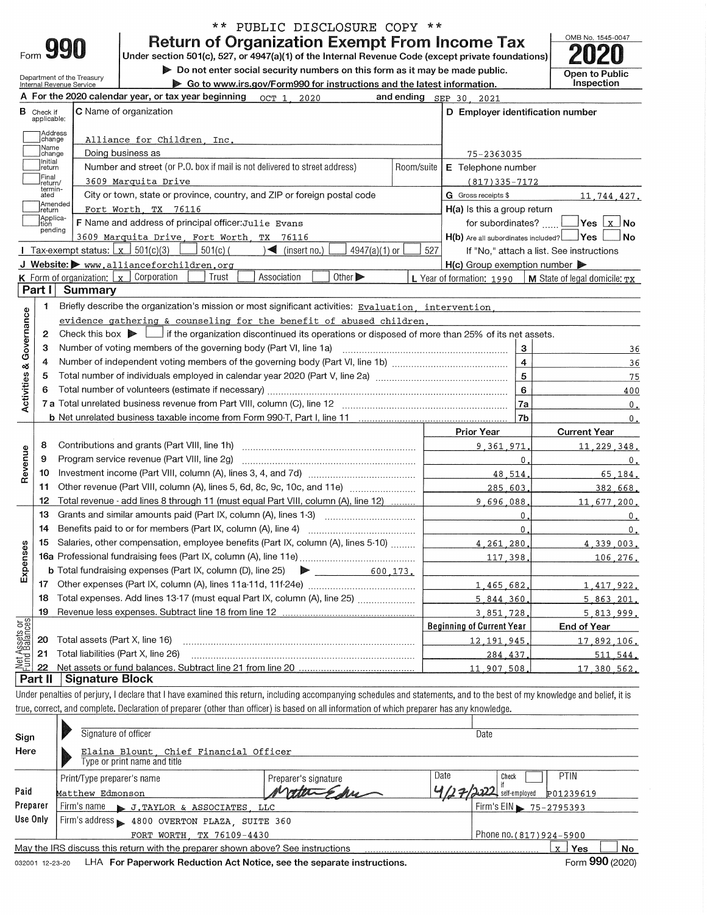|      | qqr |  |
|------|-----|--|
| ⊦orm |     |  |

Department of the Treasury

## \*\* PUBLIC DISCLOSURE COPY \*\* **Return of Organization Exempt From Income Tax**

Under section 501(c), 527, or 4947(a)(1) of the Internal Revenue Code (except private foundations) Do not enter social security numbers on this form as it may be made public.

Open to Public Inspection

æ

OMB No. 1545-0047

 $\triangleright$  Go to www.irs.gov/Form990 for instructions and the latest information

|                                |                                  | $\blacktriangleright$ as to www.irs.gov/r ormsso for modiactions and the fatest morniation.                                                                                |              |                                  |                                          |
|--------------------------------|----------------------------------|----------------------------------------------------------------------------------------------------------------------------------------------------------------------------|--------------|----------------------------------|------------------------------------------|
|                                |                                  | A For the 2020 calendar year, or tax year beginning<br>OCT 1, 2020                                                                                                         |              | and ending SEP 30, 2021          |                                          |
|                                | <b>B</b> Check if<br>applicable: | <b>C</b> Name of organization                                                                                                                                              |              | D Employer identification number |                                          |
|                                | Address<br> change               | Alliance for Children. Inc.                                                                                                                                                |              |                                  |                                          |
|                                | Mame<br>change                   | Doing business as                                                                                                                                                          |              | 75-2363035                       |                                          |
|                                | ]Initial<br>]return              | Number and street (or P.O. box if mail is not delivered to street address)                                                                                                 | Room/suite   | E Telephone number               |                                          |
|                                | Final<br>!return/                | 3609 Marquita Drive                                                                                                                                                        |              | $(817)335 - 7172$                |                                          |
|                                | termin-<br>ated                  | City or town, state or province, country, and ZIP or foreign postal code                                                                                                   |              | G Gross receipts \$              | 11,744,427.                              |
|                                | Ireturn                          | Amended<br>Fort Worth, TX 76116                                                                                                                                            |              | H(a) Is this a group return      |                                          |
|                                | Applica-<br>tion                 | F Name and address of principal officer: Julie Evans                                                                                                                       |              | for subordinates?                |                                          |
|                                | pending                          | 3609 Marquita Drive, Fort Worth, TX 76116                                                                                                                                  |              |                                  | No                                       |
|                                |                                  | Tax-exempt status: $\boxed{x}$ 501(c)(3)<br>$501(c)$ (<br>4947(a)(1) or<br>$\sqrt{\phantom{a}}$ (insert no.)                                                               | 527          |                                  | If "No," attach a list. See instructions |
|                                |                                  | J Website: > www.allianceforchildren.org                                                                                                                                   |              | $H(c)$ Group exemption number    |                                          |
|                                |                                  | Corporation<br>Other $\blacktriangleright$<br>Trust<br>Association<br><b>K</b> Form of organization: $\lfloor x \rfloor$                                                   |              | L Year of formation: 1990        | $\vert$ M State of legal domicile: $TX$  |
|                                | Part I                           | Summary                                                                                                                                                                    |              |                                  |                                          |
|                                | 1                                | Briefly describe the organization's mission or most significant activities: Evaluation, intervention,                                                                      |              |                                  |                                          |
| Governance                     |                                  | evidence gathering & counseling for the benefit of abused children.                                                                                                        |              |                                  |                                          |
|                                | 2                                | Check this box $\blacktriangleright$ $\Box$ if the organization discontinued its operations or disposed of more than 25% of its net assets.                                |              |                                  |                                          |
|                                | з                                | Number of voting members of the governing body (Part VI, line 1a)                                                                                                          |              | 3                                | 36                                       |
|                                | 4                                |                                                                                                                                                                            |              | $\overline{\mathbf{4}}$          | 36                                       |
|                                | 5                                |                                                                                                                                                                            |              | $\overline{5}$                   | 75                                       |
|                                | 6                                |                                                                                                                                                                            | 6            | 400                              |                                          |
| Activities &                   |                                  |                                                                                                                                                                            |              | 7a                               | 0.                                       |
|                                |                                  |                                                                                                                                                                            |              | 7b                               | 0.                                       |
|                                |                                  |                                                                                                                                                                            |              | <b>Prior Year</b>                | <b>Current Year</b>                      |
|                                | 8                                |                                                                                                                                                                            |              | 9.361.971                        | 11, 229, 348.                            |
| Revenue                        | 9                                | Program service revenue (Part VIII, line 2g)                                                                                                                               |              | $\mathbf{0}$                     | 0.                                       |
|                                | 10                               |                                                                                                                                                                            |              | 48,514                           | 65.184.                                  |
|                                | 11                               | Other revenue (Part VIII, column (A), lines 5, 6d, 8c, 9c, 10c, and 11e)                                                                                                   |              | 285,603                          | 382.668.                                 |
|                                | 12                               | Total revenue - add lines 8 through 11 (must equal Part VIII, column (A), line 12)                                                                                         |              | 9.696.088                        | 11,677,200.                              |
|                                | 13                               | Grants and similar amounts paid (Part IX, column (A), lines 1-3)                                                                                                           |              | $\mathbf 0$ .                    | 0.                                       |
|                                | 14                               | Benefits paid to or for members (Part IX, column (A), line 4)                                                                                                              |              | $\mathbf{0}$ .                   | 0.                                       |
|                                | 15                               | Salaries, other compensation, employee benefits (Part IX, column (A), lines 5-10)                                                                                          | 4, 261, 280, | 4,339,003.                       |                                          |
|                                |                                  |                                                                                                                                                                            | 117.398      | 106,276.                         |                                          |
| Expenses                       |                                  | <b>b</b> Total fundraising expenses (Part IX, column $(D)$ , line 25)<br>▶<br>600.173.                                                                                     |              |                                  |                                          |
|                                | 17                               |                                                                                                                                                                            |              | 1,465,682,                       | 1,417,922.                               |
|                                | 18                               | Total expenses. Add lines 13-17 (must equal Part IX, column (A), line 25)                                                                                                  |              | 5.844.360                        | 5,863,201                                |
|                                | 19                               |                                                                                                                                                                            |              | 3,851,728                        | 5,813,999.                               |
|                                |                                  |                                                                                                                                                                            |              | <b>Beginning of Current Year</b> | <b>End of Year</b>                       |
| Net Assets or<br>Fund Balances | 20                               | Total assets (Part X, line 16)                                                                                                                                             |              | 12, 191, 945                     | 17,892,106.                              |
|                                | 21                               | Total liabilities (Part X, line 26)                                                                                                                                        |              | 284.437                          | 511.544.                                 |
|                                | 22                               |                                                                                                                                                                            |              | 11,907,508                       | 17.380.562.                              |
|                                | Part II                          | <b>Signature Block</b>                                                                                                                                                     |              |                                  |                                          |
|                                |                                  | Under penalties of perjury, I declare that I have examined this return, including accompanying schedules and statements, and to the best of my knowledge and belief, it is |              |                                  |                                          |
|                                |                                  |                                                                                                                                                                            |              |                                  |                                          |

true, correct, and complete. Declaration of preparer (other than officer) is based on all information of which preparer has any knowledge.

| Sign     |                                                                                                              | Signature of officer                                                            |                      |      | Date                    |  |  |  |  |  |  |  |
|----------|--------------------------------------------------------------------------------------------------------------|---------------------------------------------------------------------------------|----------------------|------|-------------------------|--|--|--|--|--|--|--|
| Here     |                                                                                                              | Elaina Blount, Chief Financial Officer<br>Type or print name and title          |                      |      |                         |  |  |  |  |  |  |  |
|          |                                                                                                              | Print/Type preparer's name                                                      | Preparer's signature | Date | <b>PTIN</b><br>Check    |  |  |  |  |  |  |  |
| Paid     | P01239619<br>self-employed<br>Matthew Edmonson                                                               |                                                                                 |                      |      |                         |  |  |  |  |  |  |  |
| Preparer |                                                                                                              | Firm's name > J. TAYLOR & ASSOCIATES, LLC                                       |                      |      | Firm's EIN 75-2795393   |  |  |  |  |  |  |  |
| Use Only |                                                                                                              | Firm's address > 4800 OVERTON PLAZA, SUITE 360                                  |                      |      |                         |  |  |  |  |  |  |  |
|          | Phone no. (817) 924-5900<br>FORT WORTH TX 76109-4430                                                         |                                                                                 |                      |      |                         |  |  |  |  |  |  |  |
|          |                                                                                                              | May the IRS discuss this return with the preparer shown above? See instructions |                      |      | No<br><b>Yes</b><br>x I |  |  |  |  |  |  |  |
|          | Form 990 (2020)<br>LHA For Paperwork Reduction Act Notice, see the separate instructions.<br>032001 12-23-20 |                                                                                 |                      |      |                         |  |  |  |  |  |  |  |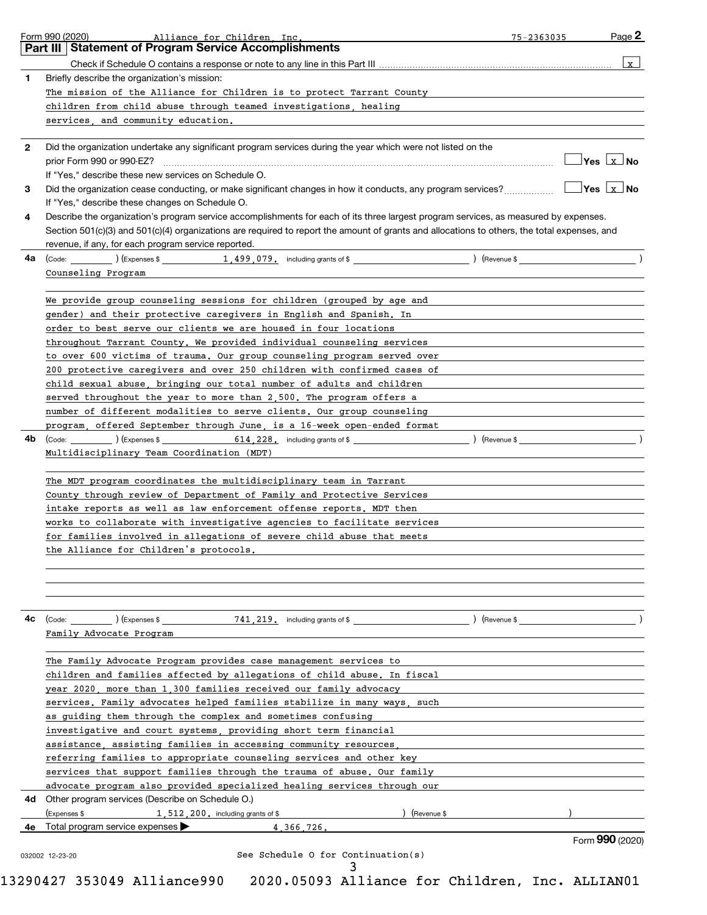|    | Form 990 (2020)<br>Alliance for Children, Inc.                                                                                               | 75-2363035 | Page 2          |
|----|----------------------------------------------------------------------------------------------------------------------------------------------|------------|-----------------|
|    | <b>Statement of Program Service Accomplishments</b><br>Part III I                                                                            |            |                 |
|    |                                                                                                                                              |            | $\mathbf{x}$    |
| 1  | Briefly describe the organization's mission:                                                                                                 |            |                 |
|    | The mission of the Alliance for Children is to protect Tarrant County                                                                        |            |                 |
|    | children from child abuse through teamed investigations, healing                                                                             |            |                 |
|    | services, and community education.                                                                                                           |            |                 |
|    |                                                                                                                                              |            |                 |
| 2  | Did the organization undertake any significant program services during the year which were not listed on the                                 |            |                 |
|    | prior Form 990 or 990-EZ?                                                                                                                    |            |                 |
|    | If "Yes," describe these new services on Schedule O.                                                                                         |            |                 |
| 3  | Did the organization cease conducting, or make significant changes in how it conducts, any program services?                                 |            | ∐Yes  Lx⊥l No   |
|    | If "Yes," describe these changes on Schedule O.                                                                                              |            |                 |
| 4  | Describe the organization's program service accomplishments for each of its three largest program services, as measured by expenses.         |            |                 |
|    | Section 501(c)(3) and 501(c)(4) organizations are required to report the amount of grants and allocations to others, the total expenses, and |            |                 |
|    | revenue, if any, for each program service reported.                                                                                          |            |                 |
| 4a |                                                                                                                                              |            |                 |
|    | Counseling Program                                                                                                                           |            |                 |
|    |                                                                                                                                              |            |                 |
|    | We provide group counseling sessions for children (grouped by age and                                                                        |            |                 |
|    | gender) and their protective caregivers in English and Spanish. In                                                                           |            |                 |
|    | order to best serve our clients we are housed in four locations                                                                              |            |                 |
|    | throughout Tarrant County. We provided individual counseling services                                                                        |            |                 |
|    | to over 600 victims of trauma. Our group counseling program served over                                                                      |            |                 |
|    | 200 protective caregivers and over 250 children with confirmed cases of                                                                      |            |                 |
|    | child sexual abuse, bringing our total number of adults and children                                                                         |            |                 |
|    | served throughout the year to more than 2,500. The program offers a                                                                          |            |                 |
|    | number of different modalities to serve clients. Our group counseling                                                                        |            |                 |
|    | program, offered September through June, is a 16-week open-ended format                                                                      |            |                 |
| 4b |                                                                                                                                              |            |                 |
|    | Multidisciplinary Team Coordination (MDT)                                                                                                    |            |                 |
|    |                                                                                                                                              |            |                 |
|    | The MDT program coordinates the multidisciplinary team in Tarrant                                                                            |            |                 |
|    | County through review of Department of Family and Protective Services                                                                        |            |                 |
|    | intake reports as well as law enforcement offense reports. MDT then                                                                          |            |                 |
|    | works to collaborate with investigative agencies to facilitate services                                                                      |            |                 |
|    | for families involved in allegations of severe child abuse that meets                                                                        |            |                 |
|    | the Alliance for Children's protocols.                                                                                                       |            |                 |
|    |                                                                                                                                              |            |                 |
|    |                                                                                                                                              |            |                 |
|    |                                                                                                                                              |            |                 |
|    |                                                                                                                                              |            |                 |
| 4c |                                                                                                                                              |            |                 |
|    | Family Advocate Program                                                                                                                      |            |                 |
|    |                                                                                                                                              |            |                 |
|    | The Family Advocate Program provides case management services to                                                                             |            |                 |
|    | children and families affected by allegations of child abuse. In fiscal                                                                      |            |                 |
|    | year 2020, more than 1,300 families received our family advocacy                                                                             |            |                 |
|    | services. Family advocates helped families stabilize in many ways, such                                                                      |            |                 |
|    | as guiding them through the complex and sometimes confusing                                                                                  |            |                 |
|    | investigative and court systems, providing short term financial                                                                              |            |                 |
|    | assistance, assisting families in accessing community resources,                                                                             |            |                 |
|    | referring families to appropriate counseling services and other key                                                                          |            |                 |
|    | services that support families through the trauma of abuse. Our family                                                                       |            |                 |
|    | advocate program also provided specialized healing services through our                                                                      |            |                 |
|    | 4d Other program services (Describe on Schedule O.)                                                                                          |            |                 |
|    | (Expenses \$<br>$1$ , $512$ , $200$ , including grants of \$<br>) (Revenue \$                                                                |            |                 |
|    | 4e Total program service expenses $\blacktriangleright$<br>4.366.726.                                                                        |            |                 |
|    |                                                                                                                                              |            | Form 990 (2020) |
|    | See Schedule O for Continuation(s)<br>032002 12-23-20                                                                                        |            |                 |
|    |                                                                                                                                              |            |                 |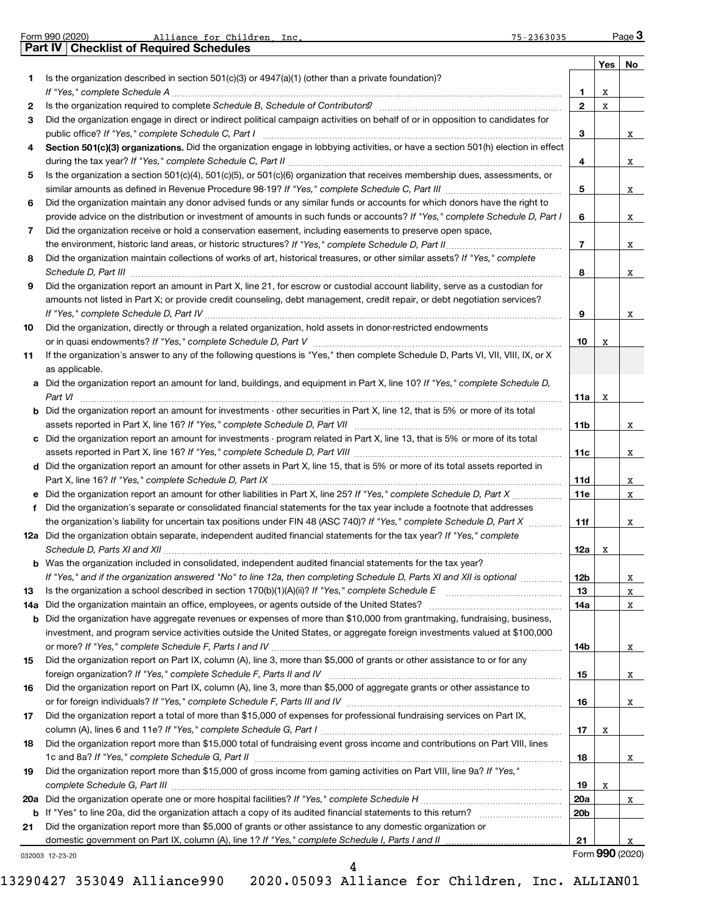|     | Form 990 (2020)<br>Alliance for Children. Inc.<br>$75 - 2363035$                                                                                                |                 |     | Page 3          |
|-----|-----------------------------------------------------------------------------------------------------------------------------------------------------------------|-----------------|-----|-----------------|
|     | Part IV Checklist of Required Schedules                                                                                                                         |                 |     |                 |
| 1   | Is the organization described in section $501(c)(3)$ or $4947(a)(1)$ (other than a private foundation)?                                                         |                 | Yes | No              |
|     |                                                                                                                                                                 | 1               | x   |                 |
| 2   | Is the organization required to complete Schedule B, Schedule of Contributors? [11] The organization required to complete Schedule B, Schedule of Contributors? | $\overline{2}$  | x   |                 |
| 3   | Did the organization engage in direct or indirect political campaign activities on behalf of or in opposition to candidates for                                 |                 |     |                 |
|     |                                                                                                                                                                 | 3               |     | X               |
| 4   | Section 501(c)(3) organizations. Did the organization engage in lobbying activities, or have a section 501(h) election in effect                                |                 |     |                 |
|     |                                                                                                                                                                 | 4               |     | X               |
| 5   | Is the organization a section 501(c)(4), 501(c)(5), or 501(c)(6) organization that receives membership dues, assessments, or                                    |                 |     |                 |
|     |                                                                                                                                                                 | 5               |     | X               |
| 6   | Did the organization maintain any donor advised funds or any similar funds or accounts for which donors have the right to                                       |                 |     |                 |
|     | provide advice on the distribution or investment of amounts in such funds or accounts? If "Yes," complete Schedule D, Part I                                    | 6               |     | X               |
| 7   | Did the organization receive or hold a conservation easement, including easements to preserve open space,                                                       | $\overline{7}$  |     |                 |
| 8   | Did the organization maintain collections of works of art, historical treasures, or other similar assets? If "Yes," complete                                    |                 |     | X               |
|     |                                                                                                                                                                 | 8               |     | X               |
| 9   | Did the organization report an amount in Part X, line 21, for escrow or custodial account liability, serve as a custodian for                                   |                 |     |                 |
|     | amounts not listed in Part X; or provide credit counseling, debt management, credit repair, or debt negotiation services?                                       |                 |     |                 |
|     |                                                                                                                                                                 | 9               |     | X               |
| 10  | Did the organization, directly or through a related organization, hold assets in donor-restricted endowments                                                    |                 |     |                 |
|     |                                                                                                                                                                 | 10              | x   |                 |
| 11  | If the organization's answer to any of the following questions is "Yes," then complete Schedule D, Parts VI, VII, VIII, IX, or X                                |                 |     |                 |
|     | as applicable.                                                                                                                                                  |                 |     |                 |
|     | a Did the organization report an amount for land, buildings, and equipment in Part X, line 10? If "Yes," complete Schedule D,                                   |                 |     |                 |
|     | Part VI                                                                                                                                                         | 11a             | х   |                 |
|     | <b>b</b> Did the organization report an amount for investments - other securities in Part X, line 12, that is 5% or more of its total                           | 11b             |     |                 |
|     | c Did the organization report an amount for investments - program related in Part X, line 13, that is 5% or more of its total                                   |                 |     | X               |
|     |                                                                                                                                                                 | 11c             |     | X               |
|     | d Did the organization report an amount for other assets in Part X, line 15, that is 5% or more of its total assets reported in                                 |                 |     |                 |
|     |                                                                                                                                                                 | 11d             |     | X               |
|     |                                                                                                                                                                 | <b>11e</b>      |     | X               |
| f   | Did the organization's separate or consolidated financial statements for the tax year include a footnote that addresses                                         |                 |     |                 |
|     | the organization's liability for uncertain tax positions under FIN 48 (ASC 740)? If "Yes," complete Schedule D, Part X                                          | 11f             |     | X               |
|     | 12a Did the organization obtain separate, independent audited financial statements for the tax year? If "Yes," complete                                         |                 |     |                 |
|     |                                                                                                                                                                 | 12a             | х   |                 |
|     | <b>b</b> Was the organization included in consolidated, independent audited financial statements for the tax year?                                              |                 |     |                 |
| 13  | If "Yes," and if the organization answered "No" to line 12a, then completing Schedule D, Parts XI and XII is optional                                           | 12b<br>13       |     | X<br>X          |
| 14a | Did the organization maintain an office, employees, or agents outside of the United States?                                                                     | <b>14a</b>      |     | X               |
| b   | Did the organization have aggregate revenues or expenses of more than \$10,000 from grantmaking, fundraising, business,                                         |                 |     |                 |
|     | investment, and program service activities outside the United States, or aggregate foreign investments valued at \$100,000                                      |                 |     |                 |
|     |                                                                                                                                                                 | 14b             |     | X               |
| 15  | Did the organization report on Part IX, column (A), line 3, more than \$5,000 of grants or other assistance to or for any                                       |                 |     |                 |
|     |                                                                                                                                                                 | 15              |     | X               |
| 16  | Did the organization report on Part IX, column (A), line 3, more than \$5,000 of aggregate grants or other assistance to                                        |                 |     |                 |
|     |                                                                                                                                                                 | 16              |     | X               |
| 17  | Did the organization report a total of more than \$15,000 of expenses for professional fundraising services on Part IX,                                         |                 |     |                 |
| 18  | Did the organization report more than \$15,000 total of fundraising event gross income and contributions on Part VIII, lines                                    | 17              | х   |                 |
|     |                                                                                                                                                                 | 18              |     | X               |
| 19  | Did the organization report more than \$15,000 of gross income from gaming activities on Part VIII, line 9a? If "Yes,"                                          |                 |     |                 |
|     |                                                                                                                                                                 | 19              | х   |                 |
| 20a |                                                                                                                                                                 | 20a             |     | X               |
| b   |                                                                                                                                                                 | 20 <sub>b</sub> |     |                 |
| 21  | Did the organization report more than \$5,000 of grants or other assistance to any domestic organization or                                                     |                 |     |                 |
|     | domestic government on Part IX, column (A), line 1? If "Yes," complete Schedule I, Parts I and II                                                               | 21              |     |                 |
|     | 032003 12-23-20                                                                                                                                                 |                 |     | Form 990 (2020) |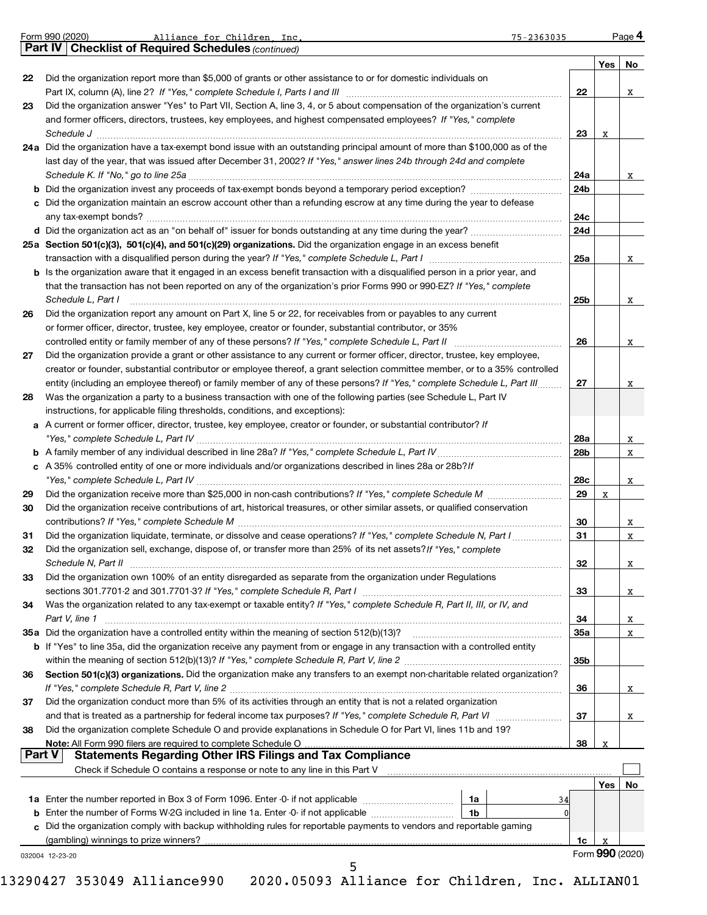| Part IV   Checklist of Required Schedules (continued)<br>Yes<br>No<br>Did the organization report more than \$5,000 of grants or other assistance to or for domestic individuals on<br>22<br>22<br>x<br>Did the organization answer "Yes" to Part VII, Section A, line 3, 4, or 5 about compensation of the organization's current<br>23<br>and former officers, directors, trustees, key employees, and highest compensated employees? If "Yes," complete<br>23<br>х<br>24a Did the organization have a tax-exempt bond issue with an outstanding principal amount of more than \$100,000 as of the<br>last day of the year, that was issued after December 31, 2002? If "Yes," answer lines 24b through 24d and complete<br>24a<br>X<br>24b<br>c Did the organization maintain an escrow account other than a refunding escrow at any time during the year to defease<br>24c<br>24d<br>25a Section 501(c)(3), 501(c)(4), and 501(c)(29) organizations. Did the organization engage in an excess benefit<br>25a<br>X<br>b Is the organization aware that it engaged in an excess benefit transaction with a disqualified person in a prior year, and<br>that the transaction has not been reported on any of the organization's prior Forms 990 or 990-EZ? If "Yes," complete<br>Schedule L, Part I<br>25b<br>X<br>Did the organization report any amount on Part X, line 5 or 22, for receivables from or payables to any current<br>26<br>or former officer, director, trustee, key employee, creator or founder, substantial contributor, or 35%<br>26<br>x<br>Did the organization provide a grant or other assistance to any current or former officer, director, trustee, key employee,<br>27<br>creator or founder, substantial contributor or employee thereof, a grant selection committee member, or to a 35% controlled<br>entity (including an employee thereof) or family member of any of these persons? If "Yes," complete Schedule L, Part III<br>27<br>x<br>Was the organization a party to a business transaction with one of the following parties (see Schedule L, Part IV<br>28<br>instructions, for applicable filing thresholds, conditions, and exceptions):<br>a A current or former officer, director, trustee, key employee, creator or founder, or substantial contributor? If<br>28a<br>X<br>28b<br>X<br>c A 35% controlled entity of one or more individuals and/or organizations described in lines 28a or 28b? If<br>28c<br>X<br>29<br>29<br>х<br>Did the organization receive contributions of art, historical treasures, or other similar assets, or qualified conservation<br>30<br>30<br>X<br>Did the organization liquidate, terminate, or dissolve and cease operations? If "Yes," complete Schedule N, Part I<br>31<br>X<br>31<br>32<br>Did the organization sell, exchange, dispose of, or transfer more than 25% of its net assets? If "Yes," complete<br>Schedule N, Part II<br>32<br>x<br>Did the organization own 100% of an entity disregarded as separate from the organization under Regulations<br>33<br>33<br>X<br>Was the organization related to any tax-exempt or taxable entity? If "Yes," complete Schedule R, Part II, III, or IV, and<br>34 |
|------------------------------------------------------------------------------------------------------------------------------------------------------------------------------------------------------------------------------------------------------------------------------------------------------------------------------------------------------------------------------------------------------------------------------------------------------------------------------------------------------------------------------------------------------------------------------------------------------------------------------------------------------------------------------------------------------------------------------------------------------------------------------------------------------------------------------------------------------------------------------------------------------------------------------------------------------------------------------------------------------------------------------------------------------------------------------------------------------------------------------------------------------------------------------------------------------------------------------------------------------------------------------------------------------------------------------------------------------------------------------------------------------------------------------------------------------------------------------------------------------------------------------------------------------------------------------------------------------------------------------------------------------------------------------------------------------------------------------------------------------------------------------------------------------------------------------------------------------------------------------------------------------------------------------------------------------------------------------------------------------------------------------------------------------------------------------------------------------------------------------------------------------------------------------------------------------------------------------------------------------------------------------------------------------------------------------------------------------------------------------------------------------------------------------------------------------------------------------------------------------------------------------------------------------------------------------------------------------------------------------------------------------------------------------------------------------------------------------------------------------------------------------------------------------------------------------------------------------------------------------------------------------------------------------------------------------------------------------------------------------------------------------------------------------------------------------------------------------------------------------------------------------------------------------------------------------|
|                                                                                                                                                                                                                                                                                                                                                                                                                                                                                                                                                                                                                                                                                                                                                                                                                                                                                                                                                                                                                                                                                                                                                                                                                                                                                                                                                                                                                                                                                                                                                                                                                                                                                                                                                                                                                                                                                                                                                                                                                                                                                                                                                                                                                                                                                                                                                                                                                                                                                                                                                                                                                                                                                                                                                                                                                                                                                                                                                                                                                                                                                                                                                                                                      |
|                                                                                                                                                                                                                                                                                                                                                                                                                                                                                                                                                                                                                                                                                                                                                                                                                                                                                                                                                                                                                                                                                                                                                                                                                                                                                                                                                                                                                                                                                                                                                                                                                                                                                                                                                                                                                                                                                                                                                                                                                                                                                                                                                                                                                                                                                                                                                                                                                                                                                                                                                                                                                                                                                                                                                                                                                                                                                                                                                                                                                                                                                                                                                                                                      |
|                                                                                                                                                                                                                                                                                                                                                                                                                                                                                                                                                                                                                                                                                                                                                                                                                                                                                                                                                                                                                                                                                                                                                                                                                                                                                                                                                                                                                                                                                                                                                                                                                                                                                                                                                                                                                                                                                                                                                                                                                                                                                                                                                                                                                                                                                                                                                                                                                                                                                                                                                                                                                                                                                                                                                                                                                                                                                                                                                                                                                                                                                                                                                                                                      |
|                                                                                                                                                                                                                                                                                                                                                                                                                                                                                                                                                                                                                                                                                                                                                                                                                                                                                                                                                                                                                                                                                                                                                                                                                                                                                                                                                                                                                                                                                                                                                                                                                                                                                                                                                                                                                                                                                                                                                                                                                                                                                                                                                                                                                                                                                                                                                                                                                                                                                                                                                                                                                                                                                                                                                                                                                                                                                                                                                                                                                                                                                                                                                                                                      |
|                                                                                                                                                                                                                                                                                                                                                                                                                                                                                                                                                                                                                                                                                                                                                                                                                                                                                                                                                                                                                                                                                                                                                                                                                                                                                                                                                                                                                                                                                                                                                                                                                                                                                                                                                                                                                                                                                                                                                                                                                                                                                                                                                                                                                                                                                                                                                                                                                                                                                                                                                                                                                                                                                                                                                                                                                                                                                                                                                                                                                                                                                                                                                                                                      |
|                                                                                                                                                                                                                                                                                                                                                                                                                                                                                                                                                                                                                                                                                                                                                                                                                                                                                                                                                                                                                                                                                                                                                                                                                                                                                                                                                                                                                                                                                                                                                                                                                                                                                                                                                                                                                                                                                                                                                                                                                                                                                                                                                                                                                                                                                                                                                                                                                                                                                                                                                                                                                                                                                                                                                                                                                                                                                                                                                                                                                                                                                                                                                                                                      |
|                                                                                                                                                                                                                                                                                                                                                                                                                                                                                                                                                                                                                                                                                                                                                                                                                                                                                                                                                                                                                                                                                                                                                                                                                                                                                                                                                                                                                                                                                                                                                                                                                                                                                                                                                                                                                                                                                                                                                                                                                                                                                                                                                                                                                                                                                                                                                                                                                                                                                                                                                                                                                                                                                                                                                                                                                                                                                                                                                                                                                                                                                                                                                                                                      |
|                                                                                                                                                                                                                                                                                                                                                                                                                                                                                                                                                                                                                                                                                                                                                                                                                                                                                                                                                                                                                                                                                                                                                                                                                                                                                                                                                                                                                                                                                                                                                                                                                                                                                                                                                                                                                                                                                                                                                                                                                                                                                                                                                                                                                                                                                                                                                                                                                                                                                                                                                                                                                                                                                                                                                                                                                                                                                                                                                                                                                                                                                                                                                                                                      |
|                                                                                                                                                                                                                                                                                                                                                                                                                                                                                                                                                                                                                                                                                                                                                                                                                                                                                                                                                                                                                                                                                                                                                                                                                                                                                                                                                                                                                                                                                                                                                                                                                                                                                                                                                                                                                                                                                                                                                                                                                                                                                                                                                                                                                                                                                                                                                                                                                                                                                                                                                                                                                                                                                                                                                                                                                                                                                                                                                                                                                                                                                                                                                                                                      |
|                                                                                                                                                                                                                                                                                                                                                                                                                                                                                                                                                                                                                                                                                                                                                                                                                                                                                                                                                                                                                                                                                                                                                                                                                                                                                                                                                                                                                                                                                                                                                                                                                                                                                                                                                                                                                                                                                                                                                                                                                                                                                                                                                                                                                                                                                                                                                                                                                                                                                                                                                                                                                                                                                                                                                                                                                                                                                                                                                                                                                                                                                                                                                                                                      |
|                                                                                                                                                                                                                                                                                                                                                                                                                                                                                                                                                                                                                                                                                                                                                                                                                                                                                                                                                                                                                                                                                                                                                                                                                                                                                                                                                                                                                                                                                                                                                                                                                                                                                                                                                                                                                                                                                                                                                                                                                                                                                                                                                                                                                                                                                                                                                                                                                                                                                                                                                                                                                                                                                                                                                                                                                                                                                                                                                                                                                                                                                                                                                                                                      |
|                                                                                                                                                                                                                                                                                                                                                                                                                                                                                                                                                                                                                                                                                                                                                                                                                                                                                                                                                                                                                                                                                                                                                                                                                                                                                                                                                                                                                                                                                                                                                                                                                                                                                                                                                                                                                                                                                                                                                                                                                                                                                                                                                                                                                                                                                                                                                                                                                                                                                                                                                                                                                                                                                                                                                                                                                                                                                                                                                                                                                                                                                                                                                                                                      |
|                                                                                                                                                                                                                                                                                                                                                                                                                                                                                                                                                                                                                                                                                                                                                                                                                                                                                                                                                                                                                                                                                                                                                                                                                                                                                                                                                                                                                                                                                                                                                                                                                                                                                                                                                                                                                                                                                                                                                                                                                                                                                                                                                                                                                                                                                                                                                                                                                                                                                                                                                                                                                                                                                                                                                                                                                                                                                                                                                                                                                                                                                                                                                                                                      |
|                                                                                                                                                                                                                                                                                                                                                                                                                                                                                                                                                                                                                                                                                                                                                                                                                                                                                                                                                                                                                                                                                                                                                                                                                                                                                                                                                                                                                                                                                                                                                                                                                                                                                                                                                                                                                                                                                                                                                                                                                                                                                                                                                                                                                                                                                                                                                                                                                                                                                                                                                                                                                                                                                                                                                                                                                                                                                                                                                                                                                                                                                                                                                                                                      |
|                                                                                                                                                                                                                                                                                                                                                                                                                                                                                                                                                                                                                                                                                                                                                                                                                                                                                                                                                                                                                                                                                                                                                                                                                                                                                                                                                                                                                                                                                                                                                                                                                                                                                                                                                                                                                                                                                                                                                                                                                                                                                                                                                                                                                                                                                                                                                                                                                                                                                                                                                                                                                                                                                                                                                                                                                                                                                                                                                                                                                                                                                                                                                                                                      |
|                                                                                                                                                                                                                                                                                                                                                                                                                                                                                                                                                                                                                                                                                                                                                                                                                                                                                                                                                                                                                                                                                                                                                                                                                                                                                                                                                                                                                                                                                                                                                                                                                                                                                                                                                                                                                                                                                                                                                                                                                                                                                                                                                                                                                                                                                                                                                                                                                                                                                                                                                                                                                                                                                                                                                                                                                                                                                                                                                                                                                                                                                                                                                                                                      |
|                                                                                                                                                                                                                                                                                                                                                                                                                                                                                                                                                                                                                                                                                                                                                                                                                                                                                                                                                                                                                                                                                                                                                                                                                                                                                                                                                                                                                                                                                                                                                                                                                                                                                                                                                                                                                                                                                                                                                                                                                                                                                                                                                                                                                                                                                                                                                                                                                                                                                                                                                                                                                                                                                                                                                                                                                                                                                                                                                                                                                                                                                                                                                                                                      |
|                                                                                                                                                                                                                                                                                                                                                                                                                                                                                                                                                                                                                                                                                                                                                                                                                                                                                                                                                                                                                                                                                                                                                                                                                                                                                                                                                                                                                                                                                                                                                                                                                                                                                                                                                                                                                                                                                                                                                                                                                                                                                                                                                                                                                                                                                                                                                                                                                                                                                                                                                                                                                                                                                                                                                                                                                                                                                                                                                                                                                                                                                                                                                                                                      |
|                                                                                                                                                                                                                                                                                                                                                                                                                                                                                                                                                                                                                                                                                                                                                                                                                                                                                                                                                                                                                                                                                                                                                                                                                                                                                                                                                                                                                                                                                                                                                                                                                                                                                                                                                                                                                                                                                                                                                                                                                                                                                                                                                                                                                                                                                                                                                                                                                                                                                                                                                                                                                                                                                                                                                                                                                                                                                                                                                                                                                                                                                                                                                                                                      |
|                                                                                                                                                                                                                                                                                                                                                                                                                                                                                                                                                                                                                                                                                                                                                                                                                                                                                                                                                                                                                                                                                                                                                                                                                                                                                                                                                                                                                                                                                                                                                                                                                                                                                                                                                                                                                                                                                                                                                                                                                                                                                                                                                                                                                                                                                                                                                                                                                                                                                                                                                                                                                                                                                                                                                                                                                                                                                                                                                                                                                                                                                                                                                                                                      |
|                                                                                                                                                                                                                                                                                                                                                                                                                                                                                                                                                                                                                                                                                                                                                                                                                                                                                                                                                                                                                                                                                                                                                                                                                                                                                                                                                                                                                                                                                                                                                                                                                                                                                                                                                                                                                                                                                                                                                                                                                                                                                                                                                                                                                                                                                                                                                                                                                                                                                                                                                                                                                                                                                                                                                                                                                                                                                                                                                                                                                                                                                                                                                                                                      |
|                                                                                                                                                                                                                                                                                                                                                                                                                                                                                                                                                                                                                                                                                                                                                                                                                                                                                                                                                                                                                                                                                                                                                                                                                                                                                                                                                                                                                                                                                                                                                                                                                                                                                                                                                                                                                                                                                                                                                                                                                                                                                                                                                                                                                                                                                                                                                                                                                                                                                                                                                                                                                                                                                                                                                                                                                                                                                                                                                                                                                                                                                                                                                                                                      |
|                                                                                                                                                                                                                                                                                                                                                                                                                                                                                                                                                                                                                                                                                                                                                                                                                                                                                                                                                                                                                                                                                                                                                                                                                                                                                                                                                                                                                                                                                                                                                                                                                                                                                                                                                                                                                                                                                                                                                                                                                                                                                                                                                                                                                                                                                                                                                                                                                                                                                                                                                                                                                                                                                                                                                                                                                                                                                                                                                                                                                                                                                                                                                                                                      |
|                                                                                                                                                                                                                                                                                                                                                                                                                                                                                                                                                                                                                                                                                                                                                                                                                                                                                                                                                                                                                                                                                                                                                                                                                                                                                                                                                                                                                                                                                                                                                                                                                                                                                                                                                                                                                                                                                                                                                                                                                                                                                                                                                                                                                                                                                                                                                                                                                                                                                                                                                                                                                                                                                                                                                                                                                                                                                                                                                                                                                                                                                                                                                                                                      |
|                                                                                                                                                                                                                                                                                                                                                                                                                                                                                                                                                                                                                                                                                                                                                                                                                                                                                                                                                                                                                                                                                                                                                                                                                                                                                                                                                                                                                                                                                                                                                                                                                                                                                                                                                                                                                                                                                                                                                                                                                                                                                                                                                                                                                                                                                                                                                                                                                                                                                                                                                                                                                                                                                                                                                                                                                                                                                                                                                                                                                                                                                                                                                                                                      |
|                                                                                                                                                                                                                                                                                                                                                                                                                                                                                                                                                                                                                                                                                                                                                                                                                                                                                                                                                                                                                                                                                                                                                                                                                                                                                                                                                                                                                                                                                                                                                                                                                                                                                                                                                                                                                                                                                                                                                                                                                                                                                                                                                                                                                                                                                                                                                                                                                                                                                                                                                                                                                                                                                                                                                                                                                                                                                                                                                                                                                                                                                                                                                                                                      |
|                                                                                                                                                                                                                                                                                                                                                                                                                                                                                                                                                                                                                                                                                                                                                                                                                                                                                                                                                                                                                                                                                                                                                                                                                                                                                                                                                                                                                                                                                                                                                                                                                                                                                                                                                                                                                                                                                                                                                                                                                                                                                                                                                                                                                                                                                                                                                                                                                                                                                                                                                                                                                                                                                                                                                                                                                                                                                                                                                                                                                                                                                                                                                                                                      |
|                                                                                                                                                                                                                                                                                                                                                                                                                                                                                                                                                                                                                                                                                                                                                                                                                                                                                                                                                                                                                                                                                                                                                                                                                                                                                                                                                                                                                                                                                                                                                                                                                                                                                                                                                                                                                                                                                                                                                                                                                                                                                                                                                                                                                                                                                                                                                                                                                                                                                                                                                                                                                                                                                                                                                                                                                                                                                                                                                                                                                                                                                                                                                                                                      |
|                                                                                                                                                                                                                                                                                                                                                                                                                                                                                                                                                                                                                                                                                                                                                                                                                                                                                                                                                                                                                                                                                                                                                                                                                                                                                                                                                                                                                                                                                                                                                                                                                                                                                                                                                                                                                                                                                                                                                                                                                                                                                                                                                                                                                                                                                                                                                                                                                                                                                                                                                                                                                                                                                                                                                                                                                                                                                                                                                                                                                                                                                                                                                                                                      |
|                                                                                                                                                                                                                                                                                                                                                                                                                                                                                                                                                                                                                                                                                                                                                                                                                                                                                                                                                                                                                                                                                                                                                                                                                                                                                                                                                                                                                                                                                                                                                                                                                                                                                                                                                                                                                                                                                                                                                                                                                                                                                                                                                                                                                                                                                                                                                                                                                                                                                                                                                                                                                                                                                                                                                                                                                                                                                                                                                                                                                                                                                                                                                                                                      |
|                                                                                                                                                                                                                                                                                                                                                                                                                                                                                                                                                                                                                                                                                                                                                                                                                                                                                                                                                                                                                                                                                                                                                                                                                                                                                                                                                                                                                                                                                                                                                                                                                                                                                                                                                                                                                                                                                                                                                                                                                                                                                                                                                                                                                                                                                                                                                                                                                                                                                                                                                                                                                                                                                                                                                                                                                                                                                                                                                                                                                                                                                                                                                                                                      |
|                                                                                                                                                                                                                                                                                                                                                                                                                                                                                                                                                                                                                                                                                                                                                                                                                                                                                                                                                                                                                                                                                                                                                                                                                                                                                                                                                                                                                                                                                                                                                                                                                                                                                                                                                                                                                                                                                                                                                                                                                                                                                                                                                                                                                                                                                                                                                                                                                                                                                                                                                                                                                                                                                                                                                                                                                                                                                                                                                                                                                                                                                                                                                                                                      |
|                                                                                                                                                                                                                                                                                                                                                                                                                                                                                                                                                                                                                                                                                                                                                                                                                                                                                                                                                                                                                                                                                                                                                                                                                                                                                                                                                                                                                                                                                                                                                                                                                                                                                                                                                                                                                                                                                                                                                                                                                                                                                                                                                                                                                                                                                                                                                                                                                                                                                                                                                                                                                                                                                                                                                                                                                                                                                                                                                                                                                                                                                                                                                                                                      |
|                                                                                                                                                                                                                                                                                                                                                                                                                                                                                                                                                                                                                                                                                                                                                                                                                                                                                                                                                                                                                                                                                                                                                                                                                                                                                                                                                                                                                                                                                                                                                                                                                                                                                                                                                                                                                                                                                                                                                                                                                                                                                                                                                                                                                                                                                                                                                                                                                                                                                                                                                                                                                                                                                                                                                                                                                                                                                                                                                                                                                                                                                                                                                                                                      |
|                                                                                                                                                                                                                                                                                                                                                                                                                                                                                                                                                                                                                                                                                                                                                                                                                                                                                                                                                                                                                                                                                                                                                                                                                                                                                                                                                                                                                                                                                                                                                                                                                                                                                                                                                                                                                                                                                                                                                                                                                                                                                                                                                                                                                                                                                                                                                                                                                                                                                                                                                                                                                                                                                                                                                                                                                                                                                                                                                                                                                                                                                                                                                                                                      |
|                                                                                                                                                                                                                                                                                                                                                                                                                                                                                                                                                                                                                                                                                                                                                                                                                                                                                                                                                                                                                                                                                                                                                                                                                                                                                                                                                                                                                                                                                                                                                                                                                                                                                                                                                                                                                                                                                                                                                                                                                                                                                                                                                                                                                                                                                                                                                                                                                                                                                                                                                                                                                                                                                                                                                                                                                                                                                                                                                                                                                                                                                                                                                                                                      |
| Part V, line 1<br>34<br>X                                                                                                                                                                                                                                                                                                                                                                                                                                                                                                                                                                                                                                                                                                                                                                                                                                                                                                                                                                                                                                                                                                                                                                                                                                                                                                                                                                                                                                                                                                                                                                                                                                                                                                                                                                                                                                                                                                                                                                                                                                                                                                                                                                                                                                                                                                                                                                                                                                                                                                                                                                                                                                                                                                                                                                                                                                                                                                                                                                                                                                                                                                                                                                            |
| 35a Did the organization have a controlled entity within the meaning of section 512(b)(13)?<br>35a<br>x                                                                                                                                                                                                                                                                                                                                                                                                                                                                                                                                                                                                                                                                                                                                                                                                                                                                                                                                                                                                                                                                                                                                                                                                                                                                                                                                                                                                                                                                                                                                                                                                                                                                                                                                                                                                                                                                                                                                                                                                                                                                                                                                                                                                                                                                                                                                                                                                                                                                                                                                                                                                                                                                                                                                                                                                                                                                                                                                                                                                                                                                                              |
| b If "Yes" to line 35a, did the organization receive any payment from or engage in any transaction with a controlled entity                                                                                                                                                                                                                                                                                                                                                                                                                                                                                                                                                                                                                                                                                                                                                                                                                                                                                                                                                                                                                                                                                                                                                                                                                                                                                                                                                                                                                                                                                                                                                                                                                                                                                                                                                                                                                                                                                                                                                                                                                                                                                                                                                                                                                                                                                                                                                                                                                                                                                                                                                                                                                                                                                                                                                                                                                                                                                                                                                                                                                                                                          |
| 35b<br>Section 501(c)(3) organizations. Did the organization make any transfers to an exempt non-charitable related organization?<br>36                                                                                                                                                                                                                                                                                                                                                                                                                                                                                                                                                                                                                                                                                                                                                                                                                                                                                                                                                                                                                                                                                                                                                                                                                                                                                                                                                                                                                                                                                                                                                                                                                                                                                                                                                                                                                                                                                                                                                                                                                                                                                                                                                                                                                                                                                                                                                                                                                                                                                                                                                                                                                                                                                                                                                                                                                                                                                                                                                                                                                                                              |
| 36<br>X                                                                                                                                                                                                                                                                                                                                                                                                                                                                                                                                                                                                                                                                                                                                                                                                                                                                                                                                                                                                                                                                                                                                                                                                                                                                                                                                                                                                                                                                                                                                                                                                                                                                                                                                                                                                                                                                                                                                                                                                                                                                                                                                                                                                                                                                                                                                                                                                                                                                                                                                                                                                                                                                                                                                                                                                                                                                                                                                                                                                                                                                                                                                                                                              |
| Did the organization conduct more than 5% of its activities through an entity that is not a related organization<br>37                                                                                                                                                                                                                                                                                                                                                                                                                                                                                                                                                                                                                                                                                                                                                                                                                                                                                                                                                                                                                                                                                                                                                                                                                                                                                                                                                                                                                                                                                                                                                                                                                                                                                                                                                                                                                                                                                                                                                                                                                                                                                                                                                                                                                                                                                                                                                                                                                                                                                                                                                                                                                                                                                                                                                                                                                                                                                                                                                                                                                                                                               |
| 37<br>X                                                                                                                                                                                                                                                                                                                                                                                                                                                                                                                                                                                                                                                                                                                                                                                                                                                                                                                                                                                                                                                                                                                                                                                                                                                                                                                                                                                                                                                                                                                                                                                                                                                                                                                                                                                                                                                                                                                                                                                                                                                                                                                                                                                                                                                                                                                                                                                                                                                                                                                                                                                                                                                                                                                                                                                                                                                                                                                                                                                                                                                                                                                                                                                              |
| Did the organization complete Schedule O and provide explanations in Schedule O for Part VI, lines 11b and 19?<br>38                                                                                                                                                                                                                                                                                                                                                                                                                                                                                                                                                                                                                                                                                                                                                                                                                                                                                                                                                                                                                                                                                                                                                                                                                                                                                                                                                                                                                                                                                                                                                                                                                                                                                                                                                                                                                                                                                                                                                                                                                                                                                                                                                                                                                                                                                                                                                                                                                                                                                                                                                                                                                                                                                                                                                                                                                                                                                                                                                                                                                                                                                 |
| Note: All Form 990 filers are required to complete Schedule O<br>38<br><b>Statements Regarding Other IRS Filings and Tax Compliance</b><br>Part V                                                                                                                                                                                                                                                                                                                                                                                                                                                                                                                                                                                                                                                                                                                                                                                                                                                                                                                                                                                                                                                                                                                                                                                                                                                                                                                                                                                                                                                                                                                                                                                                                                                                                                                                                                                                                                                                                                                                                                                                                                                                                                                                                                                                                                                                                                                                                                                                                                                                                                                                                                                                                                                                                                                                                                                                                                                                                                                                                                                                                                                    |
| Check if Schedule O contains a response or note to any line in this Part V                                                                                                                                                                                                                                                                                                                                                                                                                                                                                                                                                                                                                                                                                                                                                                                                                                                                                                                                                                                                                                                                                                                                                                                                                                                                                                                                                                                                                                                                                                                                                                                                                                                                                                                                                                                                                                                                                                                                                                                                                                                                                                                                                                                                                                                                                                                                                                                                                                                                                                                                                                                                                                                                                                                                                                                                                                                                                                                                                                                                                                                                                                                           |
| No<br>Yes                                                                                                                                                                                                                                                                                                                                                                                                                                                                                                                                                                                                                                                                                                                                                                                                                                                                                                                                                                                                                                                                                                                                                                                                                                                                                                                                                                                                                                                                                                                                                                                                                                                                                                                                                                                                                                                                                                                                                                                                                                                                                                                                                                                                                                                                                                                                                                                                                                                                                                                                                                                                                                                                                                                                                                                                                                                                                                                                                                                                                                                                                                                                                                                            |
| 1a<br>34                                                                                                                                                                                                                                                                                                                                                                                                                                                                                                                                                                                                                                                                                                                                                                                                                                                                                                                                                                                                                                                                                                                                                                                                                                                                                                                                                                                                                                                                                                                                                                                                                                                                                                                                                                                                                                                                                                                                                                                                                                                                                                                                                                                                                                                                                                                                                                                                                                                                                                                                                                                                                                                                                                                                                                                                                                                                                                                                                                                                                                                                                                                                                                                             |
| Enter the number of Forms W-2G included in line 1a. Enter -0- if not applicable<br>1 <sub>b</sub><br>$\Omega$                                                                                                                                                                                                                                                                                                                                                                                                                                                                                                                                                                                                                                                                                                                                                                                                                                                                                                                                                                                                                                                                                                                                                                                                                                                                                                                                                                                                                                                                                                                                                                                                                                                                                                                                                                                                                                                                                                                                                                                                                                                                                                                                                                                                                                                                                                                                                                                                                                                                                                                                                                                                                                                                                                                                                                                                                                                                                                                                                                                                                                                                                        |
| c Did the organization comply with backup withholding rules for reportable payments to vendors and reportable gaming                                                                                                                                                                                                                                                                                                                                                                                                                                                                                                                                                                                                                                                                                                                                                                                                                                                                                                                                                                                                                                                                                                                                                                                                                                                                                                                                                                                                                                                                                                                                                                                                                                                                                                                                                                                                                                                                                                                                                                                                                                                                                                                                                                                                                                                                                                                                                                                                                                                                                                                                                                                                                                                                                                                                                                                                                                                                                                                                                                                                                                                                                 |
| (gambling) winnings to prize winners?<br>1c                                                                                                                                                                                                                                                                                                                                                                                                                                                                                                                                                                                                                                                                                                                                                                                                                                                                                                                                                                                                                                                                                                                                                                                                                                                                                                                                                                                                                                                                                                                                                                                                                                                                                                                                                                                                                                                                                                                                                                                                                                                                                                                                                                                                                                                                                                                                                                                                                                                                                                                                                                                                                                                                                                                                                                                                                                                                                                                                                                                                                                                                                                                                                          |
| Form 990 (2020)<br>032004 12-23-20<br>5                                                                                                                                                                                                                                                                                                                                                                                                                                                                                                                                                                                                                                                                                                                                                                                                                                                                                                                                                                                                                                                                                                                                                                                                                                                                                                                                                                                                                                                                                                                                                                                                                                                                                                                                                                                                                                                                                                                                                                                                                                                                                                                                                                                                                                                                                                                                                                                                                                                                                                                                                                                                                                                                                                                                                                                                                                                                                                                                                                                                                                                                                                                                                              |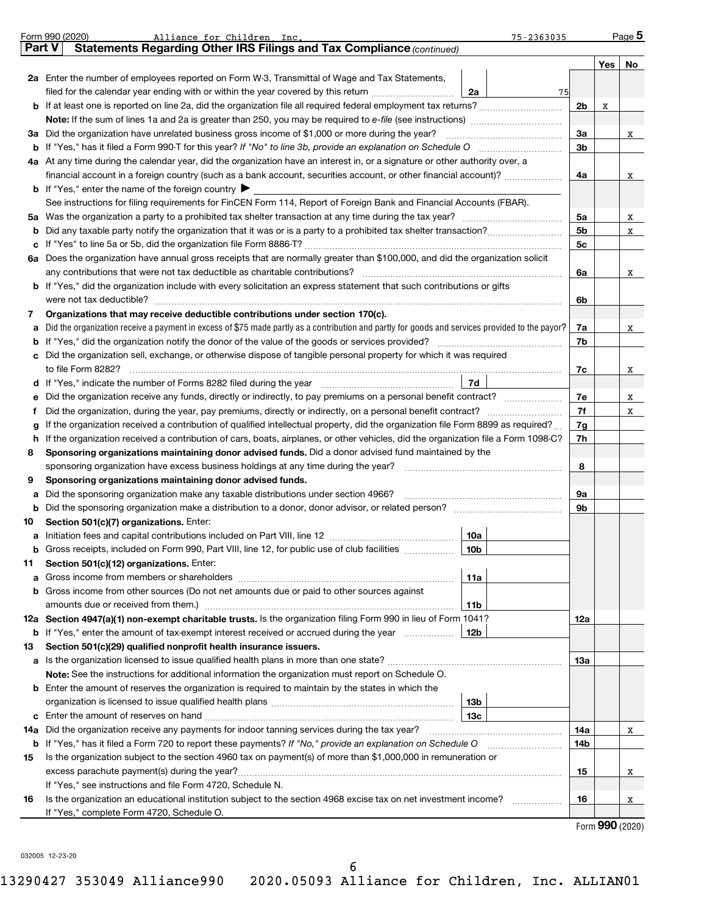|    | Form 990 (2020)<br>Alliance for Children, Inc.<br>75-2363035                                                                                                                                                                        |     |     | Page 5 |  |  |  |  |  |  |  |  |
|----|-------------------------------------------------------------------------------------------------------------------------------------------------------------------------------------------------------------------------------------|-----|-----|--------|--|--|--|--|--|--|--|--|
|    | Statements Regarding Other IRS Filings and Tax Compliance (continued)<br>Part V                                                                                                                                                     |     |     |        |  |  |  |  |  |  |  |  |
|    |                                                                                                                                                                                                                                     |     | Yes | No     |  |  |  |  |  |  |  |  |
|    | 2a Enter the number of employees reported on Form W-3, Transmittal of Wage and Tax Statements,                                                                                                                                      |     |     |        |  |  |  |  |  |  |  |  |
|    | filed for the calendar year ending with or within the year covered by this return <i></i><br>2a<br>75                                                                                                                               |     |     |        |  |  |  |  |  |  |  |  |
|    | <b>b</b> If at least one is reported on line 2a, did the organization file all required federal employment tax returns?                                                                                                             | 2b  | x   |        |  |  |  |  |  |  |  |  |
|    |                                                                                                                                                                                                                                     |     |     |        |  |  |  |  |  |  |  |  |
|    | 3a Did the organization have unrelated business gross income of \$1,000 or more during the year?                                                                                                                                    |     |     |        |  |  |  |  |  |  |  |  |
|    |                                                                                                                                                                                                                                     |     |     |        |  |  |  |  |  |  |  |  |
|    | 4a At any time during the calendar year, did the organization have an interest in, or a signature or other authority over, a                                                                                                        |     |     |        |  |  |  |  |  |  |  |  |
|    | financial account in a foreign country (such as a bank account, securities account, or other financial account)?                                                                                                                    |     |     |        |  |  |  |  |  |  |  |  |
|    | <b>b</b> If "Yes," enter the name of the foreign country $\blacktriangleright$                                                                                                                                                      |     |     |        |  |  |  |  |  |  |  |  |
|    | See instructions for filing requirements for FinCEN Form 114, Report of Foreign Bank and Financial Accounts (FBAR).                                                                                                                 |     |     |        |  |  |  |  |  |  |  |  |
|    |                                                                                                                                                                                                                                     | 5a  |     | X      |  |  |  |  |  |  |  |  |
| b  |                                                                                                                                                                                                                                     | 5b  |     | X      |  |  |  |  |  |  |  |  |
|    |                                                                                                                                                                                                                                     | 5c  |     |        |  |  |  |  |  |  |  |  |
|    | 6a Does the organization have annual gross receipts that are normally greater than \$100,000, and did the organization solicit                                                                                                      |     |     |        |  |  |  |  |  |  |  |  |
|    |                                                                                                                                                                                                                                     | 6a  |     | X      |  |  |  |  |  |  |  |  |
|    | <b>b</b> If "Yes," did the organization include with every solicitation an express statement that such contributions or gifts                                                                                                       |     |     |        |  |  |  |  |  |  |  |  |
|    |                                                                                                                                                                                                                                     | 6b  |     |        |  |  |  |  |  |  |  |  |
| 7  | Organizations that may receive deductible contributions under section 170(c).                                                                                                                                                       |     |     |        |  |  |  |  |  |  |  |  |
| a  | Did the organization receive a payment in excess of \$75 made partly as a contribution and partly for goods and services provided to the payor?                                                                                     | 7a  |     | X      |  |  |  |  |  |  |  |  |
| b  |                                                                                                                                                                                                                                     | 7b  |     |        |  |  |  |  |  |  |  |  |
| c  | Did the organization sell, exchange, or otherwise dispose of tangible personal property for which it was required                                                                                                                   |     |     |        |  |  |  |  |  |  |  |  |
|    |                                                                                                                                                                                                                                     | 7c  |     | X      |  |  |  |  |  |  |  |  |
|    | d If "Yes," indicate the number of Forms 8282 filed during the year manufactured resources   7d                                                                                                                                     |     |     |        |  |  |  |  |  |  |  |  |
| е  |                                                                                                                                                                                                                                     |     |     |        |  |  |  |  |  |  |  |  |
| f  | Did the organization, during the year, pay premiums, directly or indirectly, on a personal benefit contract?                                                                                                                        | 7f  |     | X      |  |  |  |  |  |  |  |  |
| g  | If the organization received a contribution of qualified intellectual property, did the organization file Form 8899 as required?                                                                                                    | 7g  |     |        |  |  |  |  |  |  |  |  |
| h. | If the organization received a contribution of cars, boats, airplanes, or other vehicles, did the organization file a Form 1098-C?                                                                                                  | 7h  |     |        |  |  |  |  |  |  |  |  |
| 8  | Sponsoring organizations maintaining donor advised funds. Did a donor advised fund maintained by the                                                                                                                                |     |     |        |  |  |  |  |  |  |  |  |
|    |                                                                                                                                                                                                                                     | 8   |     |        |  |  |  |  |  |  |  |  |
| 9  | Sponsoring organizations maintaining donor advised funds.                                                                                                                                                                           |     |     |        |  |  |  |  |  |  |  |  |
| a  | Did the sponsoring organization make any taxable distributions under section 4966?                                                                                                                                                  | 9а  |     |        |  |  |  |  |  |  |  |  |
| b  |                                                                                                                                                                                                                                     | 9b  |     |        |  |  |  |  |  |  |  |  |
| 10 | Section 501(c)(7) organizations. Enter:                                                                                                                                                                                             |     |     |        |  |  |  |  |  |  |  |  |
| а  | 10a                                                                                                                                                                                                                                 |     |     |        |  |  |  |  |  |  |  |  |
|    |                                                                                                                                                                                                                                     |     |     |        |  |  |  |  |  |  |  |  |
| 11 | Section 501(c)(12) organizations. Enter:                                                                                                                                                                                            |     |     |        |  |  |  |  |  |  |  |  |
| a  | 11a                                                                                                                                                                                                                                 |     |     |        |  |  |  |  |  |  |  |  |
|    | <b>b</b> Gross income from other sources (Do not net amounts due or paid to other sources against                                                                                                                                   |     |     |        |  |  |  |  |  |  |  |  |
|    | 11b                                                                                                                                                                                                                                 |     |     |        |  |  |  |  |  |  |  |  |
|    | 12a Section 4947(a)(1) non-exempt charitable trusts. Is the organization filing Form 990 in lieu of Form 1041?                                                                                                                      | 12a |     |        |  |  |  |  |  |  |  |  |
|    |                                                                                                                                                                                                                                     |     |     |        |  |  |  |  |  |  |  |  |
| 13 | Section 501(c)(29) qualified nonprofit health insurance issuers.                                                                                                                                                                    |     |     |        |  |  |  |  |  |  |  |  |
| a  |                                                                                                                                                                                                                                     | 13а |     |        |  |  |  |  |  |  |  |  |
|    | Note: See the instructions for additional information the organization must report on Schedule O.                                                                                                                                   |     |     |        |  |  |  |  |  |  |  |  |
|    | <b>b</b> Enter the amount of reserves the organization is required to maintain by the states in which the                                                                                                                           |     |     |        |  |  |  |  |  |  |  |  |
|    | 13b                                                                                                                                                                                                                                 |     |     |        |  |  |  |  |  |  |  |  |
|    | 13с                                                                                                                                                                                                                                 |     |     |        |  |  |  |  |  |  |  |  |
|    | 14a Did the organization receive any payments for indoor tanning services during the tax year?                                                                                                                                      | 14a |     | X      |  |  |  |  |  |  |  |  |
| 15 | <b>b</b> If "Yes," has it filed a Form 720 to report these payments? If "No," provide an explanation on Schedule O<br>Is the organization subject to the section 4960 tax on payment(s) of more than \$1,000,000 in remuneration or | 14b |     |        |  |  |  |  |  |  |  |  |
|    |                                                                                                                                                                                                                                     |     |     |        |  |  |  |  |  |  |  |  |
|    |                                                                                                                                                                                                                                     | 15  |     | X      |  |  |  |  |  |  |  |  |
| 16 | If "Yes," see instructions and file Form 4720, Schedule N.<br>Is the organization an educational institution subject to the section 4968 excise tax on net investment income?                                                       | 16  |     |        |  |  |  |  |  |  |  |  |
|    | If "Yes," complete Form 4720, Schedule O.                                                                                                                                                                                           |     |     | X      |  |  |  |  |  |  |  |  |
|    |                                                                                                                                                                                                                                     |     |     |        |  |  |  |  |  |  |  |  |

Form (2020) **990**

032005 12-23-20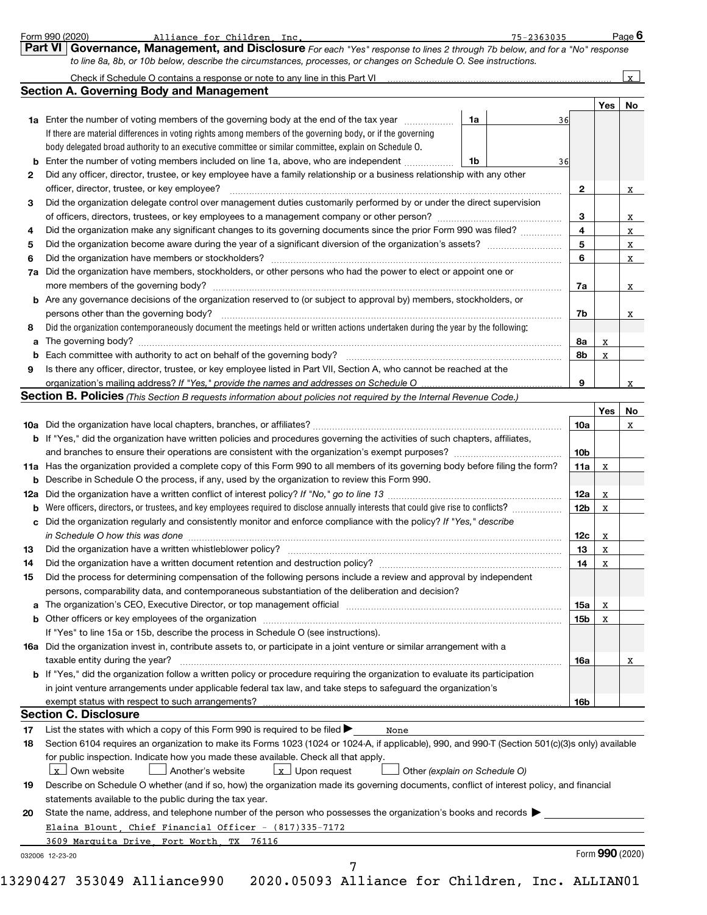|    |                                                                                                                                                                                                                               |                 | Yes | No |
|----|-------------------------------------------------------------------------------------------------------------------------------------------------------------------------------------------------------------------------------|-----------------|-----|----|
|    | 1a Enter the number of voting members of the governing body at the end of the tax year<br>1a<br>36                                                                                                                            |                 |     |    |
|    | If there are material differences in voting rights among members of the governing body, or if the governing                                                                                                                   |                 |     |    |
|    | body delegated broad authority to an executive committee or similar committee, explain on Schedule O.                                                                                                                         |                 |     |    |
|    | <b>b</b> Enter the number of voting members included on line 1a, above, who are independent <i>manumum</i><br>1b<br>36                                                                                                        |                 |     |    |
| 2  | Did any officer, director, trustee, or key employee have a family relationship or a business relationship with any other                                                                                                      |                 |     |    |
|    | officer, director, trustee, or key employee?                                                                                                                                                                                  | $\mathbf{2}$    |     |    |
| 3  | Did the organization delegate control over management duties customarily performed by or under the direct supervision                                                                                                         |                 |     |    |
|    |                                                                                                                                                                                                                               | 3               |     |    |
| 4  | Did the organization make any significant changes to its governing documents since the prior Form 990 was filed?                                                                                                              | 4               |     |    |
| 5  |                                                                                                                                                                                                                               | 5               |     |    |
| 6  |                                                                                                                                                                                                                               | 6               |     |    |
|    | 7a Did the organization have members, stockholders, or other persons who had the power to elect or appoint one or                                                                                                             |                 |     |    |
|    |                                                                                                                                                                                                                               | 7a              |     |    |
|    | <b>b</b> Are any governance decisions of the organization reserved to (or subject to approval by) members, stockholders, or                                                                                                   |                 |     |    |
|    | persons other than the governing body?                                                                                                                                                                                        | 7b              |     |    |
| 8  | Did the organization contemporaneously document the meetings held or written actions undertaken during the year by the following:                                                                                             |                 |     |    |
|    |                                                                                                                                                                                                                               | 8a              | х   |    |
|    |                                                                                                                                                                                                                               | 8b              | x   |    |
| 9  | Is there any officer, director, trustee, or key employee listed in Part VII, Section A, who cannot be reached at the                                                                                                          |                 |     |    |
|    | organization's mailing address? If "Yes," provide the names and addresses on Schedule O                                                                                                                                       | 9               |     |    |
|    | Section B. Policies (This Section B requests information about policies not required by the Internal Revenue Code.)                                                                                                           |                 |     |    |
|    |                                                                                                                                                                                                                               |                 | Yes | No |
|    |                                                                                                                                                                                                                               | 10a             |     |    |
|    | <b>b</b> If "Yes," did the organization have written policies and procedures governing the activities of such chapters, affiliates,                                                                                           |                 |     |    |
|    |                                                                                                                                                                                                                               | 10 <sub>b</sub> |     |    |
|    | 11a Has the organization provided a complete copy of this Form 990 to all members of its governing body before filing the form?                                                                                               | 11a             | X   |    |
|    | <b>b</b> Describe in Schedule O the process, if any, used by the organization to review this Form 990.                                                                                                                        |                 |     |    |
|    |                                                                                                                                                                                                                               | 12a             | X   |    |
|    | <b>b</b> Were officers, directors, or trustees, and key employees required to disclose annually interests that could give rise to conflicts?                                                                                  | 12b             | x   |    |
|    | c Did the organization regularly and consistently monitor and enforce compliance with the policy? If "Yes," describe                                                                                                          |                 |     |    |
|    | in Schedule O how this was done manufactured and contain an account of the state of the state of the state of                                                                                                                 | 12c             | x   |    |
| 13 |                                                                                                                                                                                                                               | 13              | X   |    |
| 14 | Did the organization have a written document retention and destruction policy? [11] manufaction manufaction in                                                                                                                | 14              | х   |    |
| 15 | Did the process for determining compensation of the following persons include a review and approval by independent                                                                                                            |                 |     |    |
|    | persons, comparability data, and contemporaneous substantiation of the deliberation and decision?                                                                                                                             |                 |     |    |
|    | a The organization's CEO, Executive Director, or top management official manufactured content of the organization's CEO, Executive Director, or top management official manufactured content of the state of the state of the | 15a             | х   |    |
|    |                                                                                                                                                                                                                               | 15b             | х   |    |
|    | If "Yes" to line 15a or 15b, describe the process in Schedule O (see instructions).                                                                                                                                           |                 |     |    |
|    | 16a Did the organization invest in, contribute assets to, or participate in a joint venture or similar arrangement with a                                                                                                     |                 |     |    |
|    | taxable entity during the year?                                                                                                                                                                                               | 16a             |     |    |
|    | b If "Yes," did the organization follow a written policy or procedure requiring the organization to evaluate its participation                                                                                                |                 |     |    |
|    | in joint venture arrangements under applicable federal tax law, and take steps to safeguard the organization's                                                                                                                |                 |     |    |
|    | exempt status with respect to such arrangements?                                                                                                                                                                              | 16b             |     |    |
|    | <b>Section C. Disclosure</b>                                                                                                                                                                                                  |                 |     |    |
| 17 | List the states with which a copy of this Form 990 is required to be filed $\blacktriangleright$<br>None                                                                                                                      |                 |     |    |
| 18 | Section 6104 requires an organization to make its Forms 1023 (1024 or 1024-A, if applicable), 990, and 990-T (Section 501(c)(3)s only) available                                                                              |                 |     |    |
|    | for public inspection. Indicate how you made these available. Check all that apply.                                                                                                                                           |                 |     |    |
|    | $\lfloor x \rfloor$ Own website<br>Another's website<br>$x$ Upon request<br>Other (explain on Schedule O)                                                                                                                     |                 |     |    |
| 19 | Describe on Schedule O whether (and if so, how) the organization made its governing documents, conflict of interest policy, and financial                                                                                     |                 |     |    |
|    | statements available to the public during the tax year.                                                                                                                                                                       |                 |     |    |
|    | State the name, address, and telephone number of the person who possesses the organization's books and records                                                                                                                |                 |     |    |
| 20 |                                                                                                                                                                                                                               |                 |     |    |
|    | Elaina Blount, Chief Financial Officer - (817)335-7172                                                                                                                                                                        |                 |     |    |
|    | 3609 Marquita Drive, Fort Worth<br>TX<br>76116                                                                                                                                                                                |                 |     |    |

*to line 8a, 8b, or 10b below, describe the circumstances, processes, or changes on Schedule O. See instructions.*

**Part VI Governance, Management, and Disclosure** 

Form 990 (2020) Alliance for Children Inc. 75-2363035 Page

Alliance for Children, Inc. 75-2363035

*For each "Yes" response to lines 2 through 7b below, and for a "No" response*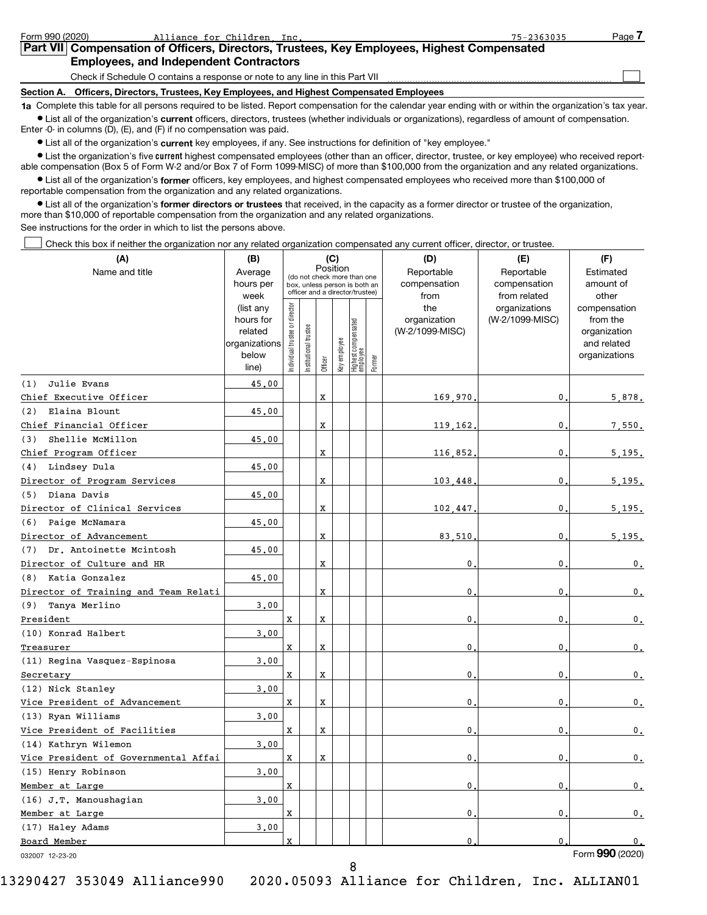| Form 990 (2020) | Alliance for Children Inc.                                                                                                                                 | 75-2363035 | Page. |
|-----------------|------------------------------------------------------------------------------------------------------------------------------------------------------------|------------|-------|
|                 | Part VII Compensation of Officers, Directors, Trustees, Key Employees, Highest Compensated                                                                 |            |       |
|                 | <b>Employees, and Independent Contractors</b>                                                                                                              |            |       |
|                 | Check if Schedule O contains a response or note to any line in this Part VII                                                                               |            |       |
| Section A.      | Officers, Directors, Trustees, Key Employees, and Highest Compensated Employees                                                                            |            |       |
|                 | to Complete this table for all persons required to be listed. Penert compensation for the calendar vear ending with or within the erganization's tax vear. |            |       |

**1a**  Complete this table for all persons required to be listed. Report compensation for the calendar year ending with or within the organization's tax year.  $\bullet$  List all of the organization's current officers, directors, trustees (whether individuals or organizations), regardless of amount of compensation. Enter -0- in columns (D), (E), and (F) if no compensation was paid.

**•** List all of the organization's current key employees, if any. See instructions for definition of "key employee."

**•** List the organization's five current highest compensated employees (other than an officer, director, trustee, or key employee) who received reportable compensation (Box 5 of Form W-2 and/or Box 7 of Form 1099-MISC) of more than \$100,000 from the organization and any related organizations.

 $\bullet$  List all of the organization's former officers, key employees, and highest compensated employees who received more than \$100,000 of reportable compensation from the organization and any related organizations.

**•** List all of the organization's former directors or trustees that received, in the capacity as a former director or trustee of the organization, more than \$10,000 of reportable compensation from the organization and any related organizations. See instructions for the order in which to list the persons above.

Check this box if neither the organization nor any related organization compensated any current officer, director, or trustee.  $\begin{array}{c} \hline \end{array}$ 

| (A)                                  | (B)                    |                               |                      |             | (C)          |                                                                  |        | (D)                 | (E)                              | (F)                      |
|--------------------------------------|------------------------|-------------------------------|----------------------|-------------|--------------|------------------------------------------------------------------|--------|---------------------|----------------------------------|--------------------------|
| Name and title                       | Average                |                               |                      | Position    |              | (do not check more than one                                      |        | Reportable          | Reportable                       | Estimated                |
|                                      | hours per              |                               |                      |             |              | box, unless person is both an<br>officer and a director/trustee) |        | compensation        | compensation                     | amount of                |
|                                      | week                   |                               |                      |             |              |                                                                  |        | from                | from related                     | other                    |
|                                      | (list any<br>hours for |                               |                      |             |              |                                                                  |        | the<br>organization | organizations<br>(W-2/1099-MISC) | compensation<br>from the |
|                                      | related                |                               |                      |             |              |                                                                  |        | (W-2/1099-MISC)     |                                  | organization             |
|                                      | organizations          |                               |                      |             |              |                                                                  |        |                     |                                  | and related              |
|                                      | below                  | ndividual trustee or director | nstitutional trustee |             | Key employee | Highest compensated<br>employee                                  |        |                     |                                  | organizations            |
|                                      | line)                  |                               |                      | Officer     |              |                                                                  | Former |                     |                                  |                          |
| Julie Evans<br>(1)                   | 45.00                  |                               |                      |             |              |                                                                  |        |                     |                                  |                          |
| Chief Executive Officer              |                        |                               |                      | X           |              |                                                                  |        | 169.970             | 0                                | 5,878.                   |
| Elaina Blount<br>(2)                 | 45.00                  |                               |                      |             |              |                                                                  |        |                     |                                  |                          |
| Chief Financial Officer              |                        |                               |                      | X           |              |                                                                  |        | 119,162             | 0                                | 7.550.                   |
| Shellie McMillon<br>(3)              | 45.00                  |                               |                      |             |              |                                                                  |        |                     |                                  |                          |
| Chief Program Officer                |                        |                               |                      | X           |              |                                                                  |        | 116,852             | 0                                | 5,195.                   |
| (4) Lindsey Dula                     | 45.00                  |                               |                      |             |              |                                                                  |        |                     |                                  |                          |
| Director of Program Services         |                        |                               |                      | X           |              |                                                                  |        | 103,448             | $\mathbf 0$                      | 5,195.                   |
| Diana Davis<br>(5)                   | 45.00                  |                               |                      |             |              |                                                                  |        |                     |                                  |                          |
| Director of Clinical Services        |                        |                               |                      | $\mathbf x$ |              |                                                                  |        | 102,447             | 0                                | 5.195.                   |
| (6) Paige McNamara                   | 45.00                  |                               |                      |             |              |                                                                  |        |                     |                                  |                          |
| Director of Advancement              |                        |                               |                      | $\mathbf x$ |              |                                                                  |        | 83,510              | $\mathbf 0$                      | 5.195.                   |
| Dr. Antoinette Mcintosh<br>(7)       | 45.00                  |                               |                      |             |              |                                                                  |        |                     |                                  |                          |
| Director of Culture and HR           |                        |                               |                      | $\mathbf x$ |              |                                                                  |        | 0                   | $\mathbf{0}$                     | $\mathbf{0}$ .           |
| Katia Gonzalez<br>(8)                | 45.00                  |                               |                      |             |              |                                                                  |        |                     |                                  |                          |
| Director of Training and Team Relati |                        |                               |                      | $\mathbf x$ |              |                                                                  |        | 0                   | 0                                | $\mathbf{0}$ .           |
| (9)<br>Tanya Merlino                 | 3.00                   |                               |                      |             |              |                                                                  |        |                     |                                  |                          |
| President                            |                        | $\mathbf x$                   |                      | X           |              |                                                                  |        | 0                   | 0                                | 0.                       |
| (10) Konrad Halbert                  | 3.00                   |                               |                      |             |              |                                                                  |        |                     |                                  |                          |
| Treasurer                            |                        | $\mathbf x$                   |                      | $\mathbf x$ |              |                                                                  |        | 0                   | $\mathbf 0$                      | $\mathfrak o$ .          |
| (11) Regina Vasquez-Espinosa         | 3.00                   |                               |                      |             |              |                                                                  |        |                     |                                  |                          |
| Secretary                            |                        | $\mathbf x$                   |                      | $\mathbf x$ |              |                                                                  |        | 0                   | $\mathbf 0$                      | $\mathbf{0}$ .           |
| (12) Nick Stanley                    | 3.00                   |                               |                      |             |              |                                                                  |        |                     |                                  |                          |
| Vice President of Advancement        |                        | $\mathbf x$                   |                      | X           |              |                                                                  |        | 0                   | 0                                | 0.                       |
| (13) Ryan Williams                   | 3,00                   |                               |                      |             |              |                                                                  |        |                     |                                  |                          |
| Vice President of Facilities         |                        | $\mathbf x$                   |                      | X           |              |                                                                  |        | 0                   | $\mathbf{0}$                     | 0.                       |
| (14) Kathryn Wilemon                 | 3.00                   |                               |                      |             |              |                                                                  |        |                     |                                  |                          |
| Vice President of Governmental Affai |                        | $\mathbf x$                   |                      | X           |              |                                                                  |        | 0                   | 0                                | 0.                       |
| (15) Henry Robinson                  | 3.00                   |                               |                      |             |              |                                                                  |        |                     |                                  |                          |
| Member at Large                      |                        | $\mathbf x$                   |                      |             |              |                                                                  |        | 0                   | 0                                | $\mathbf{0}$ .           |
| (16) J.T. Manoushagian               | 3,00                   |                               |                      |             |              |                                                                  |        |                     |                                  |                          |
| Member at Large                      |                        | $\mathbf x$                   |                      |             |              |                                                                  |        | 0                   | 0                                | 0.                       |
| (17) Haley Adams                     | 3.00                   |                               |                      |             |              |                                                                  |        |                     |                                  |                          |
| Board Member                         |                        | $\mathbf{x}$                  |                      |             |              |                                                                  |        | 0                   | 0                                | 0.                       |
| 032007 12-23-20                      |                        |                               |                      |             |              |                                                                  |        |                     |                                  | Form 990 (2020)          |

Form (2020) **990**

8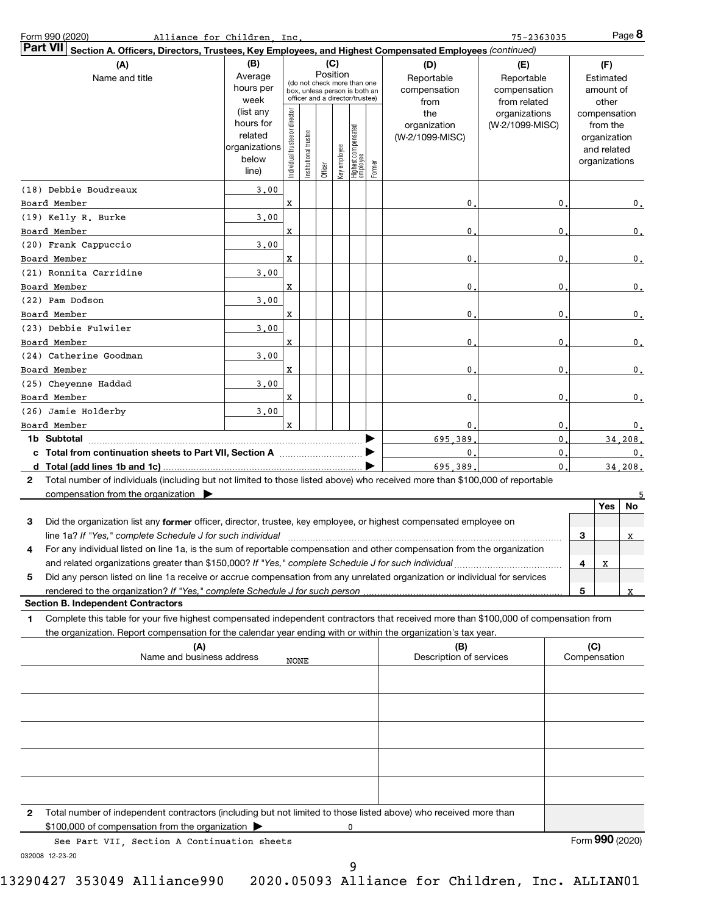| Form 990 (2020)                                                                                                                                                                                                                                              | Alliance for Children, Inc.                                   |                                |                                                                                                 |          |              |                                 |        |                                                                  | 75-2363035                                                                            |              |                                                                    | $Page$ 8        |
|--------------------------------------------------------------------------------------------------------------------------------------------------------------------------------------------------------------------------------------------------------------|---------------------------------------------------------------|--------------------------------|-------------------------------------------------------------------------------------------------|----------|--------------|---------------------------------|--------|------------------------------------------------------------------|---------------------------------------------------------------------------------------|--------------|--------------------------------------------------------------------|-----------------|
| <b>Part VII</b><br>Section A. Officers, Directors, Trustees, Key Employees, and Highest Compensated Employees (continued)                                                                                                                                    |                                                               |                                |                                                                                                 |          |              |                                 |        |                                                                  |                                                                                       |              |                                                                    |                 |
| (A)<br>Name and title                                                                                                                                                                                                                                        | (B)<br>Average<br>hours per<br>week<br>(list any<br>hours for |                                | (do not check more than one<br>box, unless person is both an<br>officer and a director/trustee) | Position | (C)          |                                 |        | (D)<br>Reportable<br>compensation<br>from<br>the<br>organization | (E)<br>Reportable<br>compensation<br>from related<br>organizations<br>(W-2/1099-MISC) |              | (F)<br>Estimated<br>amount of<br>other<br>compensation<br>from the |                 |
|                                                                                                                                                                                                                                                              | related<br>organizations<br>below<br>line)                    | Individual trustee or director | trustee<br>Institutional t                                                                      | Officer  | Key employee | Highest compensated<br>employee | Former | (W-2/1099-MISC)                                                  |                                                                                       |              | organization<br>and related<br>organizations                       |                 |
| (18) Debbie Boudreaux<br>Board Member                                                                                                                                                                                                                        | 3,00                                                          | X                              |                                                                                                 |          |              |                                 |        | 0                                                                | 0                                                                                     |              |                                                                    | 0.              |
| (19) Kelly R. Burke<br>Board Member                                                                                                                                                                                                                          | 3,00                                                          | X                              |                                                                                                 |          |              |                                 |        | 0                                                                | 0                                                                                     |              |                                                                    | 0.              |
| (20) Frank Cappuccio<br>Board Member                                                                                                                                                                                                                         | 3,00                                                          | X                              |                                                                                                 |          |              |                                 |        | 0                                                                | 0                                                                                     |              |                                                                    | 0.              |
| (21) Ronnita Carridine<br>Board Member                                                                                                                                                                                                                       | 3.00                                                          | x                              |                                                                                                 |          |              |                                 |        | 0                                                                | 0                                                                                     |              |                                                                    | 0.              |
| (22) Pam Dodson                                                                                                                                                                                                                                              | 3.00                                                          |                                |                                                                                                 |          |              |                                 |        |                                                                  |                                                                                       |              |                                                                    |                 |
| Board Member<br>(23) Debbie Fulwiler                                                                                                                                                                                                                         | 3.00                                                          | x                              |                                                                                                 |          |              |                                 |        | 0                                                                | 0                                                                                     |              |                                                                    | 0.              |
| Board Member<br>(24) Catherine Goodman                                                                                                                                                                                                                       | 3.00                                                          | X                              |                                                                                                 |          |              |                                 |        | 0                                                                | 0                                                                                     |              |                                                                    | 0.              |
| Board Member<br>(25) Cheyenne Haddad                                                                                                                                                                                                                         | 3.00                                                          | X                              |                                                                                                 |          |              |                                 |        | 0                                                                | 0                                                                                     |              |                                                                    | 0.              |
| Board Member<br>(26) Jamie Holderby                                                                                                                                                                                                                          | 3,00                                                          | X                              |                                                                                                 |          |              |                                 |        | 0                                                                | 0                                                                                     |              |                                                                    | 0.              |
| Board Member                                                                                                                                                                                                                                                 |                                                               | $\mathbf x$                    |                                                                                                 |          |              |                                 |        | 0                                                                | 0                                                                                     |              |                                                                    | 0.              |
| 1b Subtotal                                                                                                                                                                                                                                                  |                                                               |                                |                                                                                                 |          |              |                                 |        | 695.389<br>$\mathbf{0}$ .                                        | $\mathbf 0$<br>$\mathbf 0$                                                            |              |                                                                    | 34,208.<br>0.   |
|                                                                                                                                                                                                                                                              |                                                               |                                |                                                                                                 |          |              |                                 |        | 695 389                                                          | $\mathbf{0}$                                                                          |              |                                                                    | 34.208.         |
| Total number of individuals (including but not limited to those listed above) who received more than \$100,000 of reportable<br>2<br>compensation from the organization $\blacktriangleright$                                                                |                                                               |                                |                                                                                                 |          |              |                                 |        |                                                                  |                                                                                       |              |                                                                    |                 |
|                                                                                                                                                                                                                                                              |                                                               |                                |                                                                                                 |          |              |                                 |        |                                                                  |                                                                                       |              | Yes                                                                | No              |
| 3<br>Did the organization list any former officer, director, trustee, key employee, or highest compensated employee on                                                                                                                                       |                                                               |                                |                                                                                                 |          |              |                                 |        |                                                                  |                                                                                       | 3            |                                                                    | X               |
| For any individual listed on line 1a, is the sum of reportable compensation and other compensation from the organization<br>and related organizations greater than \$150,000? If "Yes," complete Schedule J for such individual                              |                                                               |                                |                                                                                                 |          |              |                                 |        |                                                                  |                                                                                       | 4            | x                                                                  |                 |
| Did any person listed on line 1a receive or accrue compensation from any unrelated organization or individual for services<br>5                                                                                                                              |                                                               |                                |                                                                                                 |          |              |                                 |        |                                                                  |                                                                                       |              |                                                                    |                 |
| rendered to the organization? If "Yes," complete Schedule J for such person<br><b>Section B. Independent Contractors</b>                                                                                                                                     |                                                               |                                |                                                                                                 |          |              |                                 |        |                                                                  |                                                                                       | 5            |                                                                    |                 |
| Complete this table for your five highest compensated independent contractors that received more than \$100,000 of compensation from<br>1.<br>the organization. Report compensation for the calendar year ending with or within the organization's tax year. |                                                               |                                |                                                                                                 |          |              |                                 |        |                                                                  |                                                                                       |              |                                                                    |                 |
| (A)<br>Name and business address                                                                                                                                                                                                                             |                                                               |                                | NONE                                                                                            |          |              |                                 |        | (B)<br>Description of services                                   |                                                                                       | Compensation | (C)                                                                |                 |
|                                                                                                                                                                                                                                                              |                                                               |                                |                                                                                                 |          |              |                                 |        |                                                                  |                                                                                       |              |                                                                    |                 |
|                                                                                                                                                                                                                                                              |                                                               |                                |                                                                                                 |          |              |                                 |        |                                                                  |                                                                                       |              |                                                                    |                 |
|                                                                                                                                                                                                                                                              |                                                               |                                |                                                                                                 |          |              |                                 |        |                                                                  |                                                                                       |              |                                                                    |                 |
|                                                                                                                                                                                                                                                              |                                                               |                                |                                                                                                 |          |              |                                 |        |                                                                  |                                                                                       |              |                                                                    |                 |
|                                                                                                                                                                                                                                                              |                                                               |                                |                                                                                                 |          |              |                                 |        |                                                                  |                                                                                       |              |                                                                    |                 |
| Total number of independent contractors (including but not limited to those listed above) who received more than<br>2<br>$$100,000$ of compensation from the organization $\triangleright$                                                                   |                                                               |                                |                                                                                                 |          |              | 0                               |        |                                                                  |                                                                                       |              |                                                                    |                 |
| See Part VII, Section A Continuation sheets                                                                                                                                                                                                                  |                                                               |                                |                                                                                                 |          |              |                                 |        |                                                                  |                                                                                       |              |                                                                    | Form 990 (2020) |
| 032008 12-23-20                                                                                                                                                                                                                                              |                                                               |                                |                                                                                                 |          |              |                                 |        |                                                                  |                                                                                       |              |                                                                    |                 |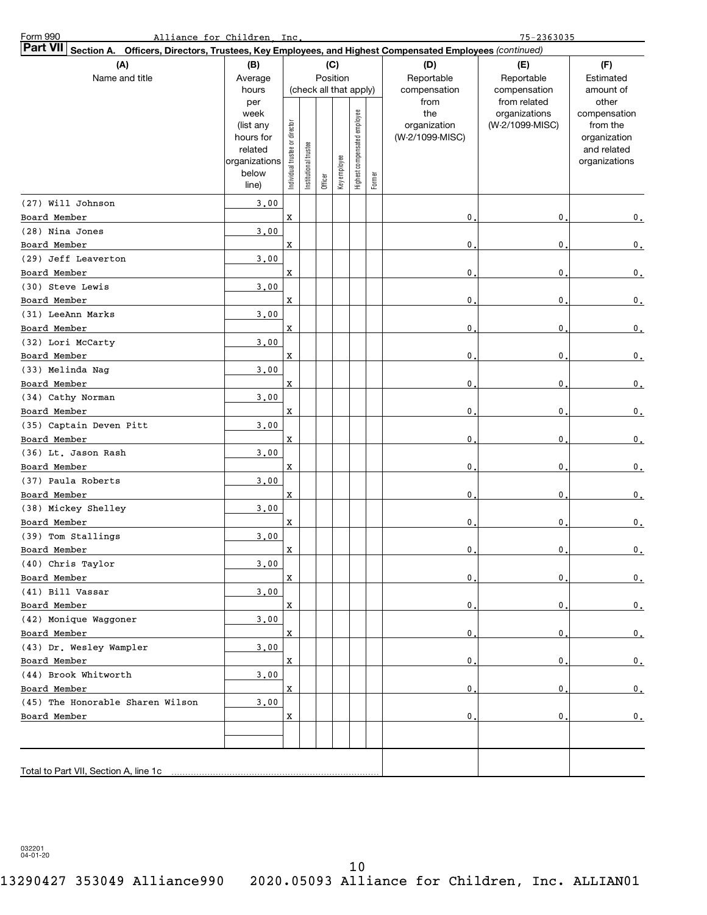| Form 990                                                                                                                  | Alliance for Children, Inc.                                                |                                |                       |                        |              |                              |        |                                                | $75 - 2363035$                                   |                                                                                   |
|---------------------------------------------------------------------------------------------------------------------------|----------------------------------------------------------------------------|--------------------------------|-----------------------|------------------------|--------------|------------------------------|--------|------------------------------------------------|--------------------------------------------------|-----------------------------------------------------------------------------------|
| <b>Part VII</b><br>Section A. Officers, Directors, Trustees, Key Employees, and Highest Compensated Employees (continued) |                                                                            |                                |                       |                        |              |                              |        |                                                |                                                  |                                                                                   |
| (A)                                                                                                                       | (B)                                                                        |                                |                       |                        | (C)          |                              |        | (D)                                            | (E)                                              | (F)                                                                               |
| Name and title                                                                                                            | Average                                                                    |                                |                       | Position               |              |                              |        | Reportable                                     | Reportable                                       | Estimated                                                                         |
|                                                                                                                           | hours                                                                      |                                |                       | (check all that apply) |              |                              |        | compensation                                   | compensation                                     | amount of                                                                         |
|                                                                                                                           | per<br>week<br>(list any<br>hours for<br>related<br>organizations<br>below | Individual trustee or director | Institutional trustee |                        | Key employee | Highest compensated employee |        | from<br>the<br>organization<br>(W-2/1099-MISC) | from related<br>organizations<br>(W-2/1099-MISC) | other<br>compensation<br>from the<br>organization<br>and related<br>organizations |
|                                                                                                                           | line)                                                                      |                                |                       | Officer                |              |                              | Former |                                                |                                                  |                                                                                   |
| (27) Will Johnson                                                                                                         | 3.00                                                                       |                                |                       |                        |              |                              |        |                                                |                                                  |                                                                                   |
| Board Member                                                                                                              |                                                                            | X                              |                       |                        |              |                              |        | 0.                                             | 0                                                | 0.                                                                                |
| (28) Nina Jones                                                                                                           | 3.00                                                                       |                                |                       |                        |              |                              |        |                                                |                                                  |                                                                                   |
| Board Member                                                                                                              |                                                                            | X                              |                       |                        |              |                              |        | $\mathbf{0}$                                   | 0                                                | 0.                                                                                |
| (29) Jeff Leaverton                                                                                                       | 3.00                                                                       |                                |                       |                        |              |                              |        |                                                |                                                  |                                                                                   |
| Board Member                                                                                                              |                                                                            | X                              |                       |                        |              |                              |        | $\mathbf{0}$                                   | 0                                                | 0.                                                                                |
| (30) Steve Lewis                                                                                                          | 3.00                                                                       |                                |                       |                        |              |                              |        |                                                |                                                  |                                                                                   |
| Board Member                                                                                                              |                                                                            | X                              |                       |                        |              |                              |        | 0.                                             | 0                                                | 0.                                                                                |
| (31) LeeAnn Marks                                                                                                         | 3.00                                                                       |                                |                       |                        |              |                              |        |                                                |                                                  |                                                                                   |
| Board Member                                                                                                              |                                                                            | X                              |                       |                        |              |                              |        | 0.                                             | 0                                                | 0.                                                                                |
| (32) Lori McCarty                                                                                                         | 3.00                                                                       |                                |                       |                        |              |                              |        |                                                |                                                  |                                                                                   |
| Board Member                                                                                                              |                                                                            | X                              |                       |                        |              |                              |        | 0.                                             | 0                                                | 0.                                                                                |
| (33) Melinda Nag                                                                                                          | 3.00                                                                       |                                |                       |                        |              |                              |        |                                                |                                                  |                                                                                   |
| Board Member                                                                                                              |                                                                            | X                              |                       |                        |              |                              |        | 0.                                             | 0                                                | 0.                                                                                |
| (34) Cathy Norman                                                                                                         | 3.00                                                                       |                                |                       |                        |              |                              |        |                                                |                                                  |                                                                                   |
| Board Member                                                                                                              |                                                                            | X                              |                       |                        |              |                              |        | 0.                                             | 0                                                | 0.                                                                                |
| (35) Captain Deven Pitt                                                                                                   | 3.00                                                                       |                                |                       |                        |              |                              |        |                                                |                                                  |                                                                                   |
| Board Member                                                                                                              |                                                                            | X                              |                       |                        |              |                              |        | 0.                                             | 0                                                | 0.                                                                                |
| (36) Lt. Jason Rash                                                                                                       | 3.00                                                                       |                                |                       |                        |              |                              |        |                                                |                                                  |                                                                                   |
| Board Member                                                                                                              |                                                                            | X                              |                       |                        |              |                              |        | 0.                                             | 0                                                | 0.                                                                                |
| (37) Paula Roberts                                                                                                        | 3.00                                                                       |                                |                       |                        |              |                              |        |                                                |                                                  |                                                                                   |
| Board Member                                                                                                              |                                                                            | X                              |                       |                        |              |                              |        | 0.                                             | 0                                                | 0.                                                                                |
| (38) Mickey Shelley                                                                                                       | 3.00                                                                       |                                |                       |                        |              |                              |        |                                                |                                                  |                                                                                   |
| Board Member<br>(39) Tom Stallings                                                                                        |                                                                            | X                              |                       |                        |              |                              |        | 0.                                             | 0                                                | $\mathfrak o$ .                                                                   |
| Board Member                                                                                                              | 3,00                                                                       | $\mathbf X$                    |                       |                        |              |                              |        | $\mathbf{0}$                                   | 0                                                | 0.                                                                                |
| (40) Chris Taylor                                                                                                         | 3.00                                                                       |                                |                       |                        |              |                              |        |                                                |                                                  |                                                                                   |
| Board Member                                                                                                              |                                                                            | X                              |                       |                        |              |                              |        | $\mathfrak o$ .                                | $\mathbf 0$                                      | 0.                                                                                |
| (41) Bill Vassar                                                                                                          | 3.00                                                                       |                                |                       |                        |              |                              |        |                                                |                                                  |                                                                                   |
| Board Member                                                                                                              |                                                                            | x                              |                       |                        |              |                              |        | $\mathsf{o}$ .                                 | 0                                                | 0.                                                                                |
| (42) Monique Waggoner                                                                                                     | 3,00                                                                       |                                |                       |                        |              |                              |        |                                                |                                                  |                                                                                   |
| Board Member                                                                                                              |                                                                            | x                              |                       |                        |              |                              |        | $\mathsf{o}$ .                                 | 0                                                | 0.                                                                                |
| (43) Dr. Wesley Wampler                                                                                                   | 3,00                                                                       |                                |                       |                        |              |                              |        |                                                |                                                  |                                                                                   |
| Board Member                                                                                                              |                                                                            | x                              |                       |                        |              |                              |        | $\mathsf{o}$ .                                 | 0                                                | 0.                                                                                |
| (44) Brook Whitworth                                                                                                      | 3.00                                                                       |                                |                       |                        |              |                              |        |                                                |                                                  |                                                                                   |
| Board Member                                                                                                              |                                                                            | x                              |                       |                        |              |                              |        | $\mathsf{o}$ .                                 | 0                                                | 0.                                                                                |
| (45) The Honorable Sharen Wilson                                                                                          | 3.00                                                                       |                                |                       |                        |              |                              |        |                                                |                                                  |                                                                                   |
| Board Member                                                                                                              |                                                                            | X                              |                       |                        |              |                              |        | 0.                                             | 0                                                | 0.                                                                                |
|                                                                                                                           |                                                                            |                                |                       |                        |              |                              |        |                                                |                                                  |                                                                                   |
|                                                                                                                           |                                                                            |                                |                       |                        |              |                              |        |                                                |                                                  |                                                                                   |
| Total to Part VII, Section A, line 1c                                                                                     |                                                                            |                                |                       |                        |              |                              |        |                                                |                                                  |                                                                                   |
|                                                                                                                           |                                                                            |                                |                       |                        |              |                              |        |                                                |                                                  |                                                                                   |

032201 04-01-20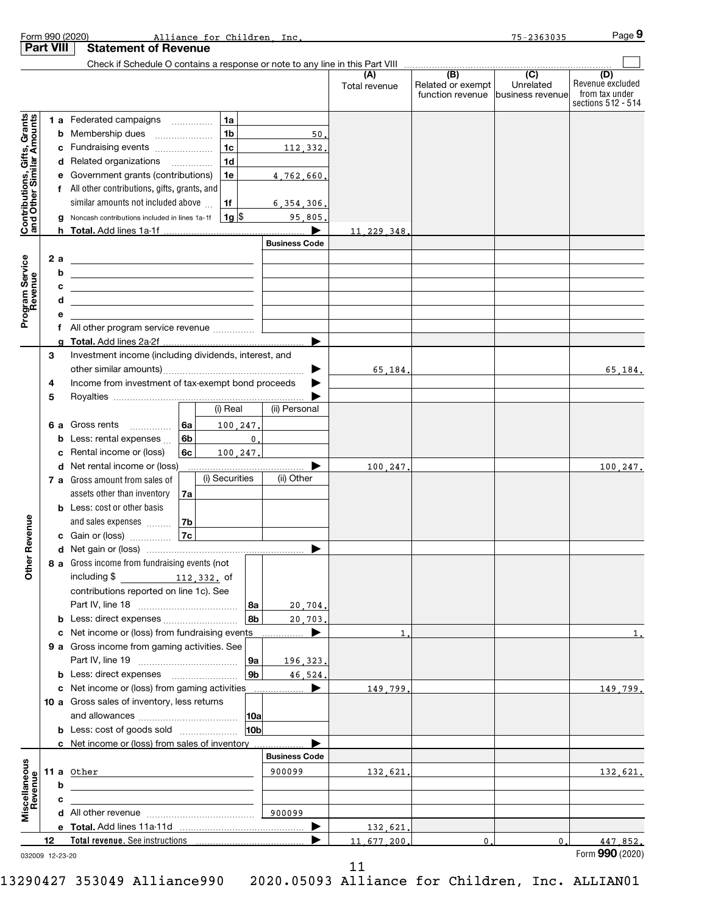|                                                           |    |        | Form 990 (2020)<br>Alliance for Children Inc.                                                                         |                 |                      |               |                                   | $75 - 2363035$ | Page 9                               |
|-----------------------------------------------------------|----|--------|-----------------------------------------------------------------------------------------------------------------------|-----------------|----------------------|---------------|-----------------------------------|----------------|--------------------------------------|
| <b>Part VIII</b>                                          |    |        | <b>Statement of Revenue</b>                                                                                           |                 |                      |               |                                   |                |                                      |
|                                                           |    |        |                                                                                                                       |                 |                      | (A)           | (B)                               | (C)            | (D)                                  |
|                                                           |    |        |                                                                                                                       |                 |                      | Total revenue | Related or exempt                 | Unrelated      | Revenue excluded                     |
|                                                           |    |        |                                                                                                                       |                 |                      |               | function revenue business revenue |                | from tax under<br>sections 512 - 514 |
|                                                           |    |        | 1a<br>1 a Federated campaigns                                                                                         |                 |                      |               |                                   |                |                                      |
| Contributions, Gifts, Grants<br>and Other Similar Amounts |    |        | 1 <sub>b</sub><br><b>b</b> Membership dues                                                                            |                 | 50.                  |               |                                   |                |                                      |
|                                                           |    |        | 1 <sub>c</sub><br>c Fundraising events                                                                                |                 | 112,332.             |               |                                   |                |                                      |
|                                                           |    |        | 1 <sub>d</sub><br>d Related organizations                                                                             |                 |                      |               |                                   |                |                                      |
|                                                           |    |        | e Government grants (contributions)<br>1e                                                                             |                 | 4,762,660.           |               |                                   |                |                                      |
|                                                           |    |        | f All other contributions, gifts, grants, and                                                                         |                 |                      |               |                                   |                |                                      |
|                                                           |    |        | similar amounts not included above<br>1f                                                                              |                 | 6, 354, 306.         |               |                                   |                |                                      |
|                                                           |    |        | $1g$ \$<br>g Noncash contributions included in lines 1a-1f                                                            |                 | 95,805.              |               |                                   |                |                                      |
|                                                           |    |        |                                                                                                                       |                 |                      | 11, 229, 348, |                                   |                |                                      |
|                                                           |    |        |                                                                                                                       |                 | <b>Business Code</b> |               |                                   |                |                                      |
| Program Service<br>Revenue                                |    | 2 a    | <u> 1989 - Johann Stein, mars an de Frankrik en fan it ferskearre fan it ferskearre fan it ferskearre fan it fers</u> |                 |                      |               |                                   |                |                                      |
|                                                           |    | b      | <u> 1989 - Johann Barn, amerikansk politiker (d. 1989)</u>                                                            |                 |                      |               |                                   |                |                                      |
|                                                           |    | C<br>d | <u> 1989 - Johann Stoff, deutscher Stoff, der Stoff, der Stoff, der Stoff, der Stoff, der Stoff, der Stoff, der S</u> |                 |                      |               |                                   |                |                                      |
|                                                           |    | е      | <u> 1989 - Johann Stoff, Amerikaansk politiker († 1908)</u>                                                           |                 |                      |               |                                   |                |                                      |
|                                                           |    | f      | All other program service revenue                                                                                     |                 |                      |               |                                   |                |                                      |
|                                                           |    |        | g Total. Add lines 2a-2f.                                                                                             |                 |                      |               |                                   |                |                                      |
|                                                           | 3  |        | Investment income (including dividends, interest, and                                                                 |                 |                      |               |                                   |                |                                      |
|                                                           |    |        |                                                                                                                       |                 | ▶                    | 65,184.       |                                   |                | 65,184.                              |
|                                                           | 4  |        | Income from investment of tax-exempt bond proceeds                                                                    |                 |                      |               |                                   |                |                                      |
|                                                           | 5  |        |                                                                                                                       |                 |                      |               |                                   |                |                                      |
|                                                           |    |        | (i) Real                                                                                                              |                 | (ii) Personal        |               |                                   |                |                                      |
|                                                           |    |        | <b>6 a</b> Gross rents<br>∣6a<br>100.247.                                                                             |                 |                      |               |                                   |                |                                      |
|                                                           |    |        | 6 <sub>b</sub><br><b>b</b> Less: rental expenses                                                                      | $\mathbf{0}$ .  |                      |               |                                   |                |                                      |
|                                                           |    | c      | Rental income or (loss)<br>6 <sub>c</sub><br>100.247.<br>d Net rental income or (loss)                                |                 | ▶                    |               |                                   |                |                                      |
|                                                           |    |        | (i) Securities<br>7 a Gross amount from sales of                                                                      |                 | (ii) Other           | 100,247.      |                                   |                | 100,247.                             |
|                                                           |    |        | assets other than inventory<br>7a                                                                                     |                 |                      |               |                                   |                |                                      |
|                                                           |    |        | <b>b</b> Less: cost or other basis                                                                                    |                 |                      |               |                                   |                |                                      |
|                                                           |    |        | and sales expenses<br>l 7b                                                                                            |                 |                      |               |                                   |                |                                      |
| evenue                                                    |    |        | 7c<br>c Gain or (loss)                                                                                                |                 |                      |               |                                   |                |                                      |
| œ                                                         |    |        |                                                                                                                       |                 |                      |               |                                   |                |                                      |
| Other                                                     |    |        | 8 a Gross income from fundraising events (not                                                                         |                 |                      |               |                                   |                |                                      |
|                                                           |    |        | including \$ 112, 332. of                                                                                             |                 |                      |               |                                   |                |                                      |
|                                                           |    |        | contributions reported on line 1c). See                                                                               |                 |                      |               |                                   |                |                                      |
|                                                           |    |        |                                                                                                                       | 8a              | 20,704.              |               |                                   |                |                                      |
|                                                           |    |        |                                                                                                                       | 8b              | 20.703.<br>▶         |               |                                   |                |                                      |
|                                                           |    |        | c Net income or (loss) from fundraising events<br>9 a Gross income from gaming activities. See                        |                 | .                    | $\mathbf{1}$  |                                   |                | 1.                                   |
|                                                           |    |        |                                                                                                                       | 9a              | 196.323.             |               |                                   |                |                                      |
|                                                           |    |        | <b>b</b> Less: direct expenses <i></i>                                                                                | 9 <sub>b</sub>  | 46.524.              |               |                                   |                |                                      |
|                                                           |    |        | c Net income or (loss) from gaming activities                                                                         |                 | ▶                    | 149.799.      |                                   |                | 149,799.                             |
|                                                           |    |        | 10 a Gross sales of inventory, less returns                                                                           |                 |                      |               |                                   |                |                                      |
|                                                           |    |        |                                                                                                                       |                 |                      |               |                                   |                |                                      |
|                                                           |    |        | <b>b</b> Less: cost of goods sold                                                                                     | 10 <sub>b</sub> |                      |               |                                   |                |                                      |
|                                                           |    |        | c Net income or (loss) from sales of inventory.                                                                       |                 |                      |               |                                   |                |                                      |
|                                                           |    |        |                                                                                                                       |                 | <b>Business Code</b> |               |                                   |                |                                      |
|                                                           |    |        | <b>11 a</b> Other                                                                                                     |                 | 900099               | 132,621.      |                                   |                | 132,621.                             |
| Miscellaneous<br>Revenue                                  |    | b      |                                                                                                                       |                 |                      |               |                                   |                |                                      |
|                                                           |    | c      |                                                                                                                       |                 | 900099               |               |                                   |                |                                      |
|                                                           |    |        |                                                                                                                       |                 |                      | 132,621.      |                                   |                |                                      |
|                                                           | 12 |        |                                                                                                                       |                 |                      | 11.677.200.   | 0.                                | $\mathbf 0$ .  | 447.852.                             |
| 032009 12-23-20                                           |    |        |                                                                                                                       |                 |                      |               |                                   |                | Form 990 (2020)                      |

032009 12-23-20

11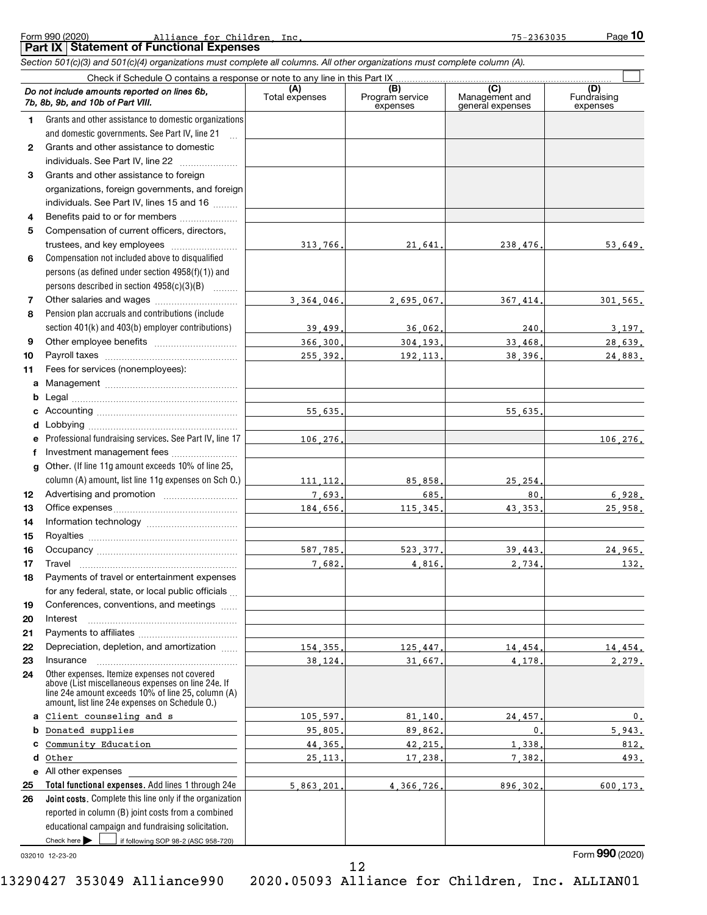### Form 990 (2020) **Example 2** and the additional and the state of the state of the state of the state of the state of the state of the state of the state of the state of the state of the state of the state of the state of th **Part IX Statement of Functional Expenses** Alliance for Children, Inc. 2008 2014 2020 2031 2040 2051 2052 2053035

*Section 501(c)(3) and 501(c)(4) organizations must complete all columns. All other organizations must complete column (A).*

**10**

|              | Do not include amounts reported on lines 6b,<br>7b, 8b, 9b, and 10b of Part VIII.                                                                                                                          | Total expenses | (B)<br>Program service<br>expenses | (C)<br>Management and<br>general expenses | (D)<br>Fundraising<br>expenses |
|--------------|------------------------------------------------------------------------------------------------------------------------------------------------------------------------------------------------------------|----------------|------------------------------------|-------------------------------------------|--------------------------------|
| 1.           | Grants and other assistance to domestic organizations                                                                                                                                                      |                |                                    |                                           |                                |
|              | and domestic governments. See Part IV, line 21                                                                                                                                                             |                |                                    |                                           |                                |
| $\mathbf{2}$ | Grants and other assistance to domestic                                                                                                                                                                    |                |                                    |                                           |                                |
|              | individuals. See Part IV, line 22                                                                                                                                                                          |                |                                    |                                           |                                |
| 3            | Grants and other assistance to foreign                                                                                                                                                                     |                |                                    |                                           |                                |
|              | organizations, foreign governments, and foreign                                                                                                                                                            |                |                                    |                                           |                                |
|              | individuals. See Part IV, lines 15 and 16                                                                                                                                                                  |                |                                    |                                           |                                |
| 4            | Benefits paid to or for members                                                                                                                                                                            |                |                                    |                                           |                                |
| 5            | Compensation of current officers, directors,                                                                                                                                                               |                |                                    |                                           |                                |
|              | trustees, and key employees                                                                                                                                                                                | 313,766        | 21,641                             | 238.476.                                  | 53,649.                        |
| 6            | Compensation not included above to disqualified                                                                                                                                                            |                |                                    |                                           |                                |
|              | persons (as defined under section 4958(f)(1)) and                                                                                                                                                          |                |                                    |                                           |                                |
|              | persons described in section 4958(c)(3)(B)                                                                                                                                                                 |                |                                    |                                           |                                |
| 7            |                                                                                                                                                                                                            | 3.364.046.     | 2,695,067                          | 367.414                                   | 301.565.                       |
| 8            | Pension plan accruals and contributions (include                                                                                                                                                           |                |                                    |                                           |                                |
|              | section 401(k) and 403(b) employer contributions)                                                                                                                                                          | 39,499         | 36,062.                            | 240.                                      | 3,197.                         |
| 9            |                                                                                                                                                                                                            | 366,300.       | 304.193.                           | 33,468.                                   | 28,639.                        |
| 10           |                                                                                                                                                                                                            | 255,392        | 192.113.                           | 38,396.                                   | 24,883.                        |
| 11           | Fees for services (nonemployees):                                                                                                                                                                          |                |                                    |                                           |                                |
| a            |                                                                                                                                                                                                            |                |                                    |                                           |                                |
| b            |                                                                                                                                                                                                            |                |                                    |                                           |                                |
| с            |                                                                                                                                                                                                            | 55.635         |                                    | 55.635.                                   |                                |
| d            |                                                                                                                                                                                                            |                |                                    |                                           |                                |
| е            | Professional fundraising services. See Part IV, line 17                                                                                                                                                    | 106.276        |                                    |                                           | 106.276.                       |
| f            | Investment management fees                                                                                                                                                                                 |                |                                    |                                           |                                |
| g            | Other. (If line 11g amount exceeds 10% of line 25,                                                                                                                                                         |                |                                    |                                           |                                |
|              | column (A) amount, list line 11g expenses on Sch O.)                                                                                                                                                       | 111, 112,      | 85,858                             | 25.254                                    |                                |
| 12           |                                                                                                                                                                                                            | 7,693.         | 685.                               | 80.                                       | 6,928.                         |
| 13           |                                                                                                                                                                                                            | 184,656,       | 115, 345.                          | 43.353.                                   | 25,958.                        |
| 14           |                                                                                                                                                                                                            |                |                                    |                                           |                                |
| 15           |                                                                                                                                                                                                            |                |                                    |                                           |                                |
| 16           |                                                                                                                                                                                                            | 587.785.       | 523, 377                           | 39,443.                                   | 24,965.                        |
| 17           | Travel                                                                                                                                                                                                     | 7.682          | 4,816                              | 2,734.                                    | 132.                           |
| 18           | Payments of travel or entertainment expenses                                                                                                                                                               |                |                                    |                                           |                                |
|              | for any federal, state, or local public officials                                                                                                                                                          |                |                                    |                                           |                                |
| 19           | Conferences, conventions, and meetings                                                                                                                                                                     |                |                                    |                                           |                                |
| 20           | Interest                                                                                                                                                                                                   |                |                                    |                                           |                                |
| 21           |                                                                                                                                                                                                            |                |                                    |                                           |                                |
| 22           | Depreciation, depletion, and amortization                                                                                                                                                                  | 154, 355,      | 125,447.                           | 14,454.                                   | 14,454.                        |
| 23           | Insurance                                                                                                                                                                                                  | 38.124.        | 31,667.                            | 4.178.                                    | 2,279.                         |
| 24           | Other expenses. Itemize expenses not covered<br>above (List miscellaneous expenses on line 24e. If<br>line 24e amount exceeds 10% of line 25, column (A)<br>amount, list line 24e expenses on Schedule O.) |                |                                    |                                           |                                |
| a            | Client counseling and s                                                                                                                                                                                    | 105,597        | 81,140,                            | 24,457                                    | 0.                             |
| b            | Donated supplies                                                                                                                                                                                           | 95,805,        | 89.862.                            | $\mathbf{0}$ .                            | 5,943.                         |
|              | Community Education                                                                                                                                                                                        | 44, 365,       | 42,215.                            | 1,338.                                    | 812.                           |
| d            | Other                                                                                                                                                                                                      | 25.113.        | 17,238.                            | 7,382.                                    | 493.                           |
|              | e All other expenses                                                                                                                                                                                       |                |                                    |                                           |                                |
| 25           | Total functional expenses. Add lines 1 through 24e                                                                                                                                                         | 5.863.201      | 4.366.726.                         | 896.302.                                  | 600.173.                       |
| 26           | Joint costs. Complete this line only if the organization                                                                                                                                                   |                |                                    |                                           |                                |
|              | reported in column (B) joint costs from a combined                                                                                                                                                         |                |                                    |                                           |                                |
|              | educational campaign and fundraising solicitation.                                                                                                                                                         |                |                                    |                                           |                                |
|              | Check here $\blacktriangleright$<br>if following SOP 98-2 (ASC 958-720)                                                                                                                                    |                |                                    |                                           |                                |

032010 12-23-20

Form (2020) **990**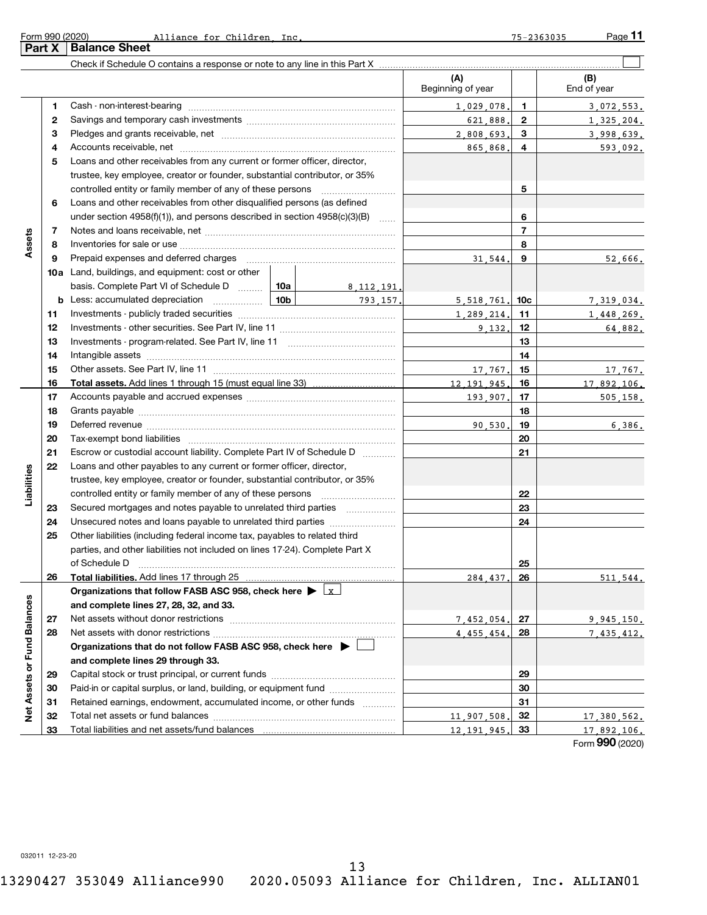**Part X Balance Sheet**

| (A)<br>Beginning of year<br>1<br>2<br>3<br>4<br>Loans and other receivables from any current or former officer, director,<br>5<br>trustee, key employee, creator or founder, substantial contributor, or 35% | $\mathbf{1}$<br>1,029,078.<br>$\mathbf{2}$<br>621,888.<br>3<br>2,808,693.<br>4<br>865,868.<br>5 | (B)<br>End of year<br>3.072.553.<br>1,325,204.<br>3,998,639.<br>593,092. |
|--------------------------------------------------------------------------------------------------------------------------------------------------------------------------------------------------------------|-------------------------------------------------------------------------------------------------|--------------------------------------------------------------------------|
|                                                                                                                                                                                                              |                                                                                                 |                                                                          |
|                                                                                                                                                                                                              |                                                                                                 |                                                                          |
|                                                                                                                                                                                                              |                                                                                                 |                                                                          |
|                                                                                                                                                                                                              |                                                                                                 |                                                                          |
|                                                                                                                                                                                                              |                                                                                                 |                                                                          |
|                                                                                                                                                                                                              |                                                                                                 |                                                                          |
|                                                                                                                                                                                                              |                                                                                                 |                                                                          |
|                                                                                                                                                                                                              |                                                                                                 |                                                                          |
| Loans and other receivables from other disqualified persons (as defined<br>6                                                                                                                                 |                                                                                                 |                                                                          |
| under section $4958(f)(1)$ , and persons described in section $4958(c)(3)(B)$                                                                                                                                | 6                                                                                               |                                                                          |
| 7                                                                                                                                                                                                            | $\overline{7}$                                                                                  |                                                                          |
| Assets<br>8                                                                                                                                                                                                  | 8                                                                                               |                                                                          |
| 9                                                                                                                                                                                                            | 9<br>31.544.                                                                                    | 52,666.                                                                  |
| 10a Land, buildings, and equipment: cost or other                                                                                                                                                            |                                                                                                 |                                                                          |
| basis. Complete Part VI of Schedule D $\ldots$   10a  <br>8, 112, 191.                                                                                                                                       |                                                                                                 |                                                                          |
| 793 157.<br>b                                                                                                                                                                                                | $5,518,761$ , 10c                                                                               | 7,319,034.                                                               |
| 11                                                                                                                                                                                                           | 1,289,214.<br>11                                                                                | 1,448,269.                                                               |
| 12                                                                                                                                                                                                           | 9.132.<br>12                                                                                    | 64,882.                                                                  |
| 13                                                                                                                                                                                                           | 13                                                                                              |                                                                          |
| 14                                                                                                                                                                                                           | 14                                                                                              |                                                                          |
| 15                                                                                                                                                                                                           | 15<br>17.767.                                                                                   | 17,767.                                                                  |
| 12.191.945.<br>16                                                                                                                                                                                            | 16                                                                                              | 17.892.106.                                                              |
| 17                                                                                                                                                                                                           | 17<br>193.907.                                                                                  | 505, 158.                                                                |
| 18                                                                                                                                                                                                           | 18                                                                                              |                                                                          |
| 19                                                                                                                                                                                                           | 19<br>90.530.<br>20                                                                             | 6,386.                                                                   |
| 20<br>21<br>Escrow or custodial account liability. Complete Part IV of Schedule D                                                                                                                            | 21                                                                                              |                                                                          |
| Loans and other payables to any current or former officer, director,<br>22                                                                                                                                   |                                                                                                 |                                                                          |
| Liabilities<br>trustee, key employee, creator or founder, substantial contributor, or 35%                                                                                                                    |                                                                                                 |                                                                          |
| controlled entity or family member of any of these persons [                                                                                                                                                 | 22                                                                                              |                                                                          |
| Secured mortgages and notes payable to unrelated third parties<br>23                                                                                                                                         | 23                                                                                              |                                                                          |
| Unsecured notes and loans payable to unrelated third parties<br>24                                                                                                                                           | 24                                                                                              |                                                                          |
| Other liabilities (including federal income tax, payables to related third<br>25                                                                                                                             |                                                                                                 |                                                                          |
| parties, and other liabilities not included on lines 17-24). Complete Part X                                                                                                                                 |                                                                                                 |                                                                          |
| of Schedule D <b>www.arenamin.communities</b> and an architecture of Schedule D                                                                                                                              | 25                                                                                              |                                                                          |
| Total liabilities. Add lines 17 through 25<br>26                                                                                                                                                             | 26<br>284.437.                                                                                  | 511.544                                                                  |
| Organizations that follow FASB ASC 958, check here $\blacktriangleright \lfloor x \rfloor$                                                                                                                   |                                                                                                 |                                                                          |
| and complete lines 27, 28, 32, and 33.                                                                                                                                                                       |                                                                                                 |                                                                          |
| 27                                                                                                                                                                                                           | 27<br>7,452,054.                                                                                | <u>9,945,150.</u>                                                        |
| 28                                                                                                                                                                                                           | 28<br>4,455,454.                                                                                | 7,435,412.                                                               |
| Organizations that do not follow FASB ASC 958, check here $\blacktriangleright$                                                                                                                              |                                                                                                 |                                                                          |
| and complete lines 29 through 33.                                                                                                                                                                            |                                                                                                 |                                                                          |
| Net Assets or Fund Balances<br>29                                                                                                                                                                            | 29                                                                                              |                                                                          |
| Paid-in or capital surplus, or land, building, or equipment fund<br>30                                                                                                                                       | 30                                                                                              |                                                                          |
| Retained earnings, endowment, accumulated income, or other funds<br>31                                                                                                                                       | 31                                                                                              |                                                                          |
| 11,907,508.<br>32                                                                                                                                                                                            | 32                                                                                              | 17,380,562.                                                              |
| Total liabilities and net assets/fund balances<br>33<br>12.191.945.                                                                                                                                          | 33                                                                                              | 17.892.106.<br>$\sim$                                                    |

Form (2020) **990**

032011 12-23-20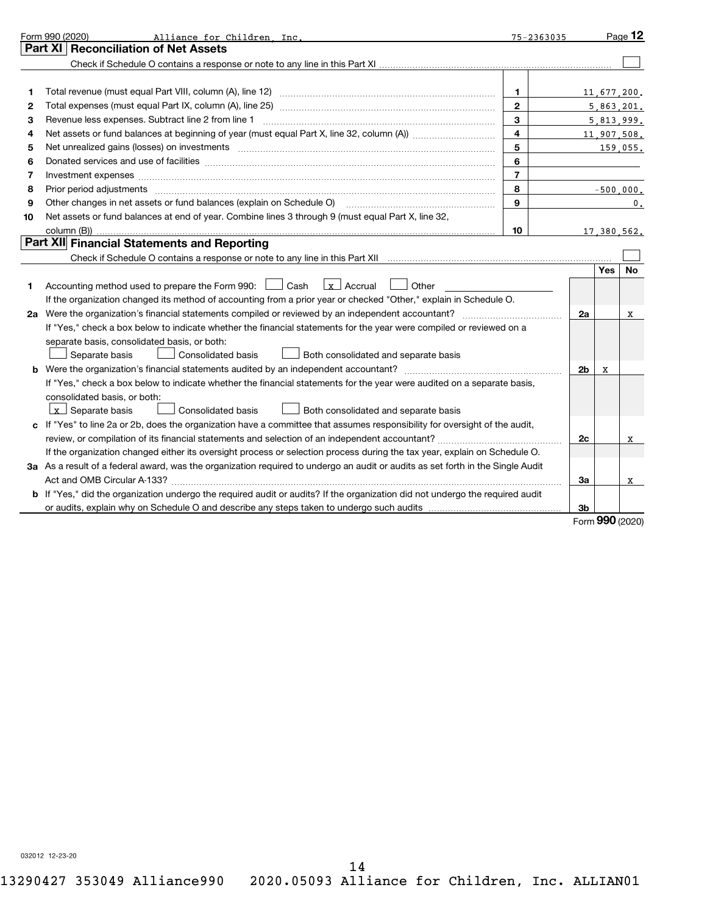|    | Form 990 (2020)<br>Alliance for Children Inc.                                                                                   | 75-2363035     |                |             | Page 12         |
|----|---------------------------------------------------------------------------------------------------------------------------------|----------------|----------------|-------------|-----------------|
|    | Part XI   Reconciliation of Net Assets                                                                                          |                |                |             |                 |
|    |                                                                                                                                 |                |                |             |                 |
|    |                                                                                                                                 |                |                |             |                 |
| 1  |                                                                                                                                 | $\mathbf{1}$   |                | 11,677,200. |                 |
| 2  |                                                                                                                                 | $\mathbf{2}$   |                |             | 5,863,201.      |
| з  | Revenue less expenses. Subtract line 2 from line 1                                                                              | 3              |                |             | 5,813,999.      |
| 4  |                                                                                                                                 | 4              |                |             | 11,907,508.     |
| 5  |                                                                                                                                 | 5              |                |             | 159,055.        |
| 6  |                                                                                                                                 | 6              |                |             |                 |
| 7  | Investment expenses www.communication.com/www.communication.com/www.communication.com/www.com                                   | $\overline{7}$ |                |             |                 |
| 8  | Prior period adjustments www.communication.communication.communication.communication.com                                        | 8              |                |             | $-500,000.$     |
| 9  | Other changes in net assets or fund balances (explain on Schedule O) manual content content of the content of                   | 9              |                |             | 0.              |
| 10 | Net assets or fund balances at end of year. Combine lines 3 through 9 (must equal Part X, line 32,                              |                |                |             |                 |
|    |                                                                                                                                 | 10             |                |             | 17,380,562.     |
|    | Part XII Financial Statements and Reporting                                                                                     |                |                |             |                 |
|    |                                                                                                                                 |                |                |             |                 |
|    |                                                                                                                                 |                |                | Yes         | No              |
| 1  | Accounting method used to prepare the Form 990: <u>I</u> Cash<br>$\vert x \vert$ Accrual<br>Other                               |                |                |             |                 |
|    | If the organization changed its method of accounting from a prior year or checked "Other," explain in Schedule O.               |                |                |             |                 |
|    |                                                                                                                                 |                | 2a             |             | х               |
|    | If "Yes," check a box below to indicate whether the financial statements for the year were compiled or reviewed on a            |                |                |             |                 |
|    | separate basis, consolidated basis, or both:                                                                                    |                |                |             |                 |
|    | Separate basis<br>Consolidated basis<br>Both consolidated and separate basis                                                    |                |                |             |                 |
|    | <b>b</b> Were the organization's financial statements audited by an independent accountant?                                     |                | 2 <sub>b</sub> | x           |                 |
|    | If "Yes," check a box below to indicate whether the financial statements for the year were audited on a separate basis,         |                |                |             |                 |
|    | consolidated basis, or both:                                                                                                    |                |                |             |                 |
|    | $\lfloor x \rfloor$ Separate basis<br>Consolidated basis<br><b>Both consolidated and separate basis</b>                         |                |                |             |                 |
|    | c If "Yes" to line 2a or 2b, does the organization have a committee that assumes responsibility for oversight of the audit,     |                |                |             |                 |
|    |                                                                                                                                 |                | 2c             |             | X               |
|    | If the organization changed either its oversight process or selection process during the tax year, explain on Schedule O.       |                |                |             |                 |
|    | 3a As a result of a federal award, was the organization required to undergo an audit or audits as set forth in the Single Audit |                |                |             |                 |
|    |                                                                                                                                 |                | За             |             | x               |
|    | b If "Yes," did the organization undergo the required audit or audits? If the organization did not undergo the required audit   |                |                |             |                 |
|    |                                                                                                                                 |                | 3b             |             |                 |
|    |                                                                                                                                 |                |                |             | Form 990 (2020) |

032012 12-23-20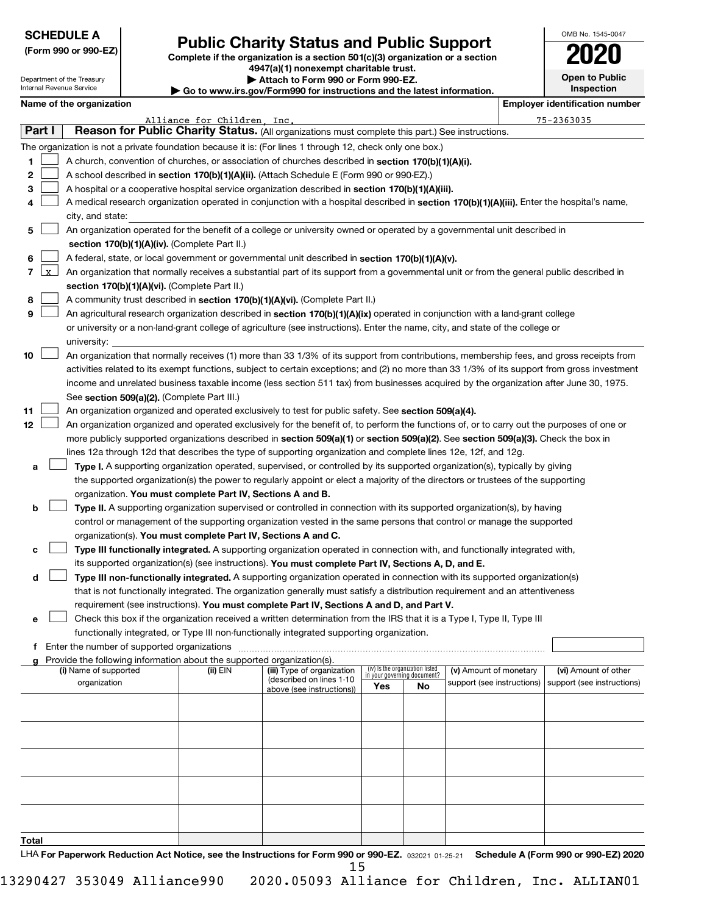Department of the Treasury Internal Revenue Service

**Total**

# Form 990 or 990-EZ)<br>
Complete if the organization is a section 501(c)(3) organization or a section<br> **Public Charity Status and Public Support**

**4947(a)(1) nonexempt charitable trust.**

**| Attach to Form 990 or Form 990-EZ.** 

**Open to Public Inspection**

OMB No. 1545-0047

|  | Name of the organizatio |  |
|--|-------------------------|--|

|              | Internal Revenue Service<br>Inspection<br>Go to www.irs.gov/Form990 for instructions and the latest information. |                          |                                             |                                                                        |                                                                                                                                              |                             |                                 |                            |  |                                       |
|--------------|------------------------------------------------------------------------------------------------------------------|--------------------------|---------------------------------------------|------------------------------------------------------------------------|----------------------------------------------------------------------------------------------------------------------------------------------|-----------------------------|---------------------------------|----------------------------|--|---------------------------------------|
|              |                                                                                                                  | Name of the organization |                                             |                                                                        |                                                                                                                                              |                             |                                 |                            |  | <b>Employer identification number</b> |
|              |                                                                                                                  |                          |                                             | Alliance for Children, Inc.                                            |                                                                                                                                              |                             |                                 |                            |  | $75 - 2363035$                        |
|              | Part I                                                                                                           |                          |                                             |                                                                        | Reason for Public Charity Status. (All organizations must complete this part.) See instructions.                                             |                             |                                 |                            |  |                                       |
|              |                                                                                                                  |                          |                                             |                                                                        | The organization is not a private foundation because it is: (For lines 1 through 12, check only one box.)                                    |                             |                                 |                            |  |                                       |
| 1            |                                                                                                                  |                          |                                             |                                                                        | A church, convention of churches, or association of churches described in section 170(b)(1)(A)(i).                                           |                             |                                 |                            |  |                                       |
| $\mathbf{2}$ |                                                                                                                  |                          |                                             |                                                                        | A school described in section 170(b)(1)(A)(ii). (Attach Schedule E (Form 990 or 990-EZ).)                                                    |                             |                                 |                            |  |                                       |
| з            |                                                                                                                  |                          |                                             |                                                                        | A hospital or a cooperative hospital service organization described in section 170(b)(1)(A)(iii).                                            |                             |                                 |                            |  |                                       |
| 4            |                                                                                                                  |                          |                                             |                                                                        | A medical research organization operated in conjunction with a hospital described in section 170(b)(1)(A)(iii). Enter the hospital's name,   |                             |                                 |                            |  |                                       |
|              |                                                                                                                  | city, and state:         |                                             |                                                                        |                                                                                                                                              |                             |                                 |                            |  |                                       |
| 5.           |                                                                                                                  |                          |                                             |                                                                        | An organization operated for the benefit of a college or university owned or operated by a governmental unit described in                    |                             |                                 |                            |  |                                       |
|              |                                                                                                                  |                          |                                             | section 170(b)(1)(A)(iv). (Complete Part II.)                          |                                                                                                                                              |                             |                                 |                            |  |                                       |
| 6            |                                                                                                                  |                          |                                             |                                                                        | A federal, state, or local government or governmental unit described in section 170(b)(1)(A)(v).                                             |                             |                                 |                            |  |                                       |
|              | 7 Lx                                                                                                             |                          |                                             |                                                                        | An organization that normally receives a substantial part of its support from a governmental unit or from the general public described in    |                             |                                 |                            |  |                                       |
|              |                                                                                                                  |                          |                                             | section 170(b)(1)(A)(vi). (Complete Part II.)                          |                                                                                                                                              |                             |                                 |                            |  |                                       |
|              |                                                                                                                  |                          |                                             |                                                                        |                                                                                                                                              |                             |                                 |                            |  |                                       |
| 8            |                                                                                                                  |                          |                                             |                                                                        | A community trust described in section 170(b)(1)(A)(vi). (Complete Part II.)                                                                 |                             |                                 |                            |  |                                       |
| 9            |                                                                                                                  |                          |                                             |                                                                        | An agricultural research organization described in section 170(b)(1)(A)(ix) operated in conjunction with a land-grant college                |                             |                                 |                            |  |                                       |
|              |                                                                                                                  |                          |                                             |                                                                        | or university or a non-land-grant college of agriculture (see instructions). Enter the name, city, and state of the college or               |                             |                                 |                            |  |                                       |
|              |                                                                                                                  | university:              |                                             |                                                                        |                                                                                                                                              |                             |                                 |                            |  |                                       |
| 10           |                                                                                                                  |                          |                                             |                                                                        | An organization that normally receives (1) more than 33 1/3% of its support from contributions, membership fees, and gross receipts from     |                             |                                 |                            |  |                                       |
|              |                                                                                                                  |                          |                                             |                                                                        | activities related to its exempt functions, subject to certain exceptions; and (2) no more than 33 1/3% of its support from gross investment |                             |                                 |                            |  |                                       |
|              |                                                                                                                  |                          |                                             |                                                                        | income and unrelated business taxable income (less section 511 tax) from businesses acquired by the organization after June 30, 1975.        |                             |                                 |                            |  |                                       |
|              |                                                                                                                  |                          |                                             | See section 509(a)(2). (Complete Part III.)                            |                                                                                                                                              |                             |                                 |                            |  |                                       |
| 11           |                                                                                                                  |                          |                                             |                                                                        | An organization organized and operated exclusively to test for public safety. See section 509(a)(4).                                         |                             |                                 |                            |  |                                       |
| 12           |                                                                                                                  |                          |                                             |                                                                        | An organization organized and operated exclusively for the benefit of, to perform the functions of, or to carry out the purposes of one or   |                             |                                 |                            |  |                                       |
|              |                                                                                                                  |                          |                                             |                                                                        | more publicly supported organizations described in section 509(a)(1) or section 509(a)(2). See section 509(a)(3). Check the box in           |                             |                                 |                            |  |                                       |
|              |                                                                                                                  |                          |                                             |                                                                        | lines 12a through 12d that describes the type of supporting organization and complete lines 12e, 12f, and 12g.                               |                             |                                 |                            |  |                                       |
| а            |                                                                                                                  |                          |                                             |                                                                        | Type I. A supporting organization operated, supervised, or controlled by its supported organization(s), typically by giving                  |                             |                                 |                            |  |                                       |
|              |                                                                                                                  |                          |                                             |                                                                        | the supported organization(s) the power to regularly appoint or elect a majority of the directors or trustees of the supporting              |                             |                                 |                            |  |                                       |
|              |                                                                                                                  |                          |                                             | organization. You must complete Part IV, Sections A and B.             |                                                                                                                                              |                             |                                 |                            |  |                                       |
| b            |                                                                                                                  |                          |                                             |                                                                        | Type II. A supporting organization supervised or controlled in connection with its supported organization(s), by having                      |                             |                                 |                            |  |                                       |
|              |                                                                                                                  |                          |                                             |                                                                        | control or management of the supporting organization vested in the same persons that control or manage the supported                         |                             |                                 |                            |  |                                       |
|              |                                                                                                                  |                          |                                             | organization(s). You must complete Part IV, Sections A and C.          |                                                                                                                                              |                             |                                 |                            |  |                                       |
| с            |                                                                                                                  |                          |                                             |                                                                        | Type III functionally integrated. A supporting organization operated in connection with, and functionally integrated with,                   |                             |                                 |                            |  |                                       |
|              |                                                                                                                  |                          |                                             |                                                                        | its supported organization(s) (see instructions). You must complete Part IV, Sections A, D, and E.                                           |                             |                                 |                            |  |                                       |
| d            |                                                                                                                  |                          |                                             |                                                                        | Type III non-functionally integrated. A supporting organization operated in connection with its supported organization(s)                    |                             |                                 |                            |  |                                       |
|              |                                                                                                                  |                          |                                             |                                                                        | that is not functionally integrated. The organization generally must satisfy a distribution requirement and an attentiveness                 |                             |                                 |                            |  |                                       |
|              |                                                                                                                  |                          |                                             |                                                                        | requirement (see instructions). You must complete Part IV, Sections A and D, and Part V.                                                     |                             |                                 |                            |  |                                       |
| е            |                                                                                                                  |                          |                                             |                                                                        | Check this box if the organization received a written determination from the IRS that it is a Type I, Type II, Type III                      |                             |                                 |                            |  |                                       |
|              |                                                                                                                  |                          |                                             |                                                                        | functionally integrated, or Type III non-functionally integrated supporting organization.                                                    |                             |                                 |                            |  |                                       |
| f            |                                                                                                                  |                          | Enter the number of supported organizations |                                                                        |                                                                                                                                              |                             |                                 |                            |  |                                       |
|              |                                                                                                                  |                          |                                             | Provide the following information about the supported organization(s). |                                                                                                                                              |                             |                                 |                            |  |                                       |
|              |                                                                                                                  | (i) Name of supported    |                                             | (ii) EIN                                                               | (iii) Type of organization                                                                                                                   | in your governing document? | (iv) is the organization listed | (v) Amount of monetary     |  | (vi) Amount of other                  |
|              |                                                                                                                  | organization             |                                             |                                                                        | (described on lines 1-10<br>above (see instructions))                                                                                        | Yes                         | No                              | support (see instructions) |  | support (see instructions)            |
|              |                                                                                                                  |                          |                                             |                                                                        |                                                                                                                                              |                             |                                 |                            |  |                                       |
|              |                                                                                                                  |                          |                                             |                                                                        |                                                                                                                                              |                             |                                 |                            |  |                                       |
|              |                                                                                                                  |                          |                                             |                                                                        |                                                                                                                                              |                             |                                 |                            |  |                                       |
|              |                                                                                                                  |                          |                                             |                                                                        |                                                                                                                                              |                             |                                 |                            |  |                                       |
|              |                                                                                                                  |                          |                                             |                                                                        |                                                                                                                                              |                             |                                 |                            |  |                                       |
|              |                                                                                                                  |                          |                                             |                                                                        |                                                                                                                                              |                             |                                 |                            |  |                                       |
|              |                                                                                                                  |                          |                                             |                                                                        |                                                                                                                                              |                             |                                 |                            |  |                                       |
|              |                                                                                                                  |                          |                                             |                                                                        |                                                                                                                                              |                             |                                 |                            |  |                                       |
|              |                                                                                                                  |                          |                                             |                                                                        |                                                                                                                                              |                             |                                 |                            |  |                                       |
|              |                                                                                                                  |                          |                                             |                                                                        |                                                                                                                                              |                             |                                 |                            |  |                                       |
| Total        |                                                                                                                  |                          |                                             |                                                                        |                                                                                                                                              |                             |                                 |                            |  |                                       |

LHA For Paperwork Reduction Act Notice, see the Instructions for Form 990 or 990-EZ. 032021 01-25-21 Schedule A (Form 990 or 990-EZ) 2020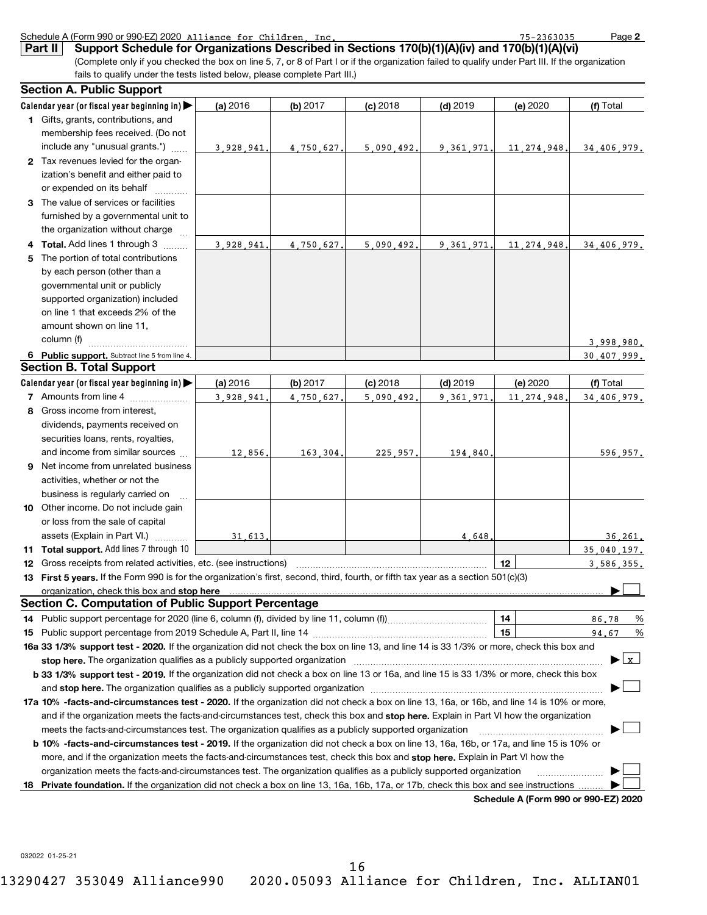|     | Part II<br>Support Schedule for Organizations Described in Sections 170(b)(1)(A)(iv) and 170(b)(1)(A)(vi)                                                                                                                                                                                                                                                                  |           |           |            |            |                                      |             |
|-----|----------------------------------------------------------------------------------------------------------------------------------------------------------------------------------------------------------------------------------------------------------------------------------------------------------------------------------------------------------------------------|-----------|-----------|------------|------------|--------------------------------------|-------------|
|     | (Complete only if you checked the box on line 5, 7, or 8 of Part I or if the organization failed to qualify under Part III. If the organization                                                                                                                                                                                                                            |           |           |            |            |                                      |             |
|     | fails to qualify under the tests listed below, please complete Part III.)<br><b>Section A. Public Support</b>                                                                                                                                                                                                                                                              |           |           |            |            |                                      |             |
|     | Calendar year (or fiscal year beginning in)                                                                                                                                                                                                                                                                                                                                |           | (b) 2017  |            | $(d)$ 2019 | (e) 2020                             | (f) Total   |
|     | 1 Gifts, grants, contributions, and                                                                                                                                                                                                                                                                                                                                        | (a) 2016  |           | $(c)$ 2018 |            |                                      |             |
|     | membership fees received. (Do not                                                                                                                                                                                                                                                                                                                                          |           |           |            |            |                                      |             |
|     | include any "unusual grants.")                                                                                                                                                                                                                                                                                                                                             |           |           |            |            |                                      |             |
|     | 2 Tax revenues levied for the organ-                                                                                                                                                                                                                                                                                                                                       | 3.928.941 | 4,750,627 | 5.090.492  | 9.361.971  | 11, 274, 948.                        | 34,406,979. |
|     | ization's benefit and either paid to                                                                                                                                                                                                                                                                                                                                       |           |           |            |            |                                      |             |
|     | or expended on its behalf                                                                                                                                                                                                                                                                                                                                                  |           |           |            |            |                                      |             |
|     | 3 The value of services or facilities                                                                                                                                                                                                                                                                                                                                      |           |           |            |            |                                      |             |
|     | furnished by a governmental unit to                                                                                                                                                                                                                                                                                                                                        |           |           |            |            |                                      |             |
|     | the organization without charge                                                                                                                                                                                                                                                                                                                                            |           |           |            |            |                                      |             |
| 4   | Total. Add lines 1 through 3                                                                                                                                                                                                                                                                                                                                               | 3.928.941 | 4,750,627 | 5,090,492  | 9.361.971. | 11, 274, 948                         | 34.406.979. |
| 5   | The portion of total contributions                                                                                                                                                                                                                                                                                                                                         |           |           |            |            |                                      |             |
|     | by each person (other than a                                                                                                                                                                                                                                                                                                                                               |           |           |            |            |                                      |             |
|     | governmental unit or publicly                                                                                                                                                                                                                                                                                                                                              |           |           |            |            |                                      |             |
|     | supported organization) included                                                                                                                                                                                                                                                                                                                                           |           |           |            |            |                                      |             |
|     | on line 1 that exceeds 2% of the                                                                                                                                                                                                                                                                                                                                           |           |           |            |            |                                      |             |
|     | amount shown on line 11,                                                                                                                                                                                                                                                                                                                                                   |           |           |            |            |                                      |             |
|     | column (f)                                                                                                                                                                                                                                                                                                                                                                 |           |           |            |            |                                      | 3,998,980.  |
|     | 6 Public support. Subtract line 5 from line 4.                                                                                                                                                                                                                                                                                                                             |           |           |            |            |                                      | 30.407.999. |
|     | <b>Section B. Total Support</b>                                                                                                                                                                                                                                                                                                                                            |           |           |            |            |                                      |             |
|     | Calendar year (or fiscal year beginning in)                                                                                                                                                                                                                                                                                                                                | (a) 2016  | (b) 2017  | $(c)$ 2018 | $(d)$ 2019 | (e) 2020                             | (f) Total   |
|     | <b>7</b> Amounts from line 4                                                                                                                                                                                                                                                                                                                                               | 3.928.941 | 4.750.627 | 5,090,492  | 9.361.971  | 11, 274, 948                         | 34.406.979. |
| 8   | Gross income from interest,                                                                                                                                                                                                                                                                                                                                                |           |           |            |            |                                      |             |
|     | dividends, payments received on                                                                                                                                                                                                                                                                                                                                            |           |           |            |            |                                      |             |
|     | securities loans, rents, royalties,                                                                                                                                                                                                                                                                                                                                        |           |           |            |            |                                      |             |
|     | and income from similar sources                                                                                                                                                                                                                                                                                                                                            | 12,856    | 163,304   | 225,957,   | 194,840    |                                      | 596,957.    |
| 9   | Net income from unrelated business                                                                                                                                                                                                                                                                                                                                         |           |           |            |            |                                      |             |
|     | activities, whether or not the                                                                                                                                                                                                                                                                                                                                             |           |           |            |            |                                      |             |
|     | business is regularly carried on                                                                                                                                                                                                                                                                                                                                           |           |           |            |            |                                      |             |
|     | 10 Other income. Do not include gain                                                                                                                                                                                                                                                                                                                                       |           |           |            |            |                                      |             |
|     | or loss from the sale of capital                                                                                                                                                                                                                                                                                                                                           |           |           |            |            |                                      |             |
|     | assets (Explain in Part VI.)                                                                                                                                                                                                                                                                                                                                               | 31 613    |           |            | 4.648      |                                      | 36.261.     |
|     | 11 Total support. Add lines 7 through 10                                                                                                                                                                                                                                                                                                                                   |           |           |            |            |                                      | 35.040.197. |
|     | Gross receipts from related activities, etc. (see instructions) matches and the content content of the content                                                                                                                                                                                                                                                             |           |           |            |            |                                      | 3,586,355.  |
|     | 13 First 5 years. If the Form 990 is for the organization's first, second, third, fourth, or fifth tax year as a section 501(c)(3)                                                                                                                                                                                                                                         |           |           |            |            |                                      |             |
|     | organization, check this box and stop here manufactured and announced and all proportional control of the state of the state of the original control of the state of the state of the state of the state of the state of the s                                                                                                                                             |           |           |            |            |                                      |             |
|     | Section C. Computation of Public Support Percentage                                                                                                                                                                                                                                                                                                                        |           |           |            |            |                                      |             |
| 14. |                                                                                                                                                                                                                                                                                                                                                                            |           |           |            |            | 14<br>15                             | 86.78<br>%  |
| 15  | 16a 33 1/3% support test - 2020. If the organization did not check the box on line 13, and line 14 is 33 1/3% or more, check this box and                                                                                                                                                                                                                                  |           |           |            |            |                                      | %<br>94.67  |
|     |                                                                                                                                                                                                                                                                                                                                                                            |           |           |            |            |                                      | ▶Lx         |
|     | stop here. The organization qualifies as a publicly supported organization manufaction manufacture content and the support of the state of the state of the state of the state of the state of the state of the state of the s<br>b 33 1/3% support test - 2019. If the organization did not check a box on line 13 or 16a, and line 15 is 33 1/3% or more, check this box |           |           |            |            |                                      |             |
|     |                                                                                                                                                                                                                                                                                                                                                                            |           |           |            |            |                                      |             |
|     | 17a 10% -facts-and-circumstances test - 2020. If the organization did not check a box on line 13, 16a, or 16b, and line 14 is 10% or more,                                                                                                                                                                                                                                 |           |           |            |            |                                      |             |
|     | and if the organization meets the facts-and-circumstances test, check this box and stop here. Explain in Part VI how the organization                                                                                                                                                                                                                                      |           |           |            |            |                                      |             |
|     | meets the facts-and-circumstances test. The organization qualifies as a publicly supported organization                                                                                                                                                                                                                                                                    |           |           |            |            |                                      |             |
|     | b 10% -facts-and-circumstances test - 2019. If the organization did not check a box on line 13, 16a, 16b, or 17a, and line 15 is 10% or                                                                                                                                                                                                                                    |           |           |            |            |                                      |             |
|     | more, and if the organization meets the facts-and-circumstances test, check this box and <b>stop here.</b> Explain in Part VI how the                                                                                                                                                                                                                                      |           |           |            |            |                                      |             |
|     | organization meets the facts-and-circumstances test. The organization qualifies as a publicly supported organization                                                                                                                                                                                                                                                       |           |           |            |            |                                      |             |
| 18  | Private foundation. If the organization did not check a box on line 13, 16a, 16b, 17a, or 17b, check this box and see instructions                                                                                                                                                                                                                                         |           |           |            |            |                                      |             |
|     |                                                                                                                                                                                                                                                                                                                                                                            |           |           |            |            | Schedule A (Form 990 or 990-EZ) 2020 |             |

Schedule A (Form 990 or 990-EZ) 2020 Alliance for Children Inc. 2008 2014 2021 2030 10:30 Page

Alliance for Children, Inc. 75-2363035

**2**

032022 01-25-21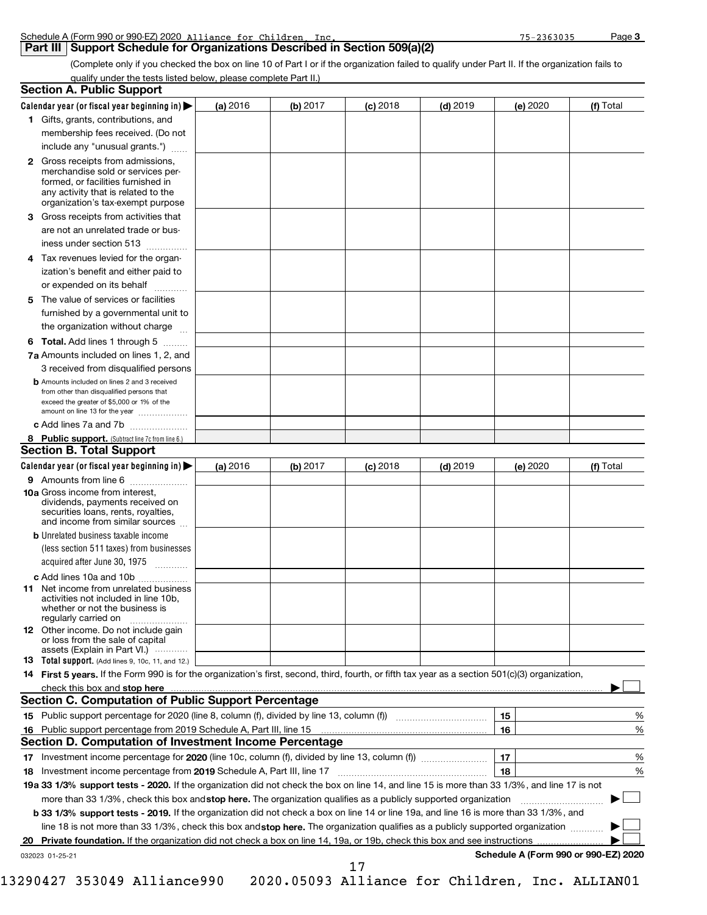| Schedule A (Form 990 or 990-EZ) 2020 Alliance for Children | Inc | $-2363035$ | Page |
|------------------------------------------------------------|-----|------------|------|
|                                                            |     |            |      |

## **Part III | Support Schedule for Organizations Described in Section 509(a)(2)**

(Complete only if you checked the box on line 10 of Part I or if the organization failed to qualify under Part II. If the organization fails to qualify under the tests listed below, please complete Part II.)

|   | <b>Section A. Public Support</b>                                                                                                                 |          |          |            |          |    |          |                                      |   |
|---|--------------------------------------------------------------------------------------------------------------------------------------------------|----------|----------|------------|----------|----|----------|--------------------------------------|---|
|   | Calendar year (or fiscal year beginning in) $\blacktriangleright$                                                                                | (a) 2016 | (b) 2017 | $(c)$ 2018 | (d) 2019 |    | (e) 2020 | (f) Total                            |   |
|   | <b>1</b> Gifts, grants, contributions, and                                                                                                       |          |          |            |          |    |          |                                      |   |
|   | membership fees received. (Do not                                                                                                                |          |          |            |          |    |          |                                      |   |
|   | include any "unusual grants.")                                                                                                                   |          |          |            |          |    |          |                                      |   |
|   | 2 Gross receipts from admissions,                                                                                                                |          |          |            |          |    |          |                                      |   |
|   | merchandise sold or services per-                                                                                                                |          |          |            |          |    |          |                                      |   |
|   | formed, or facilities furnished in                                                                                                               |          |          |            |          |    |          |                                      |   |
|   | any activity that is related to the<br>organization's tax-exempt purpose                                                                         |          |          |            |          |    |          |                                      |   |
|   | <b>3</b> Gross receipts from activities that                                                                                                     |          |          |            |          |    |          |                                      |   |
|   | are not an unrelated trade or bus-                                                                                                               |          |          |            |          |    |          |                                      |   |
|   | iness under section 513                                                                                                                          |          |          |            |          |    |          |                                      |   |
| 4 | Tax revenues levied for the organ-                                                                                                               |          |          |            |          |    |          |                                      |   |
|   | ization's benefit and either paid to                                                                                                             |          |          |            |          |    |          |                                      |   |
|   | or expended on its behalf                                                                                                                        |          |          |            |          |    |          |                                      |   |
|   | The value of services or facilities                                                                                                              |          |          |            |          |    |          |                                      |   |
| 5 |                                                                                                                                                  |          |          |            |          |    |          |                                      |   |
|   | furnished by a governmental unit to                                                                                                              |          |          |            |          |    |          |                                      |   |
|   | the organization without charge                                                                                                                  |          |          |            |          |    |          |                                      |   |
|   | 6 Total. Add lines 1 through 5                                                                                                                   |          |          |            |          |    |          |                                      |   |
|   | 7a Amounts included on lines 1, 2, and                                                                                                           |          |          |            |          |    |          |                                      |   |
|   | 3 received from disqualified persons                                                                                                             |          |          |            |          |    |          |                                      |   |
|   | <b>b</b> Amounts included on lines 2 and 3 received<br>from other than disqualified persons that                                                 |          |          |            |          |    |          |                                      |   |
|   | exceed the greater of \$5,000 or 1% of the                                                                                                       |          |          |            |          |    |          |                                      |   |
|   | amount on line 13 for the year                                                                                                                   |          |          |            |          |    |          |                                      |   |
|   | c Add lines 7a and 7b                                                                                                                            |          |          |            |          |    |          |                                      |   |
|   | <b>8</b> Public support. (Subtract line 7c from line 6.)                                                                                         |          |          |            |          |    |          |                                      |   |
|   | <b>Section B. Total Support</b>                                                                                                                  |          |          |            |          |    |          |                                      |   |
|   | Calendar year (or fiscal year beginning in)                                                                                                      | (a) 2016 | (b) 2017 | $(c)$ 2018 | (d) 2019 |    | (e) 2020 | (f) Total                            |   |
|   | 9 Amounts from line 6                                                                                                                            |          |          |            |          |    |          |                                      |   |
|   | <b>10a</b> Gross income from interest,                                                                                                           |          |          |            |          |    |          |                                      |   |
|   | dividends, payments received on<br>securities loans, rents, royalties,                                                                           |          |          |            |          |    |          |                                      |   |
|   | and income from similar sources                                                                                                                  |          |          |            |          |    |          |                                      |   |
|   | <b>b</b> Unrelated business taxable income                                                                                                       |          |          |            |          |    |          |                                      |   |
|   | (less section 511 taxes) from businesses                                                                                                         |          |          |            |          |    |          |                                      |   |
|   | acquired after June 30, 1975                                                                                                                     |          |          |            |          |    |          |                                      |   |
|   | c Add lines 10a and 10b                                                                                                                          |          |          |            |          |    |          |                                      |   |
|   | <b>11</b> Net income from unrelated business                                                                                                     |          |          |            |          |    |          |                                      |   |
|   | activities not included in line 10b.                                                                                                             |          |          |            |          |    |          |                                      |   |
|   | whether or not the business is<br>regularly carried on                                                                                           |          |          |            |          |    |          |                                      |   |
|   | <b>12</b> Other income. Do not include gain                                                                                                      |          |          |            |          |    |          |                                      |   |
|   | or loss from the sale of capital                                                                                                                 |          |          |            |          |    |          |                                      |   |
|   | assets (Explain in Part VI.)<br>13 Total support. (Add lines 9, 10c, 11, and 12.)                                                                |          |          |            |          |    |          |                                      |   |
|   | 14 First 5 years. If the Form 990 is for the organization's first, second, third, fourth, or fifth tax year as a section 501(c)(3) organization, |          |          |            |          |    |          |                                      |   |
|   | check this box and stop here www.altamana.com/management/community/intervention-community-community-community-                                   |          |          |            |          |    |          |                                      |   |
|   | <b>Section C. Computation of Public Support Percentage</b>                                                                                       |          |          |            |          |    |          |                                      |   |
|   |                                                                                                                                                  |          |          |            |          | 15 |          |                                      | % |
|   | 16 Public support percentage from 2019 Schedule A, Part III, line 15                                                                             |          |          |            |          | 16 |          |                                      | % |
|   | Section D. Computation of Investment Income Percentage                                                                                           |          |          |            |          |    |          |                                      |   |
|   |                                                                                                                                                  |          |          |            |          | 17 |          |                                      | % |
|   |                                                                                                                                                  |          |          |            |          |    |          |                                      |   |
|   |                                                                                                                                                  |          |          |            |          | 18 |          |                                      | % |
|   | 19a 33 1/3% support tests - 2020. If the organization did not check the box on line 14, and line 15 is more than 33 1/3%, and line 17 is not     |          |          |            |          |    |          |                                      |   |
|   | more than 33 1/3%, check this box and stop here. The organization qualifies as a publicly supported organization                                 |          |          |            |          |    |          |                                      |   |
|   | b 33 1/3% support tests - 2019. If the organization did not check a box on line 14 or line 19a, and line 16 is more than 33 1/3%, and            |          |          |            |          |    |          |                                      |   |
|   | line 18 is not more than 33 1/3%, check this box and stop here. The organization qualifies as a publicly supported organization                  |          |          |            |          |    |          |                                      |   |
|   | 20 Private foundation. If the organization did not check a box on line 14, 19a, or 19b, check this box and see instructions                      |          |          |            |          |    |          |                                      |   |
|   | 032023 01-25-21                                                                                                                                  |          |          |            |          |    |          | Schedule A (Form 990 or 990-EZ) 2020 |   |

17

**Schedule A (Form 990 or 990-EZ) 2020**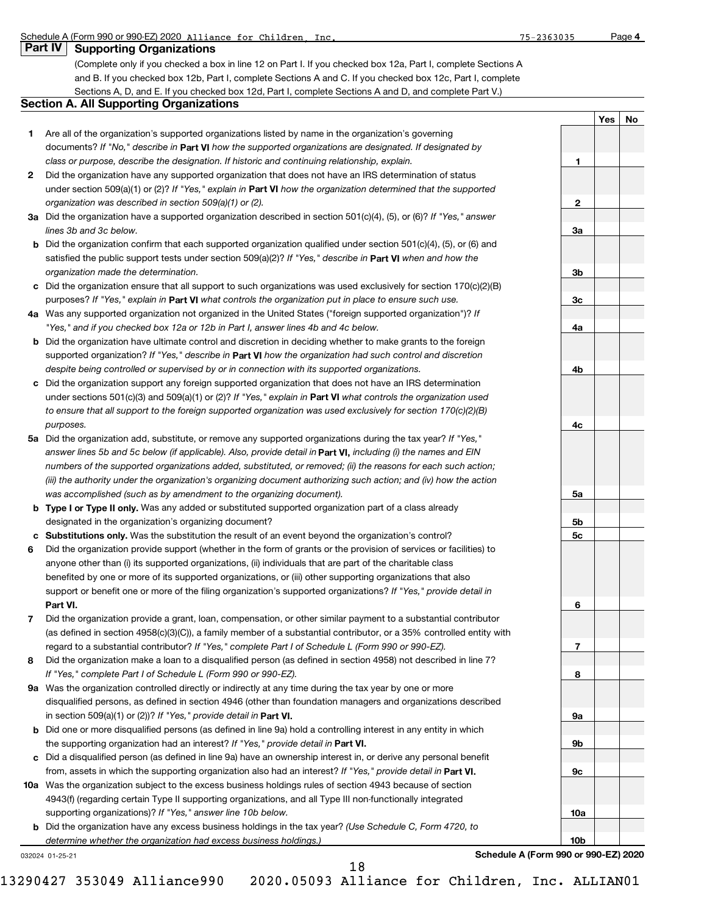## Schedule A (Form 990 or 990-EZ) 2020 Alliance for Children, Inc. 75-2363035 Page

| Part IV   Supporting Organizations |  |
|------------------------------------|--|
|------------------------------------|--|

(Complete only if you checked a box in line 12 on Part I. If you checked box 12a, Part I, complete Sections A and B. If you checked box 12b, Part I, complete Sections A and C. If you checked box 12c, Part I, complete Sections A, D, and E. If you checked box 12d, Part I, complete Sections A and D, and complete Part V.)

## **Section A. All Supporting Organizations**

- **1** Are all of the organization's supported organizations listed by name in the organization's governing documents? If "No," describe in Part VI how the supported organizations are designated. If designated by *class or purpose, describe the designation. If historic and continuing relationship, explain.*
- **2** Did the organization have any supported organization that does not have an IRS determination of status under section 509(a)(1) or (2)? If "Yes," explain in Part VI how the organization determined that the supported *organization was described in section 509(a)(1) or (2).*
- **3a** Did the organization have a supported organization described in section 501(c)(4), (5), or (6)? If "Yes," answer *lines 3b and 3c below.*
- **b** Did the organization confirm that each supported organization qualified under section 501(c)(4), (5), or (6) and satisfied the public support tests under section 509(a)(2)? If "Yes," describe in **Part VI** when and how the *organization made the determination.*
- **c** Did the organization ensure that all support to such organizations was used exclusively for section 170(c)(2)(B) purposes? If "Yes," explain in Part VI what controls the organization put in place to ensure such use.
- **4 a** *If* Was any supported organization not organized in the United States ("foreign supported organization")? *"Yes," and if you checked box 12a or 12b in Part I, answer lines 4b and 4c below.*
- **b** Did the organization have ultimate control and discretion in deciding whether to make grants to the foreign supported organization? If "Yes," describe in Part **VI** how the organization had such control and discretion *despite being controlled or supervised by or in connection with its supported organizations.*
- **c** Did the organization support any foreign supported organization that does not have an IRS determination under sections 501(c)(3) and 509(a)(1) or (2)? If "Yes," explain in Part VI what controls the organization used *to ensure that all support to the foreign supported organization was used exclusively for section 170(c)(2)(B) purposes.*
- **5a** Did the organization add, substitute, or remove any supported organizations during the tax year? If "Yes," answer lines 5b and 5c below (if applicable). Also, provide detail in **Part VI,** including (i) the names and EIN *numbers of the supported organizations added, substituted, or removed; (ii) the reasons for each such action; (iii) the authority under the organization's organizing document authorizing such action; and (iv) how the action was accomplished (such as by amendment to the organizing document).*
- **b** Type I or Type II only. Was any added or substituted supported organization part of a class already designated in the organization's organizing document?
- **c Substitutions only.**  Was the substitution the result of an event beyond the organization's control?
- **6 Part VI.** support or benefit one or more of the filing organization's supported organizations? If "Yes," provide detail in Did the organization provide support (whether in the form of grants or the provision of services or facilities) to anyone other than (i) its supported organizations, (ii) individuals that are part of the charitable class benefited by one or more of its supported organizations, or (iii) other supporting organizations that also
- **7** regard to a substantial contributor? If "Yes," complete Part I of Schedule L (Form 990 or 990-EZ). Did the organization provide a grant, loan, compensation, or other similar payment to a substantial contributor (as defined in section 4958(c)(3)(C)), a family member of a substantial contributor, or a 35% controlled entity with
- **8** Did the organization make a loan to a disqualified person (as defined in section 4958) not described in line 7? *If "Yes," complete Part I of Schedule L (Form 990 or 990-EZ).*
- **9 a** Was the organization controlled directly or indirectly at any time during the tax year by one or more in section 509(a)(1) or (2))? If "Yes," provide detail in **Part VI.** disqualified persons, as defined in section 4946 (other than foundation managers and organizations described
- **b** Did one or more disqualified persons (as defined in line 9a) hold a controlling interest in any entity in which the supporting organization had an interest? If "Yes," provide detail in Part VI.
- **c** Did a disqualified person (as defined in line 9a) have an ownership interest in, or derive any personal benefit from, assets in which the supporting organization also had an interest? If "Yes," provide detail in Part VI.
- **10 a** Was the organization subject to the excess business holdings rules of section 4943 because of section supporting organizations)? If "Yes," answer line 10b below. 4943(f) (regarding certain Type II supporting organizations, and all Type III non-functionally integrated
	- **b** Did the organization have any excess business holdings in the tax year? (Use Schedule C, Form 4720, to *determine whether the organization had excess business holdings.)*

032024 01-25-21

**Schedule A (Form 990 or 990-EZ) 2020**

|                 | Yes No |  |
|-----------------|--------|--|
|                 |        |  |
|                 |        |  |
| $\mathbf{1}$    |        |  |
|                 |        |  |
|                 |        |  |
| 2               |        |  |
|                 |        |  |
| <u>3a</u>       |        |  |
|                 |        |  |
| $\frac{3b}{2}$  |        |  |
|                 |        |  |
| $rac{3c}{2}$    |        |  |
|                 |        |  |
| 4a              |        |  |
|                 |        |  |
|                 |        |  |
| 4 <sub>b</sub>  |        |  |
|                 |        |  |
|                 |        |  |
|                 |        |  |
| 4c              |        |  |
|                 |        |  |
|                 |        |  |
|                 |        |  |
| <u>5a</u>       |        |  |
|                 |        |  |
| <u>5b</u>       |        |  |
| <u>5c</u>       |        |  |
|                 |        |  |
|                 |        |  |
|                 |        |  |
|                 |        |  |
| $6\overline{}$  |        |  |
|                 |        |  |
|                 |        |  |
| $\overline{7}$  |        |  |
| $\bf{8}$        |        |  |
|                 |        |  |
|                 |        |  |
| <u>9a</u>       |        |  |
|                 |        |  |
| <u>9b</u>       |        |  |
|                 |        |  |
| 9c              |        |  |
|                 |        |  |
|                 |        |  |
| 10a             |        |  |
|                 |        |  |
| 10 <sub>b</sub> |        |  |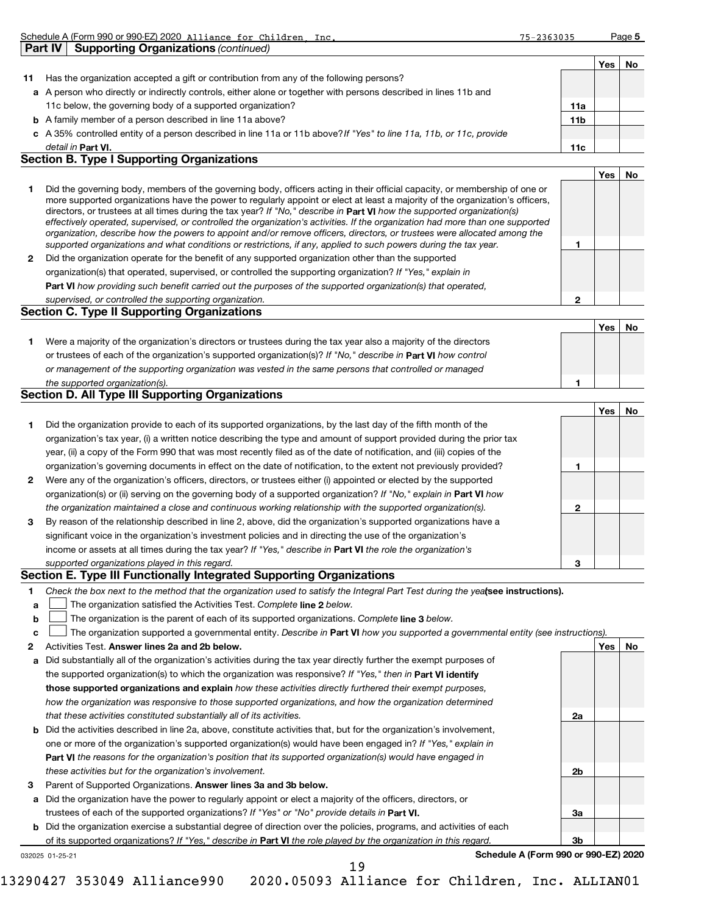|    | <b>Part IV</b><br><b>Supporting Organizations (continued)</b>                                                        |     |    |
|----|----------------------------------------------------------------------------------------------------------------------|-----|----|
|    |                                                                                                                      | Yes | No |
| 11 | Has the organization accepted a gift or contribution from any of the following persons?                              |     |    |
|    | a A person who directly or indirectly controls, either alone or together with persons described in lines 11b and     |     |    |
|    | 11c below, the governing body of a supported organization?<br>11a                                                    |     |    |
|    | <b>b</b> A family member of a person described in line 11a above?<br>11b                                             |     |    |
|    | c A 35% controlled entity of a person described in line 11a or 11b above? If "Yes" to line 11a, 11b, or 11c, provide |     |    |
|    | detail in Part VI.<br>11c                                                                                            |     |    |

Schedule A (Form 990 or 990-EZ) 2020 Alliance for Children, Inc. 75-2363035 Page

## **Section B. Type I Supporting Organizations**

|   |                                                                                                                                                                                                                                                                                                                                                                                                                                                                                                                                                                                                                                                      | Yes | No |
|---|------------------------------------------------------------------------------------------------------------------------------------------------------------------------------------------------------------------------------------------------------------------------------------------------------------------------------------------------------------------------------------------------------------------------------------------------------------------------------------------------------------------------------------------------------------------------------------------------------------------------------------------------------|-----|----|
|   | Did the governing body, members of the governing body, officers acting in their official capacity, or membership of one or<br>more supported organizations have the power to regularly appoint or elect at least a majority of the organization's officers,<br>directors, or trustees at all times during the tax year? If "No," describe in Part VI how the supported organization(s)<br>effectively operated, supervised, or controlled the organization's activities. If the organization had more than one supported<br>organization, describe how the powers to appoint and/or remove officers, directors, or trustees were allocated among the |     |    |
|   | supported organizations and what conditions or restrictions, if any, applied to such powers during the tax year.                                                                                                                                                                                                                                                                                                                                                                                                                                                                                                                                     |     |    |
| 2 | Did the organization operate for the benefit of any supported organization other than the supported                                                                                                                                                                                                                                                                                                                                                                                                                                                                                                                                                  |     |    |
|   | organization(s) that operated, supervised, or controlled the supporting organization? If "Yes," explain in                                                                                                                                                                                                                                                                                                                                                                                                                                                                                                                                           |     |    |
|   | <b>Part VI</b> how providing such benefit carried out the purposes of the supported organization(s) that operated,                                                                                                                                                                                                                                                                                                                                                                                                                                                                                                                                   |     |    |
|   | supervised, or controlled the supporting organization.                                                                                                                                                                                                                                                                                                                                                                                                                                                                                                                                                                                               |     |    |
|   | <b>Section C. Type II Supporting Organizations</b>                                                                                                                                                                                                                                                                                                                                                                                                                                                                                                                                                                                                   |     |    |
|   |                                                                                                                                                                                                                                                                                                                                                                                                                                                                                                                                                                                                                                                      | Yes |    |
|   | AMA de la certa de la calencia de la calencia de la calencia de la decede la calencia de la calencia de la calencia de                                                                                                                                                                                                                                                                                                                                                                                                                                                                                                                               |     |    |

**1** or trustees of each of the organization's supported organization(s)? If "No," describe in Part VI how control **1** *or management of the supporting organization was vested in the same persons that controlled or managed the supported organization(s).* Were a majority of the organization's directors or trustees during the tax year also a majority of the directors

## **Section D. All Type III Supporting Organizations**

|              |                                                                                                                        |   | Yes | No |
|--------------|------------------------------------------------------------------------------------------------------------------------|---|-----|----|
| 1.           | Did the organization provide to each of its supported organizations, by the last day of the fifth month of the         |   |     |    |
|              | organization's tax year, (i) a written notice describing the type and amount of support provided during the prior tax  |   |     |    |
|              | year, (ii) a copy of the Form 990 that was most recently filed as of the date of notification, and (iii) copies of the |   |     |    |
|              | organization's governing documents in effect on the date of notification, to the extent not previously provided?       |   |     |    |
| $\mathbf{2}$ | Were any of the organization's officers, directors, or trustees either (i) appointed or elected by the supported       |   |     |    |
|              | organization(s) or (ii) serving on the governing body of a supported organization? If "No," explain in Part VI how     |   |     |    |
|              | the organization maintained a close and continuous working relationship with the supported organization(s).            | ึ |     |    |
| 3            | By reason of the relationship described in line 2, above, did the organization's supported organizations have a        |   |     |    |
|              | significant voice in the organization's investment policies and in directing the use of the organization's             |   |     |    |
|              | income or assets at all times during the tax year? If "Yes," describe in Part VI the role the organization's           |   |     |    |
|              | supported organizations played in this regard.                                                                         | з |     |    |

## **Section E. Type III Functionally Integrated Supporting Organizations**

- **a** The organization satisfied the Activities Test. Complete line 2 below.  $\mathcal{L}_{\mathcal{A}}$
- **b** The organization is the parent of each of its supported organizations. Complete line 3 below.  $\mathcal{L}_{\mathcal{A}}$

|  |  | c <b>L</b> The organization supported a governmental entity. Describe in Part VI how you supported a governmental entity (see instructions). |  |  |  |  |  |  |  |  |  |  |
|--|--|----------------------------------------------------------------------------------------------------------------------------------------------|--|--|--|--|--|--|--|--|--|--|
|--|--|----------------------------------------------------------------------------------------------------------------------------------------------|--|--|--|--|--|--|--|--|--|--|

- **2** Activities Test. Answer lines 2a and 2b below. **And the state of the state of the state of the state of the state of the state of the state of the state of the state of the state of the state of the state of the state of t**
- **a** Did substantially all of the organization's activities during the tax year directly further the exempt purposes of the supported organization(s) to which the organization was responsive? If "Yes," then in Part VI identify **those supported organizations and explain**  *how these activities directly furthered their exempt purposes, how the organization was responsive to those supported organizations, and how the organization determined that these activities constituted substantially all of its activities.*
- **b** Did the activities described in line 2a, above, constitute activities that, but for the organization's involvement, **Part VI**  *the reasons for the organization's position that its supported organization(s) would have engaged in* one or more of the organization's supported organization(s) would have been engaged in? If "Yes," explain in *these activities but for the organization's involvement.*
- **3** Parent of Supported Organizations. Answer lines 3a and 3b below.
- **a** Did the organization have the power to regularly appoint or elect a majority of the officers, directors, or trustees of each of the supported organizations? If "Yes" or "No" provide details in Part VI.
- **b** Did the organization exercise a substantial degree of direction over the policies, programs, and activities of each of its supported organizations? If "Yes," describe in Part VI the role played by the organization in this regard.
- 032025 01-25-21

19

**Schedule A (Form 990 or 990-EZ) 2020**

**2a**

**2b**

**3a**

**3b**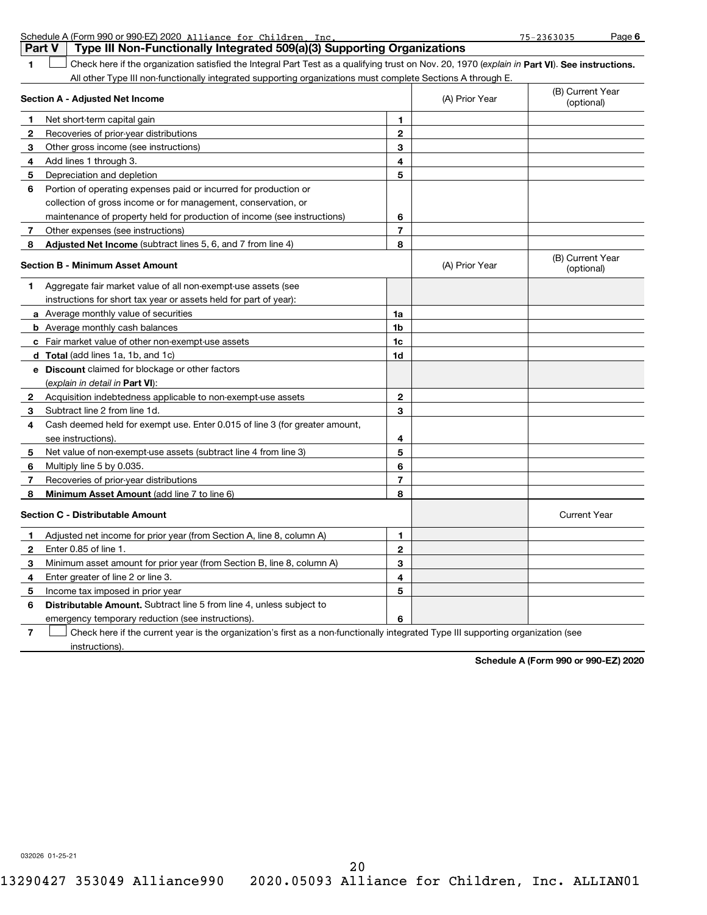|    | Schedule A (Form 990 or 990-EZ) 2020 Alliance for Children Inc.                                                                                |                |                | $75 - 2363035$                 | Page 6 |
|----|------------------------------------------------------------------------------------------------------------------------------------------------|----------------|----------------|--------------------------------|--------|
|    | Type III Non-Functionally Integrated 509(a)(3) Supporting Organizations<br>Part V                                                              |                |                |                                |        |
| 1  | Check here if the organization satisfied the Integral Part Test as a qualifying trust on Nov. 20, 1970 (explain in Part VI). See instructions. |                |                |                                |        |
|    | All other Type III non-functionally integrated supporting organizations must complete Sections A through E.                                    |                |                |                                |        |
|    | Section A - Adjusted Net Income                                                                                                                |                | (A) Prior Year | (B) Current Year<br>(optional) |        |
| 1  | Net short-term capital gain                                                                                                                    | 1              |                |                                |        |
| 2  | Recoveries of prior-year distributions                                                                                                         | $\overline{2}$ |                |                                |        |
| 3  | Other gross income (see instructions)                                                                                                          | 3              |                |                                |        |
| 4  | Add lines 1 through 3.                                                                                                                         | 4              |                |                                |        |
| 5  | Depreciation and depletion                                                                                                                     | 5              |                |                                |        |
| 6  | Portion of operating expenses paid or incurred for production or                                                                               |                |                |                                |        |
|    | collection of gross income or for management, conservation, or                                                                                 |                |                |                                |        |
|    | maintenance of property held for production of income (see instructions)                                                                       | 6              |                |                                |        |
| 7  | Other expenses (see instructions)                                                                                                              | 7              |                |                                |        |
| 8  | Adjusted Net Income (subtract lines 5, 6, and 7 from line 4)                                                                                   | 8              |                |                                |        |
|    | <b>Section B - Minimum Asset Amount</b>                                                                                                        |                | (A) Prior Year | (B) Current Year<br>(optional) |        |
| 1. | Aggregate fair market value of all non-exempt-use assets (see                                                                                  |                |                |                                |        |
|    | instructions for short tax year or assets held for part of year):                                                                              |                |                |                                |        |
|    | <b>a</b> Average monthly value of securities                                                                                                   | 1a             |                |                                |        |
|    | <b>b</b> Average monthly cash balances                                                                                                         | 1b             |                |                                |        |
|    | c Fair market value of other non-exempt-use assets                                                                                             | 1c             |                |                                |        |
|    | d Total (add lines 1a, 1b, and 1c)                                                                                                             | 1d             |                |                                |        |
|    | e Discount claimed for blockage or other factors                                                                                               |                |                |                                |        |
|    | (explain in detail in <b>Part VI</b> ):                                                                                                        |                |                |                                |        |
| 2  | Acquisition indebtedness applicable to non-exempt-use assets                                                                                   | $\mathbf{2}$   |                |                                |        |
| 3  | Subtract line 2 from line 1d.                                                                                                                  | 3              |                |                                |        |
| 4  | Cash deemed held for exempt use. Enter 0.015 of line 3 (for greater amount,                                                                    |                |                |                                |        |
|    | see instructions).                                                                                                                             | 4              |                |                                |        |
| 5  | Net value of non-exempt-use assets (subtract line 4 from line 3)                                                                               | 5              |                |                                |        |
| 6  | Multiply line 5 by 0.035.                                                                                                                      | 6              |                |                                |        |
| 7  | Recoveries of prior year distributions                                                                                                         | $\overline{7}$ |                |                                |        |
|    | Minimum Asset Amount (add line 7 to line 6)                                                                                                    | 8              |                |                                |        |
|    | <b>Section C - Distributable Amount</b>                                                                                                        |                |                | <b>Current Year</b>            |        |
|    | Adjusted net income for prior year (from Section A, line 8, column A)                                                                          | 1              |                |                                |        |
| 2  | Enter 0.85 of line 1.                                                                                                                          | 2              |                |                                |        |
| 3  | Minimum asset amount for prior year (from Section B, line 8, column A)                                                                         | 3              |                |                                |        |
| 4  | Enter greater of line 2 or line 3.                                                                                                             | 4              |                |                                |        |
| 5  | Income tax imposed in prior year                                                                                                               | 5              |                |                                |        |
| 6  | Distributable Amount. Subtract line 5 from line 4, unless subject to                                                                           |                |                |                                |        |
|    | emergency temporary reduction (see instructions).                                                                                              | 6              |                |                                |        |
| 7  | Check here if the current year is the organization's first as a non-functionally integrated Type III supporting organization (see              |                |                |                                |        |
|    | instructions).                                                                                                                                 |                |                |                                |        |

**Schedule A (Form 990 or 990-EZ) 2020**

032026 01-25-21

20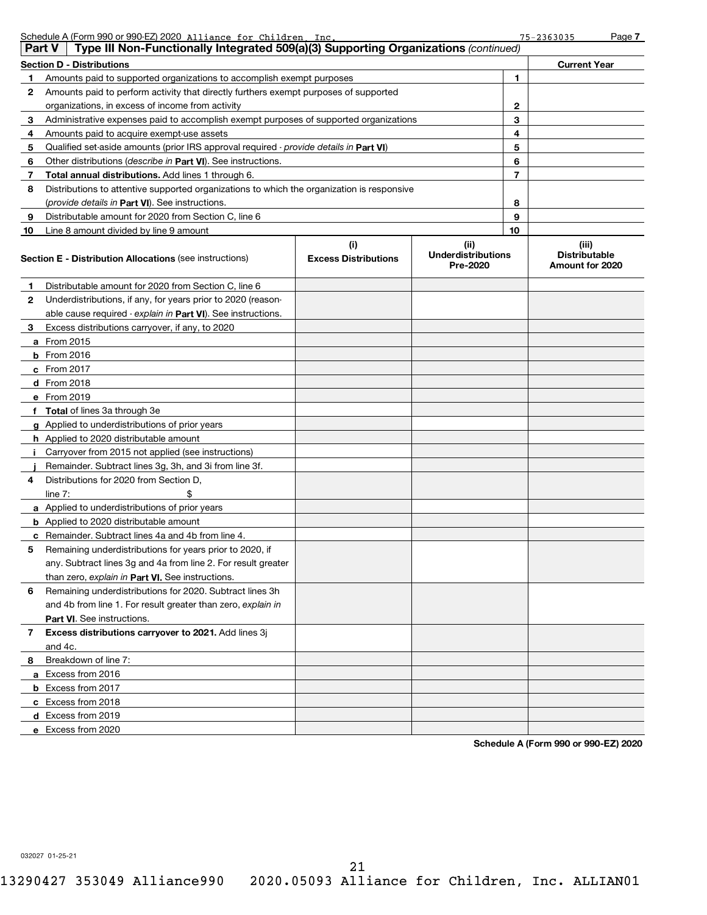|        | Schedule A (Form 990 or 990-EZ) 2020 Alliance for Children Inc.                            |                                    |                                               |    | $75 - 2363035$                                   | Page 7 |
|--------|--------------------------------------------------------------------------------------------|------------------------------------|-----------------------------------------------|----|--------------------------------------------------|--------|
| Part V | Type III Non-Functionally Integrated 509(a)(3) Supporting Organizations (continued)        |                                    |                                               |    |                                                  |        |
|        | <b>Section D - Distributions</b>                                                           |                                    |                                               |    | <b>Current Year</b>                              |        |
| 1      | Amounts paid to supported organizations to accomplish exempt purposes                      |                                    |                                               | 1  |                                                  |        |
| 2      | Amounts paid to perform activity that directly furthers exempt purposes of supported       |                                    |                                               |    |                                                  |        |
|        | organizations, in excess of income from activity                                           |                                    |                                               | 2  |                                                  |        |
| 3      | Administrative expenses paid to accomplish exempt purposes of supported organizations      |                                    |                                               | 3  |                                                  |        |
| 4      | Amounts paid to acquire exempt-use assets                                                  |                                    |                                               | 4  |                                                  |        |
| 5      | Qualified set-aside amounts (prior IRS approval required - provide details in Part VI)     |                                    |                                               | 5  |                                                  |        |
| 6      | Other distributions (describe in Part VI). See instructions.                               |                                    |                                               | 6  |                                                  |        |
| 7      | Total annual distributions. Add lines 1 through 6.                                         |                                    |                                               | 7  |                                                  |        |
| 8      | Distributions to attentive supported organizations to which the organization is responsive |                                    |                                               |    |                                                  |        |
|        | (provide details in Part VI). See instructions.                                            |                                    |                                               | 8  |                                                  |        |
| 9      | Distributable amount for 2020 from Section C, line 6                                       |                                    |                                               | 9  |                                                  |        |
| 10     | Line 8 amount divided by line 9 amount                                                     |                                    |                                               | 10 |                                                  |        |
|        | <b>Section E - Distribution Allocations (see instructions)</b>                             | (i)<br><b>Excess Distributions</b> | (ii)<br><b>Underdistributions</b><br>Pre-2020 |    | (iii)<br><b>Distributable</b><br>Amount for 2020 |        |
| 1      | Distributable amount for 2020 from Section C, line 6                                       |                                    |                                               |    |                                                  |        |
| 2      | Underdistributions, if any, for years prior to 2020 (reason-                               |                                    |                                               |    |                                                  |        |
|        | able cause required - explain in Part VI). See instructions.                               |                                    |                                               |    |                                                  |        |
| З.     | Excess distributions carryover, if any, to 2020                                            |                                    |                                               |    |                                                  |        |
|        | <b>a</b> From 2015                                                                         |                                    |                                               |    |                                                  |        |
|        | <b>b</b> From 2016                                                                         |                                    |                                               |    |                                                  |        |
|        | c From $2017$                                                                              |                                    |                                               |    |                                                  |        |
|        | $d$ From 2018                                                                              |                                    |                                               |    |                                                  |        |
|        | e From 2019                                                                                |                                    |                                               |    |                                                  |        |
|        | f Total of lines 3a through 3e                                                             |                                    |                                               |    |                                                  |        |
|        | g Applied to underdistributions of prior years                                             |                                    |                                               |    |                                                  |        |
|        | <b>h</b> Applied to 2020 distributable amount                                              |                                    |                                               |    |                                                  |        |
| j.     | Carryover from 2015 not applied (see instructions)                                         |                                    |                                               |    |                                                  |        |
|        | Remainder. Subtract lines 3g, 3h, and 3i from line 3f.                                     |                                    |                                               |    |                                                  |        |
| 4      | Distributions for 2020 from Section D.                                                     |                                    |                                               |    |                                                  |        |
|        | \$<br>line $7:$                                                                            |                                    |                                               |    |                                                  |        |
|        | a Applied to underdistributions of prior years                                             |                                    |                                               |    |                                                  |        |
|        | <b>b</b> Applied to 2020 distributable amount                                              |                                    |                                               |    |                                                  |        |
|        | <b>c</b> Remainder. Subtract lines 4a and 4b from line 4.                                  |                                    |                                               |    |                                                  |        |
|        | Remaining underdistributions for years prior to 2020, if                                   |                                    |                                               |    |                                                  |        |
|        | any. Subtract lines 3q and 4a from line 2. For result greater                              |                                    |                                               |    |                                                  |        |
|        | than zero, explain in Part VI. See instructions.                                           |                                    |                                               |    |                                                  |        |
| 6      | Remaining underdistributions for 2020. Subtract lines 3h                                   |                                    |                                               |    |                                                  |        |
|        | and 4b from line 1. For result greater than zero, explain in                               |                                    |                                               |    |                                                  |        |
|        | Part VI. See instructions.                                                                 |                                    |                                               |    |                                                  |        |
| 7      | Excess distributions carryover to 2021. Add lines 3j                                       |                                    |                                               |    |                                                  |        |
|        | and 4c.                                                                                    |                                    |                                               |    |                                                  |        |
| 8      | Breakdown of line 7:                                                                       |                                    |                                               |    |                                                  |        |
|        | a Excess from 2016                                                                         |                                    |                                               |    |                                                  |        |
|        | <b>b</b> Excess from 2017                                                                  |                                    |                                               |    |                                                  |        |
|        | c Excess from 2018                                                                         |                                    |                                               |    |                                                  |        |
|        | d Excess from 2019                                                                         |                                    |                                               |    |                                                  |        |
|        | e Excess from 2020                                                                         |                                    |                                               |    |                                                  |        |

**Schedule A (Form 990 or 990-EZ) 2020**

032027 01-25-21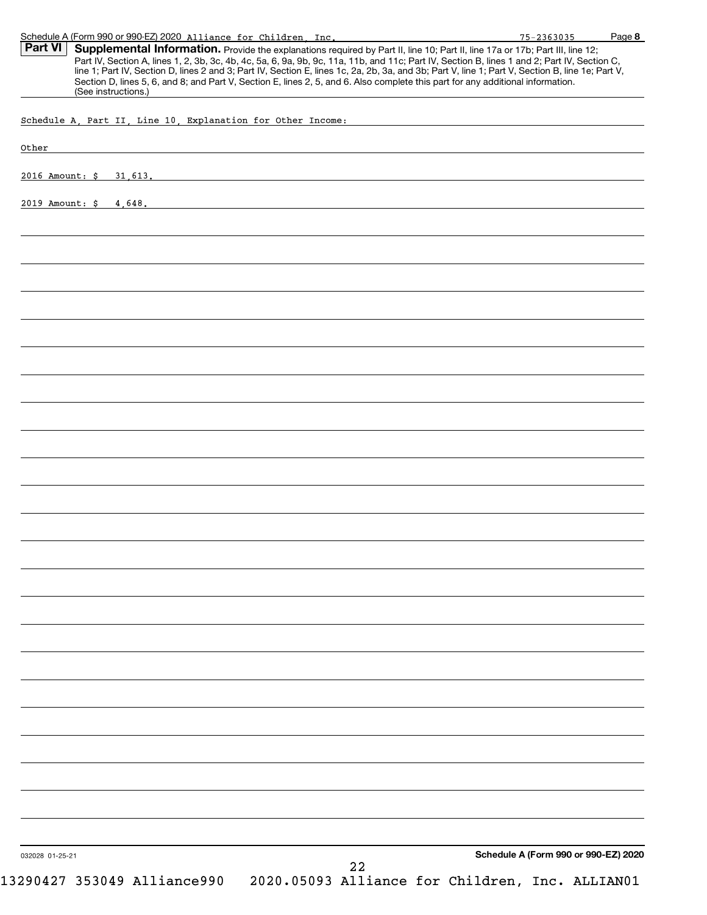| Schedule A (Form 990 or 990-EZ) 2020 Alliance for Children, Inc.                                                                                                                                                                                                                                                                                                                                                                                                                                                                                                                                       | $75 - 2363035$                       | Page 8 |
|--------------------------------------------------------------------------------------------------------------------------------------------------------------------------------------------------------------------------------------------------------------------------------------------------------------------------------------------------------------------------------------------------------------------------------------------------------------------------------------------------------------------------------------------------------------------------------------------------------|--------------------------------------|--------|
| Part VI<br>Supplemental Information. Provide the explanations required by Part II, line 10; Part II, line 17a or 17b; Part III, line 12;<br>Part IV, Section A, lines 1, 2, 3b, 3c, 4b, 4c, 5a, 6, 9a, 9b, 9c, 11a, 11b, and 11c; Part IV, Section B, lines 1 and 2; Part IV, Section C,<br>line 1; Part IV, Section D, lines 2 and 3; Part IV, Section E, lines 1c, 2a, 2b, 3a, and 3b; Part V, line 1; Part V, Section B, line 1e; Part V,<br>Section D, lines 5, 6, and 8; and Part V, Section E, lines 2, 5, and 6. Also complete this part for any additional information.<br>(See instructions.) |                                      |        |
| Schedule A, Part II, Line 10, Explanation for Other Income:                                                                                                                                                                                                                                                                                                                                                                                                                                                                                                                                            |                                      |        |
| Other                                                                                                                                                                                                                                                                                                                                                                                                                                                                                                                                                                                                  |                                      |        |
|                                                                                                                                                                                                                                                                                                                                                                                                                                                                                                                                                                                                        |                                      |        |
| 2016 Amount: \$ 31,613.                                                                                                                                                                                                                                                                                                                                                                                                                                                                                                                                                                                |                                      |        |
| 2019 Amount: \$ 4,648.                                                                                                                                                                                                                                                                                                                                                                                                                                                                                                                                                                                 |                                      |        |
|                                                                                                                                                                                                                                                                                                                                                                                                                                                                                                                                                                                                        |                                      |        |
|                                                                                                                                                                                                                                                                                                                                                                                                                                                                                                                                                                                                        |                                      |        |
|                                                                                                                                                                                                                                                                                                                                                                                                                                                                                                                                                                                                        |                                      |        |
|                                                                                                                                                                                                                                                                                                                                                                                                                                                                                                                                                                                                        |                                      |        |
|                                                                                                                                                                                                                                                                                                                                                                                                                                                                                                                                                                                                        |                                      |        |
|                                                                                                                                                                                                                                                                                                                                                                                                                                                                                                                                                                                                        |                                      |        |
|                                                                                                                                                                                                                                                                                                                                                                                                                                                                                                                                                                                                        |                                      |        |
|                                                                                                                                                                                                                                                                                                                                                                                                                                                                                                                                                                                                        |                                      |        |
|                                                                                                                                                                                                                                                                                                                                                                                                                                                                                                                                                                                                        |                                      |        |
|                                                                                                                                                                                                                                                                                                                                                                                                                                                                                                                                                                                                        |                                      |        |
|                                                                                                                                                                                                                                                                                                                                                                                                                                                                                                                                                                                                        |                                      |        |
|                                                                                                                                                                                                                                                                                                                                                                                                                                                                                                                                                                                                        |                                      |        |
|                                                                                                                                                                                                                                                                                                                                                                                                                                                                                                                                                                                                        |                                      |        |
|                                                                                                                                                                                                                                                                                                                                                                                                                                                                                                                                                                                                        |                                      |        |
|                                                                                                                                                                                                                                                                                                                                                                                                                                                                                                                                                                                                        |                                      |        |
|                                                                                                                                                                                                                                                                                                                                                                                                                                                                                                                                                                                                        |                                      |        |
|                                                                                                                                                                                                                                                                                                                                                                                                                                                                                                                                                                                                        |                                      |        |
|                                                                                                                                                                                                                                                                                                                                                                                                                                                                                                                                                                                                        |                                      |        |
|                                                                                                                                                                                                                                                                                                                                                                                                                                                                                                                                                                                                        |                                      |        |
|                                                                                                                                                                                                                                                                                                                                                                                                                                                                                                                                                                                                        |                                      |        |
|                                                                                                                                                                                                                                                                                                                                                                                                                                                                                                                                                                                                        |                                      |        |
|                                                                                                                                                                                                                                                                                                                                                                                                                                                                                                                                                                                                        |                                      |        |
|                                                                                                                                                                                                                                                                                                                                                                                                                                                                                                                                                                                                        |                                      |        |
|                                                                                                                                                                                                                                                                                                                                                                                                                                                                                                                                                                                                        |                                      |        |
|                                                                                                                                                                                                                                                                                                                                                                                                                                                                                                                                                                                                        |                                      |        |
|                                                                                                                                                                                                                                                                                                                                                                                                                                                                                                                                                                                                        |                                      |        |
| 032028 01-25-21<br>22                                                                                                                                                                                                                                                                                                                                                                                                                                                                                                                                                                                  | Schedule A (Form 990 or 990-EZ) 2020 |        |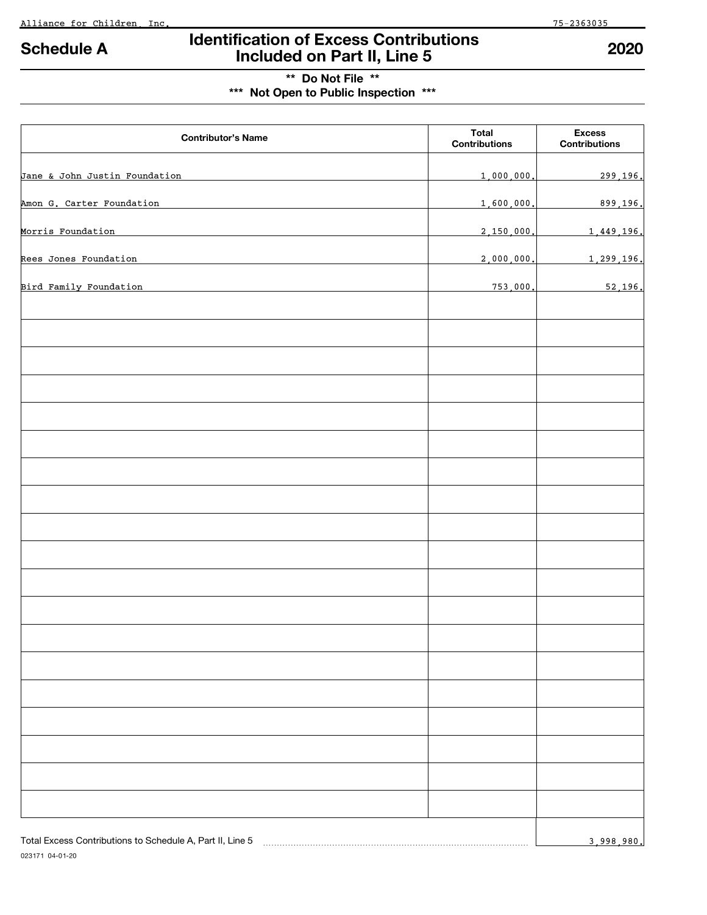023171 04-01-20

# **Identification of Excess Contributions Included on Part II, Line 5 Schedule A 2020**

## **\*\* Do Not File \*\***

**\*\*\* Not Open to Public Inspection \*\*\***

| <b>Contributor's Name</b>                                 | <b>Total</b><br><b>Contributions</b> | <b>Excess</b><br><b>Contributions</b> |
|-----------------------------------------------------------|--------------------------------------|---------------------------------------|
| Jane & John Justin Foundation                             | 1,000,000.                           | 299,196.                              |
| Amon G. Carter Foundation                                 | 1,600,000.                           | 899,196.                              |
| Morris Foundation                                         | 2,150,000.                           | 1,449,196.                            |
| Rees Jones Foundation                                     | 2,000,000                            | 1,299,196.                            |
| Bird Family Foundation                                    | 753,000                              | 52,196.                               |
|                                                           |                                      |                                       |
|                                                           |                                      |                                       |
|                                                           |                                      |                                       |
|                                                           |                                      |                                       |
|                                                           |                                      |                                       |
|                                                           |                                      |                                       |
|                                                           |                                      |                                       |
|                                                           |                                      |                                       |
|                                                           |                                      |                                       |
|                                                           |                                      |                                       |
|                                                           |                                      |                                       |
|                                                           |                                      |                                       |
|                                                           |                                      |                                       |
|                                                           |                                      |                                       |
|                                                           |                                      |                                       |
|                                                           |                                      |                                       |
|                                                           |                                      |                                       |
|                                                           |                                      |                                       |
|                                                           |                                      |                                       |
|                                                           |                                      |                                       |
| Total Excess Contributions to Schedule A, Part II, Line 5 |                                      | 3,998,980.                            |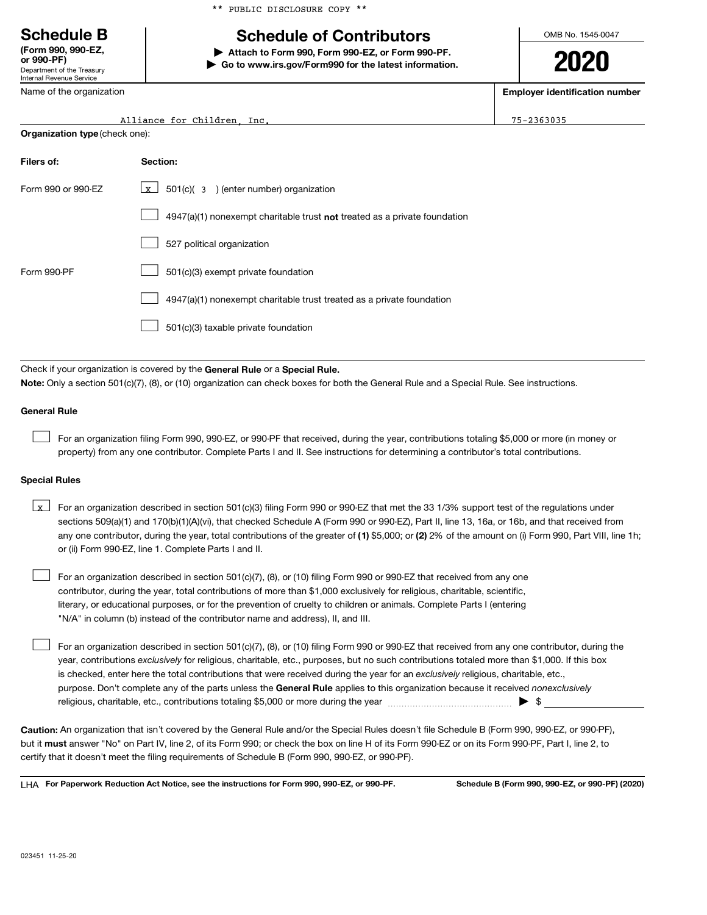**(Form 990, 990-EZ,**

Department of the Treasury Internal Revenue Service

Name of the organization

\*\* PUBLIC DISCLOSURE COPY \*\*

## **Schedule B Schedule of Contributors**

**or 990-PF) | Attach to Form 990, Form 990-EZ, or Form 990-PF. | Go to www.irs.gov/Form990 for the latest information.** OMB No. 1545-0047

**2020**

**Employer identification number**

Alliance for Children, Inc. 75-2363035

| Organization type (check one): |  |
|--------------------------------|--|
|--------------------------------|--|

| Filers of:         | Section:                                                                    |
|--------------------|-----------------------------------------------------------------------------|
| Form 990 or 990-FZ | $501(c)$ (3) (enter number) organization<br>$\mathbf{x}$                    |
|                    | $4947(a)(1)$ nonexempt charitable trust not treated as a private foundation |
|                    | 527 political organization                                                  |
| Form 990-PF        | 501(c)(3) exempt private foundation                                         |
|                    | 4947(a)(1) nonexempt charitable trust treated as a private foundation       |
|                    | 501(c)(3) taxable private foundation                                        |

Check if your organization is covered by the General Rule or a Special Rule.

**Note:**  Only a section 501(c)(7), (8), or (10) organization can check boxes for both the General Rule and a Special Rule. See instructions.

## **General Rule**

For an organization filing Form 990, 990-EZ, or 990-PF that received, during the year, contributions totaling \$5,000 or more (in money or property) from any one contributor. Complete Parts I and II. See instructions for determining a contributor's total contributions.  $\mathcal{L}_{\mathcal{A}}$ 

## **Special Rules**

|  | $\sqrt{x}$ For an organization described in section 501(c)(3) filing Form 990 or 990-EZ that met the 33 1/3% support test of the regulations under    |
|--|-------------------------------------------------------------------------------------------------------------------------------------------------------|
|  | sections 509(a)(1) and 170(b)(1)(A)(vi), that checked Schedule A (Form 990 or 990-EZ), Part II, line 13, 16a, or 16b, and that received from          |
|  | any one contributor, during the year, total contributions of the greater of (1) \$5,000; or (2) 2% of the amount on (i) Form 990, Part VIII, line 1h; |
|  | or (ii) Form 990-EZ, line 1. Complete Parts I and II.                                                                                                 |

For an organization described in section 501(c)(7), (8), or (10) filing Form 990 or 990-EZ that received from any one contributor, during the year, total contributions of more than \$1,000 exclusively for religious, charitable, scientific, literary, or educational purposes, or for the prevention of cruelty to children or animals. Complete Parts I (entering "N/A" in column (b) instead of the contributor name and address), II, and III.  $\mathcal{L}_{\mathcal{A}}$ 

purpose. Don't complete any of the parts unless the General Rule applies to this organization because it received nonexclusively year, contributions *exclusively* for religious, charitable, etc., purposes, but no such contributions totaled more than \$1,000. If this box is checked, enter here the total contributions that were received during the year for an exclusively religious, charitable, etc., For an organization described in section 501(c)(7), (8), or (10) filing Form 990 or 990-EZ that received from any one contributor, during the religious, charitable, etc., contributions totaling \$5,000 or more during the year  $\ldots$  $\ldots$  $\ldots$  $\ldots$  $\ldots$  $\ldots$  $\mathcal{L}_{\mathcal{A}}$ 

**Caution:**  An organization that isn't covered by the General Rule and/or the Special Rules doesn't file Schedule B (Form 990, 990-EZ, or 990-PF), but it **must** answer "No" on Part IV, line 2, of its Form 990; or check the box on line H of its Form 990-EZ or on its Form 990-PF, Part I, line 2, to certify that it doesn't meet the filing requirements of Schedule B (Form 990, 990-EZ, or 990-PF).

LHA For Paperwork Reduction Act Notice, see the instructions for Form 990, 990-EZ, or 990-PF. Schedule B (Form 990, 990-EZ, or 990-PF) (2020)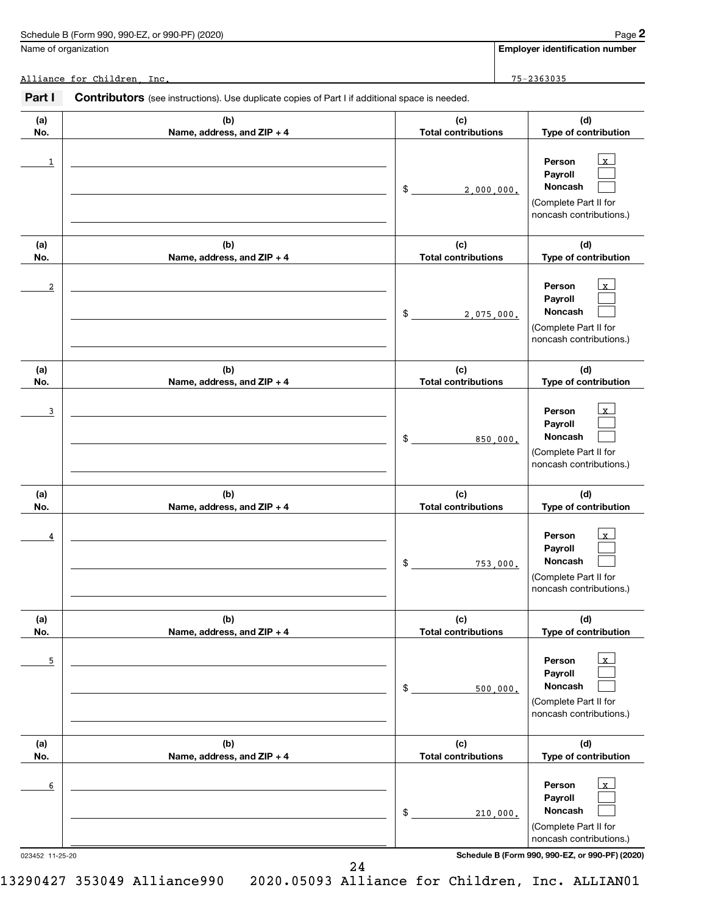| Schedule B (Form 990, 990-EZ, or 990-PF) (2020) | Page |
|-------------------------------------------------|------|
|-------------------------------------------------|------|

Name of organization

**Employer identification number**

**2**

Alliance for Children, Inc. 75-2363035

| Part I     | <b>Contributors</b> (see instructions). Use duplicate copies of Part I if additional space is needed. |                                   |                                                                                                             |
|------------|-------------------------------------------------------------------------------------------------------|-----------------------------------|-------------------------------------------------------------------------------------------------------------|
| (a)<br>No. | (b)<br>Name, address, and ZIP + 4                                                                     | (c)<br><b>Total contributions</b> | (d)<br>Type of contribution                                                                                 |
| 1          |                                                                                                       | \$<br>2,000,000.                  | $\mathbf{x}$<br>Person<br>Payroll<br>Noncash<br>(Complete Part II for<br>noncash contributions.)            |
| (a)<br>No. | (b)<br>Name, address, and ZIP + 4                                                                     | (c)<br><b>Total contributions</b> | (d)<br>Type of contribution                                                                                 |
| 2          |                                                                                                       | \$<br>2,075,000.                  | $\mathbf{x}$<br>Person<br>Payroll<br>Noncash<br>(Complete Part II for<br>noncash contributions.)            |
| (a)<br>No. | (b)<br>Name, address, and ZIP + 4                                                                     | (c)<br><b>Total contributions</b> | (d)<br>Type of contribution                                                                                 |
| 3          |                                                                                                       | \$<br>850,000.                    | $\mathbf{x}$<br>Person<br>Payroll<br>Noncash<br>(Complete Part II for<br>noncash contributions.)            |
| (a)<br>No. | (b)<br>Name, address, and ZIP + 4                                                                     | (c)<br><b>Total contributions</b> | (d)<br>Type of contribution                                                                                 |
| 4          |                                                                                                       | \$<br>753,000.                    | $\mathbf{x}$<br>Person<br>Payroll<br>Noncash<br>(Complete Part II for<br>noncash contributions.)            |
| (a)<br>No. | (b)<br>Name, address, and ZIP + 4                                                                     | (c)<br><b>Total contributions</b> | (d)<br>Type of contribution                                                                                 |
| 5          |                                                                                                       | \$<br>500,000.                    | $\overline{\mathbf{x}}$<br>Person<br>Payroll<br>Noncash<br>(Complete Part II for<br>noncash contributions.) |
| (a)<br>No. | (b)<br>Name, address, and ZIP + 4                                                                     | (c)<br><b>Total contributions</b> | (d)<br>Type of contribution                                                                                 |
| 6          |                                                                                                       | \$<br>210,000.                    | $\mathbf{x}$<br>Person<br>Payroll<br>Noncash<br>(Complete Part II for<br>noncash contributions.)            |

023452 11-25-20 **Schedule B (Form 990, 990-EZ, or 990-PF) (2020)**

24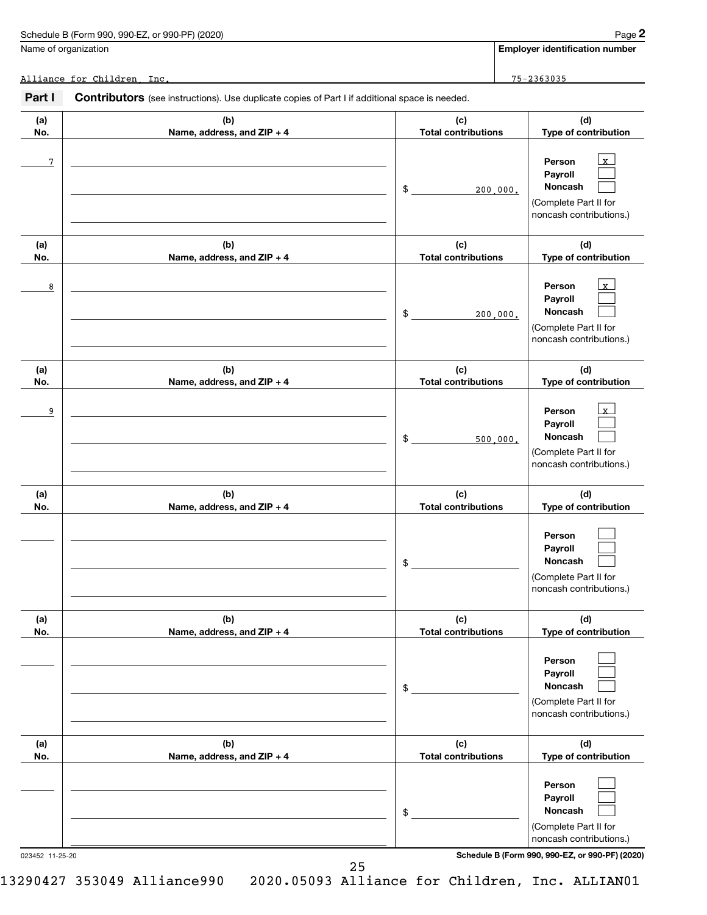Name of organization

**Employer identification number**

**2**

Alliance for Children, Inc. 75-2363035

| Part I     | Contributors (see instructions). Use duplicate copies of Part I if additional space is needed. |                                   |                                                                                                             |
|------------|------------------------------------------------------------------------------------------------|-----------------------------------|-------------------------------------------------------------------------------------------------------------|
| (a)<br>No. | (b)<br>Name, address, and ZIP + 4                                                              | (c)<br><b>Total contributions</b> | (d)<br>Type of contribution                                                                                 |
| 7          |                                                                                                | \$<br>200,000.                    | $\mathbf{x}$<br>Person<br>Payroll<br>Noncash<br>(Complete Part II for<br>noncash contributions.)            |
| (a)<br>No. | (b)<br>Name, address, and ZIP + 4                                                              | (c)<br><b>Total contributions</b> | (d)<br>Type of contribution                                                                                 |
| 8          |                                                                                                | \$<br>200,000.                    | $\mathbf{x}$<br>Person<br>Payroll<br>Noncash<br>(Complete Part II for<br>noncash contributions.)            |
| (a)<br>No. | (b)<br>Name, address, and ZIP + 4                                                              | (c)<br><b>Total contributions</b> | (d)<br>Type of contribution                                                                                 |
| 9          |                                                                                                | \$<br>500,000.                    | $\overline{\mathbf{x}}$<br>Person<br>Payroll<br>Noncash<br>(Complete Part II for<br>noncash contributions.) |
| (a)<br>No. | (b)<br>Name, address, and ZIP + 4                                                              | (c)<br><b>Total contributions</b> | (d)<br>Type of contribution                                                                                 |
|            |                                                                                                | \$                                | Person<br>Payroll<br>Noncash<br>(Complete Part II for<br>noncash contributions.)                            |
| (a)<br>No. | (b)<br>Name, address, and ZIP + 4                                                              | (c)<br><b>Total contributions</b> | (d)<br>Type of contribution                                                                                 |
|            |                                                                                                | \$                                | Person<br>Payroll<br>Noncash<br>(Complete Part II for<br>noncash contributions.)                            |
| (a)<br>No. | (b)<br>Name, address, and ZIP + 4                                                              | (c)<br><b>Total contributions</b> | (d)<br>Type of contribution                                                                                 |
|            |                                                                                                | \$                                | Person<br>Payroll<br>Noncash<br>(Complete Part II for<br>noncash contributions.)                            |

023452 11-25-20 **Schedule B (Form 990, 990-EZ, or 990-PF) (2020)**

25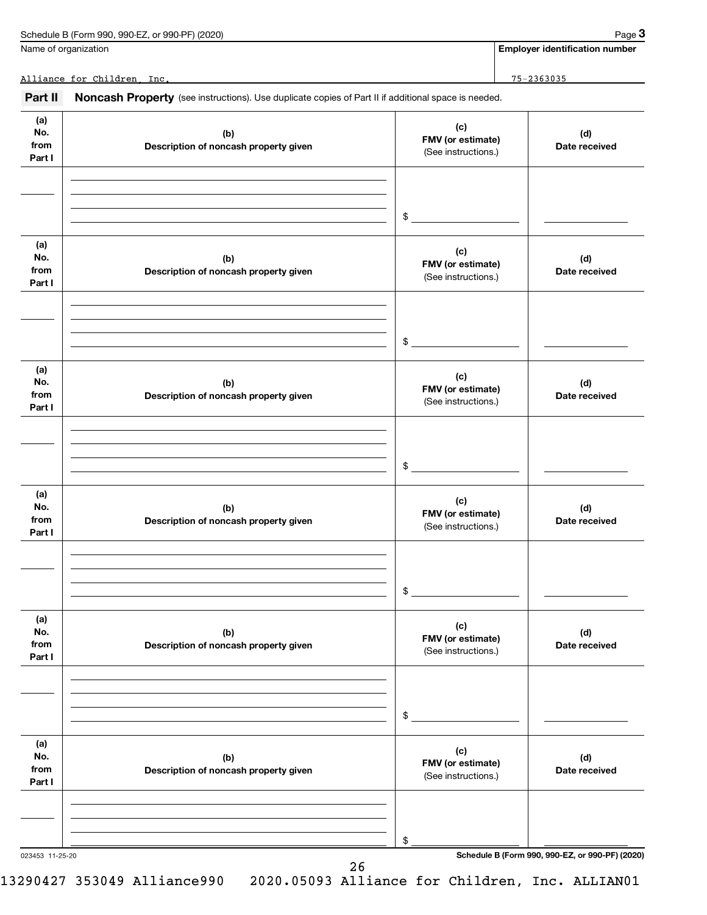Name of organization

**Employer identification number**

Alliance for Children, Inc. 75-2363035

| Part II                      | Noncash Property (see instructions). Use duplicate copies of Part II if additional space is needed. |                                                 |                      |
|------------------------------|-----------------------------------------------------------------------------------------------------|-------------------------------------------------|----------------------|
| (a)<br>No.<br>from<br>Part I | (b)<br>Description of noncash property given                                                        | (c)<br>FMV (or estimate)<br>(See instructions.) | (d)<br>Date received |
|                              |                                                                                                     | \$                                              |                      |
| (a)<br>No.<br>from<br>Part I | (b)<br>Description of noncash property given                                                        | (c)<br>FMV (or estimate)<br>(See instructions.) | (d)<br>Date received |
|                              |                                                                                                     | \$                                              |                      |
| (a)<br>No.<br>from<br>Part I | (b)<br>Description of noncash property given                                                        | (c)<br>FMV (or estimate)<br>(See instructions.) | (d)<br>Date received |
|                              |                                                                                                     | \$                                              |                      |
| (a)<br>No.<br>from<br>Part I | (b)<br>Description of noncash property given                                                        | (c)<br>FMV (or estimate)<br>(See instructions.) | (d)<br>Date received |
|                              |                                                                                                     | \$                                              |                      |
| (a)<br>No.<br>from<br>Part I | (b)<br>Description of noncash property given                                                        | (c)<br>FMV (or estimate)<br>(See instructions.) | (d)<br>Date received |
|                              |                                                                                                     | \$                                              |                      |
| (a)<br>No.<br>from<br>Part I | (b)<br>Description of noncash property given                                                        | (c)<br>FMV (or estimate)<br>(See instructions.) | (d)<br>Date received |
|                              |                                                                                                     | \$                                              |                      |

26

023453 11-25-20 **Schedule B (Form 990, 990-EZ, or 990-PF) (2020)**

13290427 353049 Alliance990 2020.05093 Alliance for Children, Inc. ALLIAN01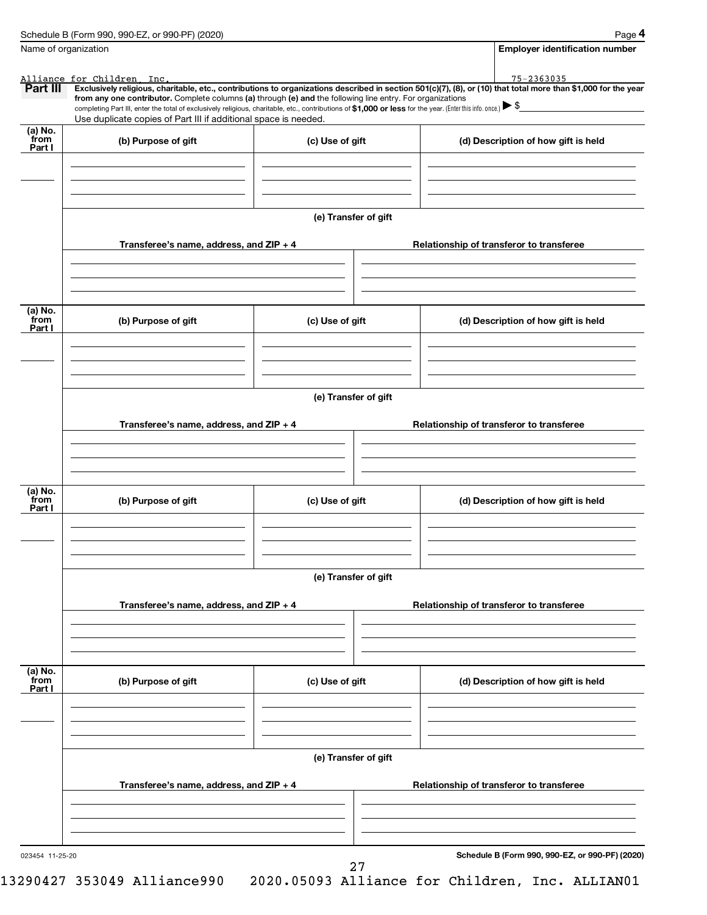|                 | Schedule B (Form 990, 990-EZ, or 990-PF) (2020)                                                                                                                                                                                                                              |                      |  | Page 4                                          |  |  |
|-----------------|------------------------------------------------------------------------------------------------------------------------------------------------------------------------------------------------------------------------------------------------------------------------------|----------------------|--|-------------------------------------------------|--|--|
|                 | Name of organization                                                                                                                                                                                                                                                         |                      |  | <b>Employer identification number</b>           |  |  |
|                 | Alliance for Children Inc.                                                                                                                                                                                                                                                   |                      |  | 75-2363035                                      |  |  |
| Part III        | Exclusively religious, charitable, etc., contributions to organizations described in section 501(c)(7), (8), or (10) that total more than \$1,000 for the year<br>from any one contributor. Complete columns (a) through (e) and the following line entry. For organizations |                      |  |                                                 |  |  |
|                 | completing Part III, enter the total of exclusively religious, charitable, etc., contributions of \$1,000 or less for the year. (Enter this info. once.) $\triangleright$ \$                                                                                                 |                      |  |                                                 |  |  |
|                 | Use duplicate copies of Part III if additional space is needed.                                                                                                                                                                                                              |                      |  |                                                 |  |  |
| (a) No.<br>from |                                                                                                                                                                                                                                                                              |                      |  |                                                 |  |  |
| Part I          | (b) Purpose of gift                                                                                                                                                                                                                                                          | (c) Use of gift      |  | (d) Description of how gift is held             |  |  |
|                 |                                                                                                                                                                                                                                                                              |                      |  |                                                 |  |  |
|                 |                                                                                                                                                                                                                                                                              |                      |  |                                                 |  |  |
|                 |                                                                                                                                                                                                                                                                              |                      |  |                                                 |  |  |
|                 |                                                                                                                                                                                                                                                                              |                      |  |                                                 |  |  |
|                 |                                                                                                                                                                                                                                                                              | (e) Transfer of gift |  |                                                 |  |  |
|                 |                                                                                                                                                                                                                                                                              |                      |  |                                                 |  |  |
|                 | Transferee's name, address, and $ZIP + 4$                                                                                                                                                                                                                                    |                      |  | Relationship of transferor to transferee        |  |  |
|                 |                                                                                                                                                                                                                                                                              |                      |  |                                                 |  |  |
|                 |                                                                                                                                                                                                                                                                              |                      |  |                                                 |  |  |
|                 |                                                                                                                                                                                                                                                                              |                      |  |                                                 |  |  |
|                 |                                                                                                                                                                                                                                                                              |                      |  |                                                 |  |  |
| (a) No.<br>from | (b) Purpose of gift                                                                                                                                                                                                                                                          | (c) Use of gift      |  | (d) Description of how gift is held             |  |  |
| Part I          |                                                                                                                                                                                                                                                                              |                      |  |                                                 |  |  |
|                 |                                                                                                                                                                                                                                                                              |                      |  |                                                 |  |  |
|                 |                                                                                                                                                                                                                                                                              |                      |  |                                                 |  |  |
|                 |                                                                                                                                                                                                                                                                              |                      |  |                                                 |  |  |
|                 |                                                                                                                                                                                                                                                                              |                      |  |                                                 |  |  |
|                 | (e) Transfer of gift                                                                                                                                                                                                                                                         |                      |  |                                                 |  |  |
|                 |                                                                                                                                                                                                                                                                              |                      |  |                                                 |  |  |
|                 | Transferee's name, address, and ZIP + 4                                                                                                                                                                                                                                      |                      |  | Relationship of transferor to transferee        |  |  |
|                 |                                                                                                                                                                                                                                                                              |                      |  |                                                 |  |  |
|                 |                                                                                                                                                                                                                                                                              |                      |  |                                                 |  |  |
|                 |                                                                                                                                                                                                                                                                              |                      |  |                                                 |  |  |
| (a) No.         |                                                                                                                                                                                                                                                                              |                      |  |                                                 |  |  |
| from<br>Part I  | (b) Purpose of gift                                                                                                                                                                                                                                                          | (c) Use of gift      |  | (d) Description of how gift is held             |  |  |
|                 |                                                                                                                                                                                                                                                                              |                      |  |                                                 |  |  |
|                 |                                                                                                                                                                                                                                                                              |                      |  |                                                 |  |  |
|                 |                                                                                                                                                                                                                                                                              |                      |  |                                                 |  |  |
|                 |                                                                                                                                                                                                                                                                              |                      |  |                                                 |  |  |
|                 |                                                                                                                                                                                                                                                                              | (e) Transfer of gift |  |                                                 |  |  |
|                 |                                                                                                                                                                                                                                                                              |                      |  |                                                 |  |  |
|                 | Transferee's name, address, and ZIP + 4                                                                                                                                                                                                                                      |                      |  | Relationship of transferor to transferee        |  |  |
|                 |                                                                                                                                                                                                                                                                              |                      |  |                                                 |  |  |
|                 |                                                                                                                                                                                                                                                                              |                      |  |                                                 |  |  |
|                 |                                                                                                                                                                                                                                                                              |                      |  |                                                 |  |  |
| (a) No.         |                                                                                                                                                                                                                                                                              |                      |  |                                                 |  |  |
| from            | (b) Purpose of gift                                                                                                                                                                                                                                                          | (c) Use of gift      |  | (d) Description of how gift is held             |  |  |
| Part I          |                                                                                                                                                                                                                                                                              |                      |  |                                                 |  |  |
|                 |                                                                                                                                                                                                                                                                              |                      |  |                                                 |  |  |
|                 |                                                                                                                                                                                                                                                                              |                      |  |                                                 |  |  |
|                 |                                                                                                                                                                                                                                                                              |                      |  |                                                 |  |  |
|                 |                                                                                                                                                                                                                                                                              | (e) Transfer of gift |  |                                                 |  |  |
|                 |                                                                                                                                                                                                                                                                              |                      |  |                                                 |  |  |
|                 | Transferee's name, address, and ZIP + 4                                                                                                                                                                                                                                      |                      |  | Relationship of transferor to transferee        |  |  |
|                 |                                                                                                                                                                                                                                                                              |                      |  |                                                 |  |  |
|                 |                                                                                                                                                                                                                                                                              |                      |  |                                                 |  |  |
|                 |                                                                                                                                                                                                                                                                              |                      |  |                                                 |  |  |
|                 |                                                                                                                                                                                                                                                                              |                      |  |                                                 |  |  |
| 023454 11-25-20 |                                                                                                                                                                                                                                                                              |                      |  | Schedule B (Form 990, 990-EZ, or 990-PF) (2020) |  |  |
|                 |                                                                                                                                                                                                                                                                              | 27                   |  |                                                 |  |  |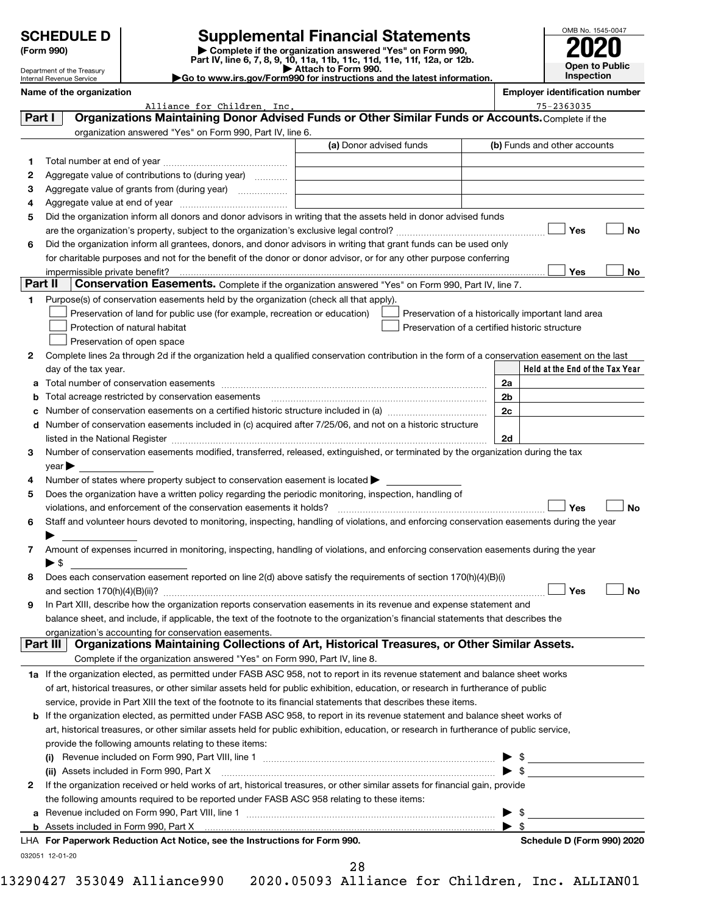| <b>SCHEDULE D</b> |  |  |  |
|-------------------|--|--|--|
|                   |  |  |  |
|                   |  |  |  |

### Department of the Treasury Internal Revenue Service

**(Form 990) | Complete if the organization answered "Yes" on Form 990, Part IV, line 6, 7, 8, 9, 10, 11a, 11b, 11c, 11d, 11e, 11f, 12a, or 12b. SCHEDULE D Supplemental Financial Statements**<br> **Form 990 2020**<br> **Part IV** line 6.7.8.9.10, 11a, 11b, 11d, 11d, 11d, 11d, 11d, 12a, 9r.12b

**| Attach to Form 990. |Go to www.irs.gov/Form990 for instructions and the latest information.**



| <b>Employer identification number</b><br>Name of the organization |
|-------------------------------------------------------------------|
|-------------------------------------------------------------------|

|              |                          | Alliance for Children, Inc.                                                                                                                                                                                                                                                                | $75 - 2363035$                                     |
|--------------|--------------------------|--------------------------------------------------------------------------------------------------------------------------------------------------------------------------------------------------------------------------------------------------------------------------------------------|----------------------------------------------------|
| Part I       |                          | Organizations Maintaining Donor Advised Funds or Other Similar Funds or Accounts. Complete if the                                                                                                                                                                                          |                                                    |
|              |                          | organization answered "Yes" on Form 990, Part IV, line 6.                                                                                                                                                                                                                                  |                                                    |
|              |                          | (a) Donor advised funds                                                                                                                                                                                                                                                                    | (b) Funds and other accounts                       |
| 1.           |                          |                                                                                                                                                                                                                                                                                            |                                                    |
| 2            |                          | Aggregate value of contributions to (during year)                                                                                                                                                                                                                                          |                                                    |
| з            |                          | Aggregate value of grants from (during year)                                                                                                                                                                                                                                               |                                                    |
| 4            |                          |                                                                                                                                                                                                                                                                                            |                                                    |
| 5            |                          | Did the organization inform all donors and donor advisors in writing that the assets held in donor advised funds                                                                                                                                                                           |                                                    |
|              |                          |                                                                                                                                                                                                                                                                                            | Yes<br>No                                          |
| 6            |                          | Did the organization inform all grantees, donors, and donor advisors in writing that grant funds can be used only                                                                                                                                                                          |                                                    |
|              |                          | for charitable purposes and not for the benefit of the donor or donor advisor, or for any other purpose conferring                                                                                                                                                                         |                                                    |
|              |                          |                                                                                                                                                                                                                                                                                            | Yes<br>No                                          |
| Part II      |                          | Conservation Easements. Complete if the organization answered "Yes" on Form 990, Part IV, line 7.                                                                                                                                                                                          |                                                    |
| 1            |                          | Purpose(s) of conservation easements held by the organization (check all that apply).                                                                                                                                                                                                      |                                                    |
|              |                          | Preservation of land for public use (for example, recreation or education)                                                                                                                                                                                                                 | Preservation of a historically important land area |
|              |                          | Protection of natural habitat                                                                                                                                                                                                                                                              | Preservation of a certified historic structure     |
|              |                          | Preservation of open space                                                                                                                                                                                                                                                                 |                                                    |
| 2            |                          | Complete lines 2a through 2d if the organization held a qualified conservation contribution in the form of a conservation easement on the last                                                                                                                                             |                                                    |
|              |                          | day of the tax year.                                                                                                                                                                                                                                                                       | Held at the End of the Tax Year                    |
| а            |                          |                                                                                                                                                                                                                                                                                            | 2a                                                 |
| b            |                          |                                                                                                                                                                                                                                                                                            | 2b                                                 |
| c            |                          |                                                                                                                                                                                                                                                                                            | 2c                                                 |
| d            |                          | Number of conservation easements included in (c) acquired after 7/25/06, and not on a historic structure                                                                                                                                                                                   |                                                    |
|              |                          | listed in the National Register [11] matter and the National Register [11] matter is not all the National Register [11] matter is not all the National Register [11] matter is not all the National Register [11] matter is no                                                             | 2d                                                 |
| 3            |                          | Number of conservation easements modified, transferred, released, extinguished, or terminated by the organization during the tax                                                                                                                                                           |                                                    |
|              | $\mathsf{year}$          |                                                                                                                                                                                                                                                                                            |                                                    |
| 4            |                          | Number of states where property subject to conservation easement is located >                                                                                                                                                                                                              |                                                    |
| 5            |                          | Does the organization have a written policy regarding the periodic monitoring, inspection, handling of                                                                                                                                                                                     |                                                    |
|              |                          | violations, and enforcement of the conservation easements it holds?                                                                                                                                                                                                                        | Yes<br>No                                          |
| 6            |                          | Staff and volunteer hours devoted to monitoring, inspecting, handling of violations, and enforcing conservation easements during the year                                                                                                                                                  |                                                    |
|              |                          |                                                                                                                                                                                                                                                                                            |                                                    |
| 7            |                          | Amount of expenses incurred in monitoring, inspecting, handling of violations, and enforcing conservation easements during the year                                                                                                                                                        |                                                    |
|              | $\blacktriangleright$ \$ |                                                                                                                                                                                                                                                                                            |                                                    |
| 8            |                          | Does each conservation easement reported on line 2(d) above satisfy the requirements of section 170(h)(4)(B)(i)                                                                                                                                                                            |                                                    |
|              |                          |                                                                                                                                                                                                                                                                                            | Yes<br>No                                          |
| 9            |                          | In Part XIII, describe how the organization reports conservation easements in its revenue and expense statement and                                                                                                                                                                        |                                                    |
|              |                          | balance sheet, and include, if applicable, the text of the footnote to the organization's financial statements that describes the                                                                                                                                                          |                                                    |
|              | Part III                 | organization's accounting for conservation easements.<br>Organizations Maintaining Collections of Art, Historical Treasures, or Other Similar Assets.                                                                                                                                      |                                                    |
|              |                          | Complete if the organization answered "Yes" on Form 990, Part IV, line 8.                                                                                                                                                                                                                  |                                                    |
|              |                          | 1a If the organization elected, as permitted under FASB ASC 958, not to report in its revenue statement and balance sheet works                                                                                                                                                            |                                                    |
|              |                          |                                                                                                                                                                                                                                                                                            |                                                    |
|              |                          | of art, historical treasures, or other similar assets held for public exhibition, education, or research in furtherance of public<br>service, provide in Part XIII the text of the footnote to its financial statements that describes these items.                                        |                                                    |
|              |                          |                                                                                                                                                                                                                                                                                            |                                                    |
| b            |                          | If the organization elected, as permitted under FASB ASC 958, to report in its revenue statement and balance sheet works of<br>art, historical treasures, or other similar assets held for public exhibition, education, or research in furtherance of public service,                     |                                                    |
|              |                          | provide the following amounts relating to these items:                                                                                                                                                                                                                                     |                                                    |
|              |                          |                                                                                                                                                                                                                                                                                            |                                                    |
|              |                          | (i) Revenue included on Form 990, Part VIII, line 1 $\ldots$ $\ldots$ $\ldots$ $\ldots$ $\ldots$ $\ldots$ $\ldots$ $\ldots$ $\ldots$ $\ldots$ $\ldots$ $\ldots$ $\ldots$<br>(ii) Assets included in Form 990, Part X [11] [2000] [2010] Assets included in Form 990, Part X [11] [11] [201 | $\blacktriangleright$ \$                           |
| $\mathbf{2}$ |                          | If the organization received or held works of art, historical treasures, or other similar assets for financial gain, provide                                                                                                                                                               |                                                    |
|              |                          | the following amounts required to be reported under FASB ASC 958 relating to these items:                                                                                                                                                                                                  |                                                    |
|              |                          |                                                                                                                                                                                                                                                                                            | \$                                                 |
|              |                          | b Assets included in Form 990, Part X [11] Marten and Martin and Martin Assets included in Form 990, Part X [11] Marten and Martin Assets included in Form 990, Part X [11] Marten and Marten and Martin Assets in Marten and                                                              | \$                                                 |
|              |                          | LHA For Paperwork Reduction Act Notice, see the Instructions for Form 990.                                                                                                                                                                                                                 | Schedule D (Form 990) 2020                         |
|              | 032051 12-01-20          |                                                                                                                                                                                                                                                                                            |                                                    |
|              |                          | 28                                                                                                                                                                                                                                                                                         |                                                    |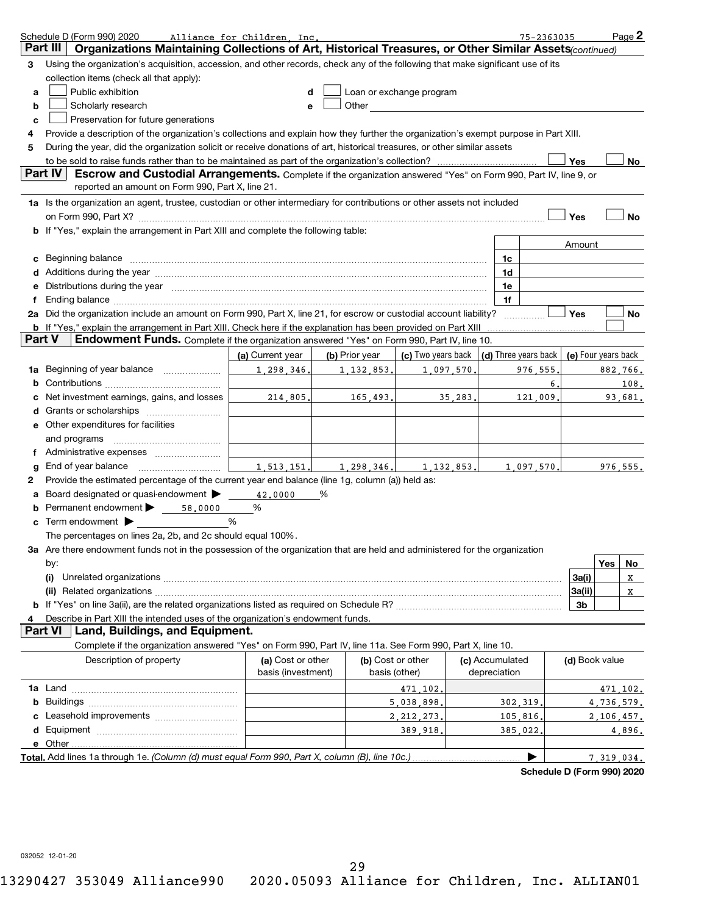|               | Schedule D (Form 990) 2020                                                                                                           | Alliance for Children Inc.              |   |                |                                                                                                                                                                                                                                     |              |              |                 | 75-2363035           |                     |            | Page 2    |
|---------------|--------------------------------------------------------------------------------------------------------------------------------------|-----------------------------------------|---|----------------|-------------------------------------------------------------------------------------------------------------------------------------------------------------------------------------------------------------------------------------|--------------|--------------|-----------------|----------------------|---------------------|------------|-----------|
| Part III      | Organizations Maintaining Collections of Art, Historical Treasures, or Other Similar Assets(continued)                               |                                         |   |                |                                                                                                                                                                                                                                     |              |              |                 |                      |                     |            |           |
| 3             | Using the organization's acquisition, accession, and other records, check any of the following that make significant use of its      |                                         |   |                |                                                                                                                                                                                                                                     |              |              |                 |                      |                     |            |           |
|               | collection items (check all that apply):                                                                                             |                                         |   |                |                                                                                                                                                                                                                                     |              |              |                 |                      |                     |            |           |
| a             | Public exhibition                                                                                                                    | d                                       |   |                | Loan or exchange program                                                                                                                                                                                                            |              |              |                 |                      |                     |            |           |
| b             | Scholarly research                                                                                                                   | e                                       |   |                | Other <b>Community</b> Change of the Community of the Community of the Community of the Community of the Community of the Community of the Community of the Community of the Community of the Community of the Community of the Com |              |              |                 |                      |                     |            |           |
| c             | Preservation for future generations                                                                                                  |                                         |   |                |                                                                                                                                                                                                                                     |              |              |                 |                      |                     |            |           |
| 4             | Provide a description of the organization's collections and explain how they further the organization's exempt purpose in Part XIII. |                                         |   |                |                                                                                                                                                                                                                                     |              |              |                 |                      |                     |            |           |
| 5             | During the year, did the organization solicit or receive donations of art, historical treasures, or other similar assets             |                                         |   |                |                                                                                                                                                                                                                                     |              |              |                 |                      |                     |            |           |
|               |                                                                                                                                      |                                         |   |                |                                                                                                                                                                                                                                     |              |              |                 |                      | Yes                 |            | No        |
|               | Part IV<br>Escrow and Custodial Arrangements. Complete if the organization answered "Yes" on Form 990, Part IV, line 9, or           |                                         |   |                |                                                                                                                                                                                                                                     |              |              |                 |                      |                     |            |           |
|               | reported an amount on Form 990, Part X, line 21.                                                                                     |                                         |   |                |                                                                                                                                                                                                                                     |              |              |                 |                      |                     |            |           |
|               | 1a Is the organization an agent, trustee, custodian or other intermediary for contributions or other assets not included             |                                         |   |                |                                                                                                                                                                                                                                     |              |              |                 |                      |                     |            |           |
|               | on Form 990, Part X? [11] The Content of the Content of Table 1 and Table 1 and Table 1 and Table 1 and Table 1                      |                                         |   |                |                                                                                                                                                                                                                                     |              |              |                 |                      | Yes                 |            | <b>No</b> |
|               | <b>b</b> If "Yes," explain the arrangement in Part XIII and complete the following table:                                            |                                         |   |                |                                                                                                                                                                                                                                     |              |              |                 |                      |                     |            |           |
|               |                                                                                                                                      |                                         |   |                |                                                                                                                                                                                                                                     |              |              |                 |                      | Amount              |            |           |
|               | Beginning balance                                                                                                                    |                                         |   |                |                                                                                                                                                                                                                                     |              |              | 1c              |                      |                     |            |           |
| с<br>d        |                                                                                                                                      |                                         |   |                |                                                                                                                                                                                                                                     |              |              | 1d              |                      |                     |            |           |
| е             |                                                                                                                                      |                                         |   |                |                                                                                                                                                                                                                                     |              |              | 1e              |                      |                     |            |           |
| f             | Distributions during the year manufactured and continuum control of the state of the state of the state of the                       |                                         |   |                |                                                                                                                                                                                                                                     |              |              | 1f              |                      |                     |            |           |
|               | 2a Did the organization include an amount on Form 990, Part X, line 21, for escrow or custodial account liability?                   |                                         |   |                |                                                                                                                                                                                                                                     |              |              |                 |                      | Yes                 |            | No        |
|               | <b>b</b> If "Yes," explain the arrangement in Part XIII. Check here if the explanation has been provided on Part XIII                |                                         |   |                |                                                                                                                                                                                                                                     |              |              |                 |                      |                     |            |           |
| <b>Part V</b> | Endowment Funds. Complete if the organization answered "Yes" on Form 990, Part IV, line 10.                                          |                                         |   |                |                                                                                                                                                                                                                                     |              |              |                 |                      |                     |            |           |
|               |                                                                                                                                      |                                         |   | (b) Prior year |                                                                                                                                                                                                                                     |              |              |                 |                      | (e) Four years back |            |           |
|               |                                                                                                                                      | (a) Current year                        |   |                | (c) Two years back                                                                                                                                                                                                                  |              |              |                 | (d) Three years back |                     |            |           |
| 1a            | Beginning of year balance <i>mused</i>                                                                                               | 1,298,346.                              |   | 1, 132, 853,   |                                                                                                                                                                                                                                     | 1,097,570,   |              |                 | 976,555              |                     |            | 882,766.  |
| b             |                                                                                                                                      |                                         |   |                |                                                                                                                                                                                                                                     |              |              |                 | 6.                   |                     |            | 108.      |
| с             | Net investment earnings, gains, and losses                                                                                           | 214.805.                                |   | 165,493.       |                                                                                                                                                                                                                                     | 35,283.      |              |                 | 121,009,             |                     |            | 93.681.   |
| d             |                                                                                                                                      |                                         |   |                |                                                                                                                                                                                                                                     |              |              |                 |                      |                     |            |           |
| е             | Other expenditures for facilities                                                                                                    |                                         |   |                |                                                                                                                                                                                                                                     |              |              |                 |                      |                     |            |           |
|               | and programs                                                                                                                         |                                         |   |                |                                                                                                                                                                                                                                     |              |              |                 |                      |                     |            |           |
| f             |                                                                                                                                      |                                         |   |                |                                                                                                                                                                                                                                     |              |              |                 |                      |                     |            |           |
| g             | End of year balance                                                                                                                  | 1,513,151,                              |   | 1,298,346.     |                                                                                                                                                                                                                                     | 1, 132, 853. |              |                 | 1,097,570,           |                     |            | 976, 555. |
| $\mathbf{2}$  | Provide the estimated percentage of the current year end balance (line 1g, column (a)) held as:                                      |                                         |   |                |                                                                                                                                                                                                                                     |              |              |                 |                      |                     |            |           |
| a             | Board designated or quasi-endowment                                                                                                  | 42,0000                                 | % |                |                                                                                                                                                                                                                                     |              |              |                 |                      |                     |            |           |
| b             | Permanent endowment<br>58,0000                                                                                                       | %                                       |   |                |                                                                                                                                                                                                                                     |              |              |                 |                      |                     |            |           |
|               | Term endowment $\blacktriangleright$                                                                                                 | %                                       |   |                |                                                                                                                                                                                                                                     |              |              |                 |                      |                     |            |           |
|               | The percentages on lines 2a, 2b, and 2c should equal 100%.                                                                           |                                         |   |                |                                                                                                                                                                                                                                     |              |              |                 |                      |                     |            |           |
|               | 3a Are there endowment funds not in the possession of the organization that are held and administered for the organization           |                                         |   |                |                                                                                                                                                                                                                                     |              |              |                 |                      |                     |            |           |
|               | by:                                                                                                                                  |                                         |   |                |                                                                                                                                                                                                                                     |              |              |                 |                      |                     | Yes        | No        |
|               |                                                                                                                                      |                                         |   |                |                                                                                                                                                                                                                                     |              |              |                 |                      | 3a(i)               |            | X         |
|               |                                                                                                                                      |                                         |   |                |                                                                                                                                                                                                                                     |              |              |                 |                      | 3a(ii)              |            | X         |
|               |                                                                                                                                      |                                         |   |                |                                                                                                                                                                                                                                     |              |              |                 |                      | 3 <sub>b</sub>      |            |           |
| 4             | Describe in Part XIII the intended uses of the organization's endowment funds.                                                       |                                         |   |                |                                                                                                                                                                                                                                     |              |              |                 |                      |                     |            |           |
|               | <b>Part VI</b><br>Land, Buildings, and Equipment.                                                                                    |                                         |   |                |                                                                                                                                                                                                                                     |              |              |                 |                      |                     |            |           |
|               | Complete if the organization answered "Yes" on Form 990, Part IV, line 11a. See Form 990, Part X, line 10.                           |                                         |   |                |                                                                                                                                                                                                                                     |              |              |                 |                      |                     |            |           |
|               | Description of property                                                                                                              | (a) Cost or other<br>basis (investment) |   | basis (other)  | (b) Cost or other                                                                                                                                                                                                                   |              | depreciation | (c) Accumulated |                      | (d) Book value      |            |           |
|               |                                                                                                                                      |                                         |   |                | 471,102                                                                                                                                                                                                                             |              |              |                 |                      |                     |            | 471,102.  |
|               |                                                                                                                                      |                                         |   |                | 5,038,898,                                                                                                                                                                                                                          |              |              | 302,319         |                      |                     | 4,736,579. |           |
| C             |                                                                                                                                      |                                         |   |                | 2, 212, 273,                                                                                                                                                                                                                        |              |              | 105,816         |                      |                     | 2,106,457. |           |
|               |                                                                                                                                      |                                         |   |                | 389,918,                                                                                                                                                                                                                            |              |              | 385,022         |                      |                     |            | 4,896.    |
|               | e Other                                                                                                                              |                                         |   |                |                                                                                                                                                                                                                                     |              |              |                 |                      |                     |            |           |
|               | Total. Add lines 1a through 1e. (Column (d) must equal Form 990, Part X, column (B), line 10c.)                                      |                                         |   |                |                                                                                                                                                                                                                                     |              |              |                 |                      |                     | 7.319.034. |           |
|               |                                                                                                                                      |                                         |   |                |                                                                                                                                                                                                                                     |              |              |                 |                      |                     |            |           |

**Schedule D (Form 990) 2020**

032052 12-01-20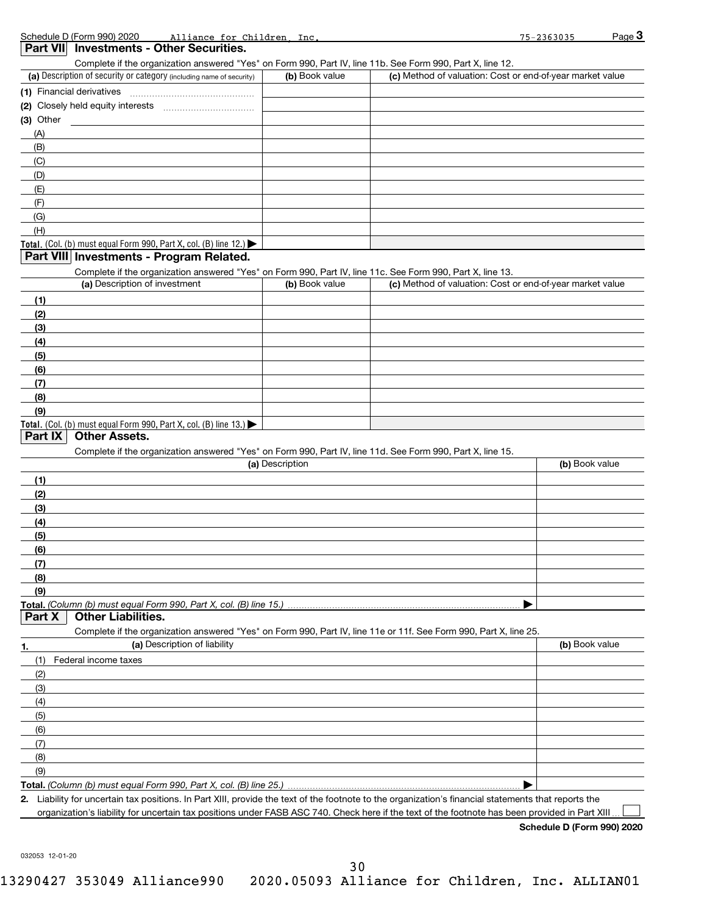| Part VII Investments - Other Securities.                                                                                                                                           |                 |                                                                                                                                                |                |
|------------------------------------------------------------------------------------------------------------------------------------------------------------------------------------|-----------------|------------------------------------------------------------------------------------------------------------------------------------------------|----------------|
| Complete if the organization answered "Yes" on Form 990, Part IV, line 11b. See Form 990, Part X, line 12.<br>(a) Description of security or category (including name of security) | (b) Book value  | (c) Method of valuation: Cost or end-of-year market value                                                                                      |                |
|                                                                                                                                                                                    |                 |                                                                                                                                                |                |
|                                                                                                                                                                                    |                 |                                                                                                                                                |                |
| $(3)$ Other                                                                                                                                                                        |                 |                                                                                                                                                |                |
| (A)                                                                                                                                                                                |                 |                                                                                                                                                |                |
| (B)                                                                                                                                                                                |                 |                                                                                                                                                |                |
| (C)                                                                                                                                                                                |                 |                                                                                                                                                |                |
| (D)                                                                                                                                                                                |                 |                                                                                                                                                |                |
| (E)                                                                                                                                                                                |                 |                                                                                                                                                |                |
| (F)                                                                                                                                                                                |                 |                                                                                                                                                |                |
| (G)                                                                                                                                                                                |                 |                                                                                                                                                |                |
| (H)                                                                                                                                                                                |                 |                                                                                                                                                |                |
| Total. (Col. (b) must equal Form 990, Part X, col. (B) line 12.)                                                                                                                   |                 |                                                                                                                                                |                |
| Part VIII Investments - Program Related.                                                                                                                                           |                 |                                                                                                                                                |                |
| Complete if the organization answered "Yes" on Form 990, Part IV, line 11c. See Form 990, Part X, line 13.                                                                         |                 |                                                                                                                                                |                |
| (a) Description of investment                                                                                                                                                      | (b) Book value  | (c) Method of valuation: Cost or end-of-year market value                                                                                      |                |
| (1)                                                                                                                                                                                |                 |                                                                                                                                                |                |
| (2)                                                                                                                                                                                |                 |                                                                                                                                                |                |
| (3)                                                                                                                                                                                |                 |                                                                                                                                                |                |
| (4)                                                                                                                                                                                |                 |                                                                                                                                                |                |
| (5)                                                                                                                                                                                |                 |                                                                                                                                                |                |
| (6)                                                                                                                                                                                |                 |                                                                                                                                                |                |
| (7)                                                                                                                                                                                |                 |                                                                                                                                                |                |
| (8)                                                                                                                                                                                |                 |                                                                                                                                                |                |
| (9)                                                                                                                                                                                |                 |                                                                                                                                                |                |
| Total. (Col. (b) must equal Form 990, Part X, col. (B) line 13.)                                                                                                                   |                 |                                                                                                                                                |                |
| <b>Other Assets.</b><br>Part IX<br>Complete if the organization answered "Yes" on Form 990, Part IV, line 11d. See Form 990, Part X, line 15.                                      | (a) Description |                                                                                                                                                | (b) Book value |
| (1)                                                                                                                                                                                |                 |                                                                                                                                                |                |
| (2)                                                                                                                                                                                |                 |                                                                                                                                                |                |
| (3)                                                                                                                                                                                |                 |                                                                                                                                                |                |
| (4)                                                                                                                                                                                |                 |                                                                                                                                                |                |
| (5)                                                                                                                                                                                |                 |                                                                                                                                                |                |
| (6)                                                                                                                                                                                |                 |                                                                                                                                                |                |
| (7)                                                                                                                                                                                |                 |                                                                                                                                                |                |
| (8)                                                                                                                                                                                |                 |                                                                                                                                                |                |
| (9)                                                                                                                                                                                |                 |                                                                                                                                                |                |
|                                                                                                                                                                                    |                 |                                                                                                                                                |                |
| <b>Other Liabilities.</b><br>Part X                                                                                                                                                |                 |                                                                                                                                                |                |
| Complete if the organization answered "Yes" on Form 990, Part IV, line 11e or 11f. See Form 990, Part X, line 25.                                                                  |                 |                                                                                                                                                |                |
| (a) Description of liability                                                                                                                                                       |                 |                                                                                                                                                | (b) Book value |
| (1)<br>Federal income taxes                                                                                                                                                        |                 |                                                                                                                                                |                |
| (2)                                                                                                                                                                                |                 |                                                                                                                                                |                |
| (3)                                                                                                                                                                                |                 |                                                                                                                                                |                |
| (4)                                                                                                                                                                                |                 |                                                                                                                                                |                |
| (5)                                                                                                                                                                                |                 |                                                                                                                                                |                |
| (6)                                                                                                                                                                                |                 |                                                                                                                                                |                |
| (7)                                                                                                                                                                                |                 |                                                                                                                                                |                |
| (8)                                                                                                                                                                                |                 |                                                                                                                                                |                |
| (9)                                                                                                                                                                                |                 |                                                                                                                                                |                |
|                                                                                                                                                                                    |                 |                                                                                                                                                |                |
| Liability for uncertain tax positions. In Part XIII, provide the text of the footnote to the organization's financial statements that reports the                                  |                 |                                                                                                                                                |                |
|                                                                                                                                                                                    |                 | organization's liability for uncertain tax positions under FASB ASC 740. Check here if the text of the footnote has been provided in Part XIII |                |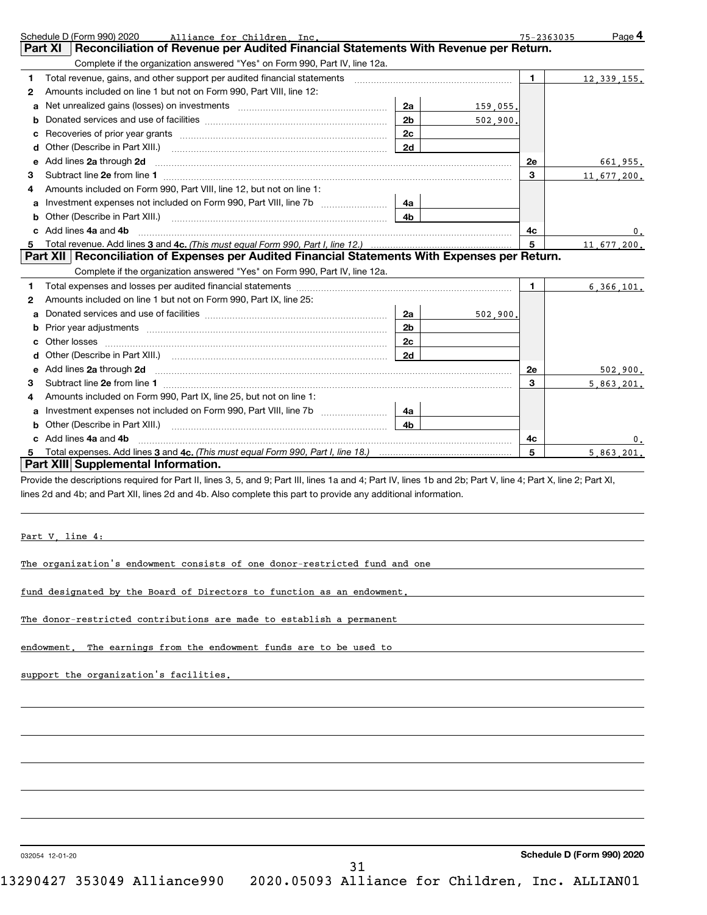|    | Schedule D (Form 990) 2020<br>Alliance for Children Inc.                                                                                                                                                                                              | 75-2363035     | Page 4        |
|----|-------------------------------------------------------------------------------------------------------------------------------------------------------------------------------------------------------------------------------------------------------|----------------|---------------|
|    | Reconciliation of Revenue per Audited Financial Statements With Revenue per Return.<br><b>Part XI</b>                                                                                                                                                 |                |               |
|    | Complete if the organization answered "Yes" on Form 990, Part IV, line 12a.                                                                                                                                                                           |                |               |
| 1  | Total revenue, gains, and other support per audited financial statements [11] [11] Total revenue, gains, and other support per audited financial statements [11] [11] Total revenue of the support of the support of the suppo                        | $\blacksquare$ | 12, 339, 155. |
| 2  | Amounts included on line 1 but not on Form 990, Part VIII, line 12:                                                                                                                                                                                   |                |               |
| a  | Net unrealized gains (losses) on investments [111] [12] matter contracts and a new metal-<br>2a<br>159.055.                                                                                                                                           |                |               |
| b  | 2 <sub>b</sub><br>502,900.                                                                                                                                                                                                                            |                |               |
| C  | 2c                                                                                                                                                                                                                                                    |                |               |
| d  | 2d                                                                                                                                                                                                                                                    |                |               |
| e  | Add lines 2a through 2d <b>manufactures</b> in the contract of the state of the state of the state of the state of the state of the state of the state of the state of the state of the state of the state of the state of the stat                   | <b>2e</b>      | 661,955.      |
| 3  |                                                                                                                                                                                                                                                       | 3              | 11,677,200.   |
| 4  | Amounts included on Form 990, Part VIII, line 12, but not on line 1:                                                                                                                                                                                  |                |               |
| a  | Investment expenses not included on Form 990, Part VIII, line 7b<br>4a                                                                                                                                                                                |                |               |
| b  | 4 <sub>b</sub><br>Other (Describe in Part XIII.) <b>2006</b> 2007 2010 2010 2010 2010 2011 2012 2013 2014 2015 2016 2017 2018 2019 2016 2016 2017 2018 2019 2016 2017 2018 2019 2016 2017 2018 2019 2018 2019 2016 2017 2018 2019 2018 2019 2018 2019 |                |               |
|    | c Add lines 4a and 4b                                                                                                                                                                                                                                 | 4с             | 0.            |
| 5. | Total revenue. Add lines 3 and 4c. (This must equal Form 990, Part I, line 12.)                                                                                                                                                                       | 5              | 11,677,200.   |
|    | Part XII Reconciliation of Expenses per Audited Financial Statements With Expenses per Return.                                                                                                                                                        |                |               |
|    | Complete if the organization answered "Yes" on Form 990, Part IV, line 12a.                                                                                                                                                                           |                |               |
| 1  |                                                                                                                                                                                                                                                       | $\mathbf 1$    | 6,366,101.    |
| 2  | Amounts included on line 1 but not on Form 990, Part IX, line 25:                                                                                                                                                                                     |                |               |
| a  | 2а<br>502,900.                                                                                                                                                                                                                                        |                |               |
| b  | 2 <sub>b</sub>                                                                                                                                                                                                                                        |                |               |
| C  | 2 <sub>c</sub>                                                                                                                                                                                                                                        |                |               |
|    | 2d                                                                                                                                                                                                                                                    |                |               |
| е  |                                                                                                                                                                                                                                                       | <b>2e</b>      | 502.900.      |
| 3  |                                                                                                                                                                                                                                                       | 3              | 5,863,201.    |
| 4  | Amounts included on Form 990, Part IX, line 25, but not on line 1:                                                                                                                                                                                    |                |               |
| a  | 4a                                                                                                                                                                                                                                                    |                |               |
| b  | 4h                                                                                                                                                                                                                                                    |                |               |
|    | Add lines 4a and 4b                                                                                                                                                                                                                                   | 4с             | 0.            |
|    |                                                                                                                                                                                                                                                       | 5              | 5.863.201.    |
|    | Part XIII Supplemental Information.                                                                                                                                                                                                                   |                |               |

Provide the descriptions required for Part II, lines 3, 5, and 9; Part III, lines 1a and 4; Part IV, lines 1b and 2b; Part V, line 4; Part X, line 2; Part XI, lines 2d and 4b; and Part XII, lines 2d and 4b. Also complete this part to provide any additional information.

Part V, line 4:

The organization's endowment consists of one donor-restricted fund and one

fund designated by the Board of Directors to function as an endowment.

The donor-restricted contributions are made to establish a permanent

endowment. The earnings from the endowment funds are to be used to

support the organization's facilities.

032054 12-01-20

31

**Schedule D (Form 990) 2020**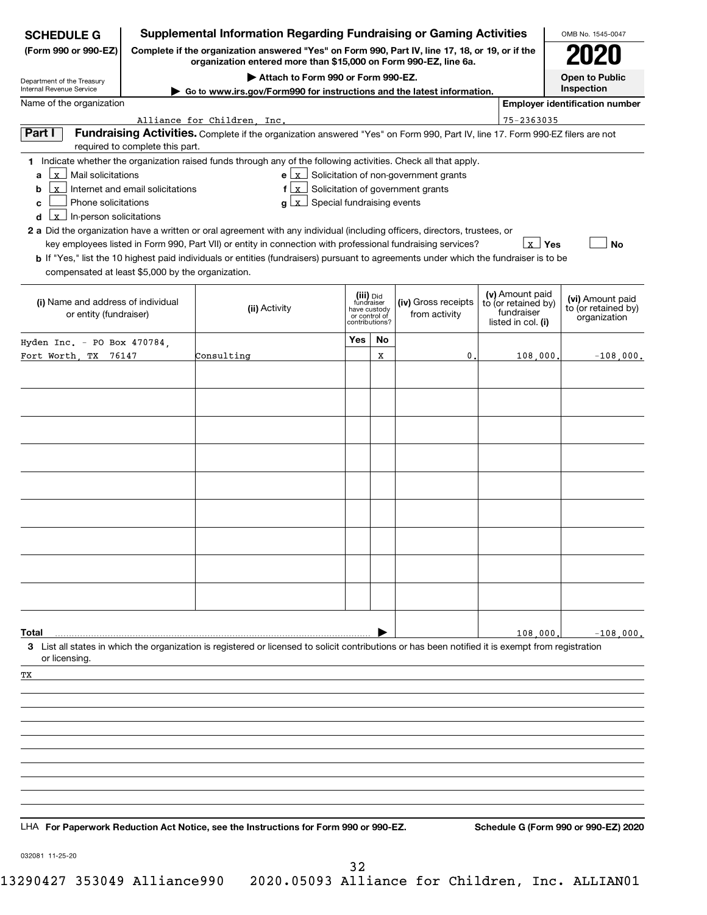| <b>SCHEDULE G</b>                                                                        |                                  | <b>Supplemental Information Regarding Fundraising or Gaming Activities</b>                                                                                                                                                                                                                                                                                                         |                                                                            |    |                                                                        |  |                                                                            |            | OMB No. 1545-0047                                       |
|------------------------------------------------------------------------------------------|----------------------------------|------------------------------------------------------------------------------------------------------------------------------------------------------------------------------------------------------------------------------------------------------------------------------------------------------------------------------------------------------------------------------------|----------------------------------------------------------------------------|----|------------------------------------------------------------------------|--|----------------------------------------------------------------------------|------------|---------------------------------------------------------|
| (Form 990 or 990-EZ)                                                                     |                                  | Complete if the organization answered "Yes" on Form 990, Part IV, line 17, 18, or 19, or if the<br>organization entered more than \$15,000 on Form 990-EZ, line 6a.                                                                                                                                                                                                                |                                                                            |    |                                                                        |  |                                                                            |            |                                                         |
| Department of the Treasury                                                               |                                  | Attach to Form 990 or Form 990-EZ.                                                                                                                                                                                                                                                                                                                                                 |                                                                            |    |                                                                        |  |                                                                            |            | <b>Open to Public</b>                                   |
| Internal Revenue Service<br>Name of the organization                                     |                                  | Go to www.irs.gov/Form990 for instructions and the latest information.                                                                                                                                                                                                                                                                                                             |                                                                            |    |                                                                        |  |                                                                            | Inspection |                                                         |
|                                                                                          |                                  |                                                                                                                                                                                                                                                                                                                                                                                    |                                                                            |    |                                                                        |  |                                                                            |            | <b>Employer identification number</b>                   |
| Part I                                                                                   | required to complete this part.  | Alliance for Children Inc.<br>Fundraising Activities. Complete if the organization answered "Yes" on Form 990, Part IV, line 17. Form 990-EZ filers are not                                                                                                                                                                                                                        |                                                                            |    |                                                                        |  | $75 - 2363035$                                                             |            |                                                         |
| $\mathbf{x}$<br>Mail solicitations<br>a<br>$\mathbf{x}$<br>b<br>Phone solicitations<br>c | Internet and email solicitations | 1 Indicate whether the organization raised funds through any of the following activities. Check all that apply.<br>$f(x)$ Solicitation of government grants<br>$g \perp x$                                                                                                                                                                                                         | Special fundraising events                                                 |    | $\mathbf{e}$ $\lfloor x \rfloor$ Solicitation of non-government grants |  |                                                                            |            |                                                         |
| $x$ In-person solicitations<br>d<br>compensated at least \$5,000 by the organization.    |                                  | 2 a Did the organization have a written or oral agreement with any individual (including officers, directors, trustees, or<br>key employees listed in Form 990, Part VII) or entity in connection with professional fundraising services?<br>b If "Yes," list the 10 highest paid individuals or entities (fundraisers) pursuant to agreements under which the fundraiser is to be |                                                                            |    |                                                                        |  | $\mathbf{x}$ Yes                                                           |            | <b>No</b>                                               |
| (i) Name and address of individual<br>or entity (fundraiser)                             |                                  | (ii) Activity                                                                                                                                                                                                                                                                                                                                                                      | (iii) Did<br>fundraiser<br>have custody<br>or control of<br>contributions? |    | (iv) Gross receipts<br>from activity                                   |  | (v) Amount paid<br>to (or retained by)<br>fundraiser<br>listed in col. (i) |            | (vi) Amount paid<br>to (or retained by)<br>organization |
| Hyden Inc. - PO Box 470784,                                                              |                                  |                                                                                                                                                                                                                                                                                                                                                                                    | <b>Yes</b>                                                                 | No |                                                                        |  |                                                                            |            |                                                         |
| Fort Worth, TX 76147                                                                     |                                  | Consulting                                                                                                                                                                                                                                                                                                                                                                         |                                                                            | x  | 0                                                                      |  | 108,000                                                                    |            | $-108,000$ .                                            |
|                                                                                          |                                  |                                                                                                                                                                                                                                                                                                                                                                                    |                                                                            |    |                                                                        |  |                                                                            |            |                                                         |
|                                                                                          |                                  |                                                                                                                                                                                                                                                                                                                                                                                    |                                                                            |    |                                                                        |  |                                                                            |            |                                                         |
|                                                                                          |                                  |                                                                                                                                                                                                                                                                                                                                                                                    |                                                                            |    |                                                                        |  |                                                                            |            |                                                         |
| Total                                                                                    |                                  |                                                                                                                                                                                                                                                                                                                                                                                    |                                                                            |    |                                                                        |  | 108,000                                                                    |            | $-108,000$ .                                            |
| or licensing.                                                                            |                                  | 3 List all states in which the organization is registered or licensed to solicit contributions or has been notified it is exempt from registration                                                                                                                                                                                                                                 |                                                                            |    |                                                                        |  |                                                                            |            |                                                         |
| ТX                                                                                       |                                  |                                                                                                                                                                                                                                                                                                                                                                                    |                                                                            |    |                                                                        |  |                                                                            |            |                                                         |
|                                                                                          |                                  |                                                                                                                                                                                                                                                                                                                                                                                    |                                                                            |    |                                                                        |  |                                                                            |            |                                                         |
|                                                                                          |                                  |                                                                                                                                                                                                                                                                                                                                                                                    |                                                                            |    |                                                                        |  |                                                                            |            |                                                         |
|                                                                                          |                                  |                                                                                                                                                                                                                                                                                                                                                                                    |                                                                            |    |                                                                        |  |                                                                            |            |                                                         |
|                                                                                          |                                  |                                                                                                                                                                                                                                                                                                                                                                                    |                                                                            |    |                                                                        |  |                                                                            |            |                                                         |
|                                                                                          |                                  | LHA For Paperwork Reduction Act Notice, see the Instructions for Form 990 or 990-EZ.                                                                                                                                                                                                                                                                                               |                                                                            |    |                                                                        |  |                                                                            |            | Schedule G (Form 990 or 990-EZ) 2020                    |
| 032081 11-25-20                                                                          |                                  |                                                                                                                                                                                                                                                                                                                                                                                    |                                                                            |    |                                                                        |  |                                                                            |            |                                                         |

32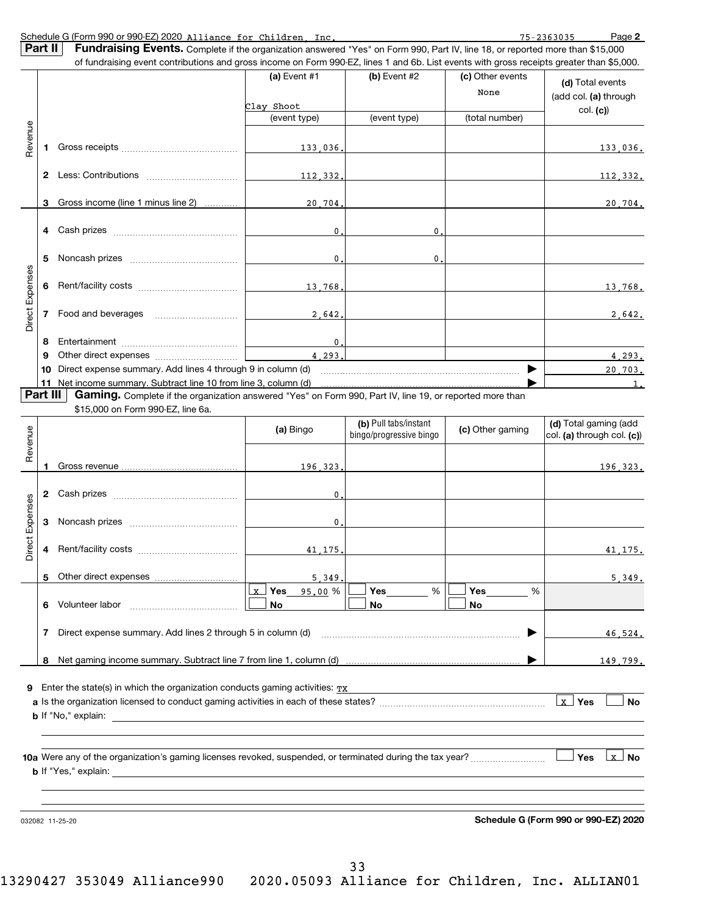| Schedule G (Form 990 or 990-EZ) 2020 Alliance for Children |  | Inc | 75-2363035 | Page 2 |
|------------------------------------------------------------|--|-----|------------|--------|
|                                                            |  |     |            |        |

|                 | Part II                                                                     | <b>Fundraising Events.</b> Complete if the organization answered "Yes" on Form 990, Part IV, line 18, or reported more than \$15,000<br>of fundraising event contributions and gross income on Form 990-EZ, lines 1 and 6b. List events with gross receipts greater than \$5,000. |                                  |                                                  |                  |                                                     |  |  |
|-----------------|-----------------------------------------------------------------------------|-----------------------------------------------------------------------------------------------------------------------------------------------------------------------------------------------------------------------------------------------------------------------------------|----------------------------------|--------------------------------------------------|------------------|-----------------------------------------------------|--|--|
|                 |                                                                             |                                                                                                                                                                                                                                                                                   | (a) Event $#1$                   | (b) Event $#2$                                   | (c) Other events |                                                     |  |  |
|                 |                                                                             |                                                                                                                                                                                                                                                                                   |                                  |                                                  | None             | (d) Total events<br>(add col. (a) through           |  |  |
|                 |                                                                             |                                                                                                                                                                                                                                                                                   | Clay Shoot                       |                                                  |                  | col. (c)                                            |  |  |
|                 |                                                                             |                                                                                                                                                                                                                                                                                   | (event type)                     | (event type)                                     | (total number)   |                                                     |  |  |
| Revenue         | 1                                                                           |                                                                                                                                                                                                                                                                                   | 133,036                          |                                                  |                  | 133,036.                                            |  |  |
|                 | 2                                                                           |                                                                                                                                                                                                                                                                                   | 112,332                          |                                                  |                  | <u> 112 332.</u>                                    |  |  |
|                 | 3                                                                           | Gross income (line 1 minus line 2)                                                                                                                                                                                                                                                | 20, 704                          |                                                  |                  | 20.704.                                             |  |  |
|                 |                                                                             |                                                                                                                                                                                                                                                                                   |                                  |                                                  |                  |                                                     |  |  |
|                 | 4                                                                           |                                                                                                                                                                                                                                                                                   | 0.                               | $\mathbf 0$ .                                    |                  |                                                     |  |  |
|                 | 5                                                                           |                                                                                                                                                                                                                                                                                   | $\mathbf{0}$                     | $\mathbf{0}$                                     |                  |                                                     |  |  |
|                 |                                                                             |                                                                                                                                                                                                                                                                                   |                                  |                                                  |                  |                                                     |  |  |
|                 | 6                                                                           |                                                                                                                                                                                                                                                                                   | 13,768.                          |                                                  |                  | 13,768.                                             |  |  |
| Direct Expenses | 7                                                                           |                                                                                                                                                                                                                                                                                   | 2,642.                           |                                                  |                  | 2,642.                                              |  |  |
|                 |                                                                             |                                                                                                                                                                                                                                                                                   |                                  |                                                  |                  |                                                     |  |  |
|                 | 8<br>9                                                                      |                                                                                                                                                                                                                                                                                   | $\mathfrak{o}$ .                 |                                                  |                  | 4 293.                                              |  |  |
|                 | 10                                                                          |                                                                                                                                                                                                                                                                                   |                                  |                                                  |                  | 20.703.                                             |  |  |
|                 | 11                                                                          | Net income summary. Subtract line 10 from line 3, column (d)                                                                                                                                                                                                                      |                                  |                                                  |                  |                                                     |  |  |
|                 | Part III                                                                    | Gaming. Complete if the organization answered "Yes" on Form 990, Part IV, line 19, or reported more than                                                                                                                                                                          |                                  |                                                  |                  |                                                     |  |  |
|                 |                                                                             | \$15,000 on Form 990-EZ, line 6a.                                                                                                                                                                                                                                                 |                                  |                                                  |                  |                                                     |  |  |
|                 |                                                                             |                                                                                                                                                                                                                                                                                   | (a) Bingo                        | (b) Pull tabs/instant<br>bingo/progressive bingo | (c) Other gaming | (d) Total gaming (add<br>col. (a) through col. (c)) |  |  |
| Revenue         |                                                                             |                                                                                                                                                                                                                                                                                   | 196.323                          |                                                  |                  | 196.323.                                            |  |  |
|                 |                                                                             |                                                                                                                                                                                                                                                                                   |                                  |                                                  |                  |                                                     |  |  |
|                 | 2                                                                           |                                                                                                                                                                                                                                                                                   | $\mathbf{0}$                     |                                                  |                  |                                                     |  |  |
|                 | 3                                                                           |                                                                                                                                                                                                                                                                                   | $\mathbf{0}$ .                   |                                                  |                  |                                                     |  |  |
| Direct Expenses | 4                                                                           |                                                                                                                                                                                                                                                                                   | 41,175.                          |                                                  |                  | 41,175.                                             |  |  |
|                 |                                                                             |                                                                                                                                                                                                                                                                                   |                                  |                                                  |                  |                                                     |  |  |
|                 | 5                                                                           |                                                                                                                                                                                                                                                                                   | 5,349<br>$\lfloor x \rfloor$ Yes |                                                  |                  | 5,349.                                              |  |  |
|                 | 6                                                                           | Volunteer labor                                                                                                                                                                                                                                                                   | 95.00 %<br>No                    | Yes<br>%<br>No                                   | Yes<br>%<br>No   |                                                     |  |  |
|                 | Direct expense summary. Add lines 2 through 5 in column (d)<br>7<br>46.524. |                                                                                                                                                                                                                                                                                   |                                  |                                                  |                  |                                                     |  |  |
|                 | 8                                                                           |                                                                                                                                                                                                                                                                                   |                                  |                                                  |                  | 149,799.                                            |  |  |
|                 |                                                                             |                                                                                                                                                                                                                                                                                   |                                  |                                                  |                  |                                                     |  |  |
| 9               |                                                                             | Enter the state(s) in which the organization conducts gaming activities: $TX$                                                                                                                                                                                                     |                                  |                                                  |                  |                                                     |  |  |
|                 |                                                                             | <b>b</b> If "No," explain:<br><u> 1989 - Johann Barbara, martxa alemaniar amerikan a</u>                                                                                                                                                                                          |                                  |                                                  |                  | $\lfloor x \rfloor$ Yes<br><b>No</b>                |  |  |
|                 |                                                                             |                                                                                                                                                                                                                                                                                   |                                  |                                                  |                  |                                                     |  |  |
|                 |                                                                             |                                                                                                                                                                                                                                                                                   |                                  |                                                  |                  | $\lfloor x \rfloor$ No<br>Yes                       |  |  |
|                 |                                                                             |                                                                                                                                                                                                                                                                                   |                                  |                                                  |                  |                                                     |  |  |
|                 |                                                                             |                                                                                                                                                                                                                                                                                   |                                  |                                                  |                  |                                                     |  |  |
|                 |                                                                             | 032082 11-25-20                                                                                                                                                                                                                                                                   |                                  |                                                  |                  | Schedule G (Form 990 or 990-EZ) 2020                |  |  |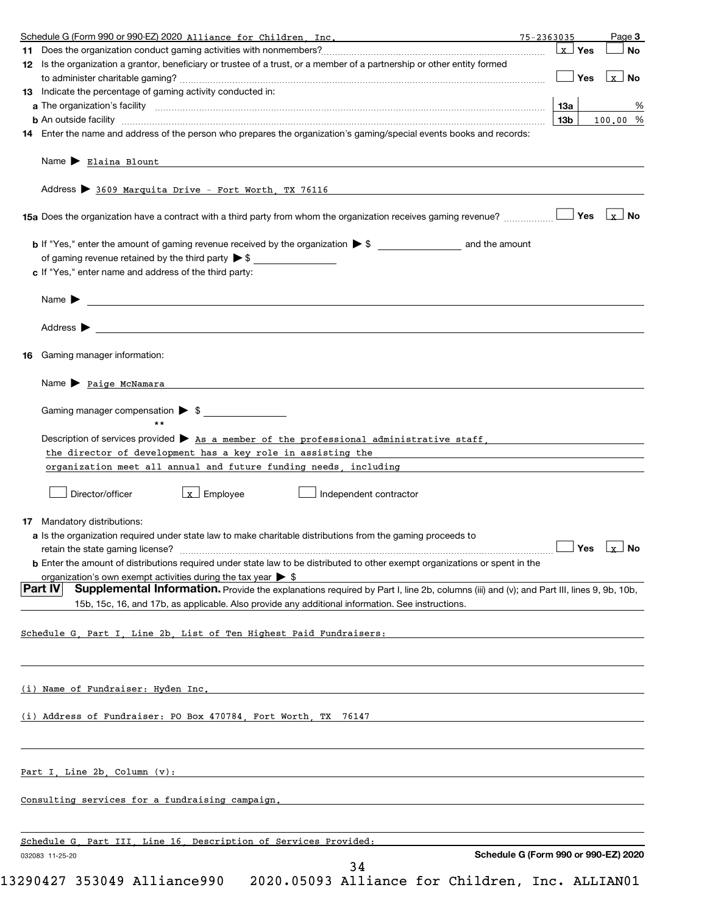| Schedule G (Form 990 or 990-EZ) 2020 Alliance for Children Inc.                                                                                                                                                                                              |                 |                        |
|--------------------------------------------------------------------------------------------------------------------------------------------------------------------------------------------------------------------------------------------------------------|-----------------|------------------------|
|                                                                                                                                                                                                                                                              | <b>x</b> Yes    | <b>No</b>              |
| 12 Is the organization a grantor, beneficiary or trustee of a trust, or a member of a partnership or other entity formed                                                                                                                                     |                 |                        |
|                                                                                                                                                                                                                                                              | Yes             | $\lfloor x \rfloor$ No |
| 13 Indicate the percentage of gaming activity conducted in:                                                                                                                                                                                                  |                 |                        |
|                                                                                                                                                                                                                                                              | 13а             | %                      |
|                                                                                                                                                                                                                                                              | 13 <sub>b</sub> | 100.00 %               |
| 14 Enter the name and address of the person who prepares the organization's gaming/special events books and records:                                                                                                                                         |                 |                        |
| Name > Elaina Blount                                                                                                                                                                                                                                         |                 |                        |
| Address > 3609 Marquita Drive - Fort Worth, TX 76116                                                                                                                                                                                                         |                 |                        |
| 15a Does the organization have a contract with a third party from whom the organization receives gaming revenue?                                                                                                                                             | Yes             | $\lfloor x \rfloor$ No |
|                                                                                                                                                                                                                                                              |                 |                        |
| of gaming revenue retained by the third party $\triangleright$ \$ $\_\_\_\_\_\_\_\_\_\_\_\_\_\_\_\_\_\_\_\_\_\_$                                                                                                                                             |                 |                        |
| c If "Yes," enter name and address of the third party:                                                                                                                                                                                                       |                 |                        |
| Name $\blacktriangleright$                                                                                                                                                                                                                                   |                 |                        |
| Address $\blacktriangleright$                                                                                                                                                                                                                                |                 |                        |
| Gaming manager information:<br>16                                                                                                                                                                                                                            |                 |                        |
| Name > Paige McNamara                                                                                                                                                                                                                                        |                 |                        |
| Gaming manager compensation > \$                                                                                                                                                                                                                             |                 |                        |
|                                                                                                                                                                                                                                                              |                 |                        |
|                                                                                                                                                                                                                                                              |                 |                        |
| Description of services provided $\blacktriangleright$ As a member of the professional administrative staff,                                                                                                                                                 |                 |                        |
| the director of development has a key role in assisting the                                                                                                                                                                                                  |                 |                        |
|                                                                                                                                                                                                                                                              |                 |                        |
| organization meet all annual and future funding needs, including meetic contains the control of the control of                                                                                                                                               |                 |                        |
| $\lfloor x \rfloor$ Employee<br>Director/officer<br>Independent contractor                                                                                                                                                                                   |                 |                        |
|                                                                                                                                                                                                                                                              |                 |                        |
| <b>17</b> Mandatory distributions:                                                                                                                                                                                                                           |                 |                        |
| a Is the organization required under state law to make charitable distributions from the gaming proceeds to                                                                                                                                                  |                 |                        |
| retain the state gaming license? <b>Construction and the state gaming license</b> ? No                                                                                                                                                                       |                 |                        |
| <b>b</b> Enter the amount of distributions required under state law to be distributed to other exempt organizations or spent in the                                                                                                                          |                 |                        |
| organization's own exempt activities during the tax vear $\triangleright$ \$                                                                                                                                                                                 |                 |                        |
| <b>Part IV</b><br>Supplemental Information. Provide the explanations required by Part I, line 2b, columns (iii) and (v); and Part III, lines 9, 9b, 10b,<br>15b, 15c, 16, and 17b, as applicable. Also provide any additional information. See instructions. |                 |                        |
|                                                                                                                                                                                                                                                              |                 |                        |
| Schedule G, Part I, Line 2b, List of Ten Highest Paid Fundraisers:                                                                                                                                                                                           |                 |                        |
|                                                                                                                                                                                                                                                              |                 |                        |
| (i) Name of Fundraiser: Hyden Inc. The contract of the contract of the contract of the contract of the contract of the contract of the contract of the contract of the contract of the contract of the contract of the contrac                               |                 |                        |
| (i) Address of Fundraiser: PO Box 470784, Fort Worth, TX 76147                                                                                                                                                                                               |                 |                        |
|                                                                                                                                                                                                                                                              |                 |                        |
| Part I, Line 2b, Column (v):                                                                                                                                                                                                                                 |                 |                        |
| Consulting services for a fundraising campaign. The contract of the consulting services for a fundraising campaign.                                                                                                                                          |                 |                        |
|                                                                                                                                                                                                                                                              |                 |                        |
| Schedule G. Part III. Line 16. Description of Services Provided:<br>Schedule G (Form 990 or 990-EZ) 2020                                                                                                                                                     |                 |                        |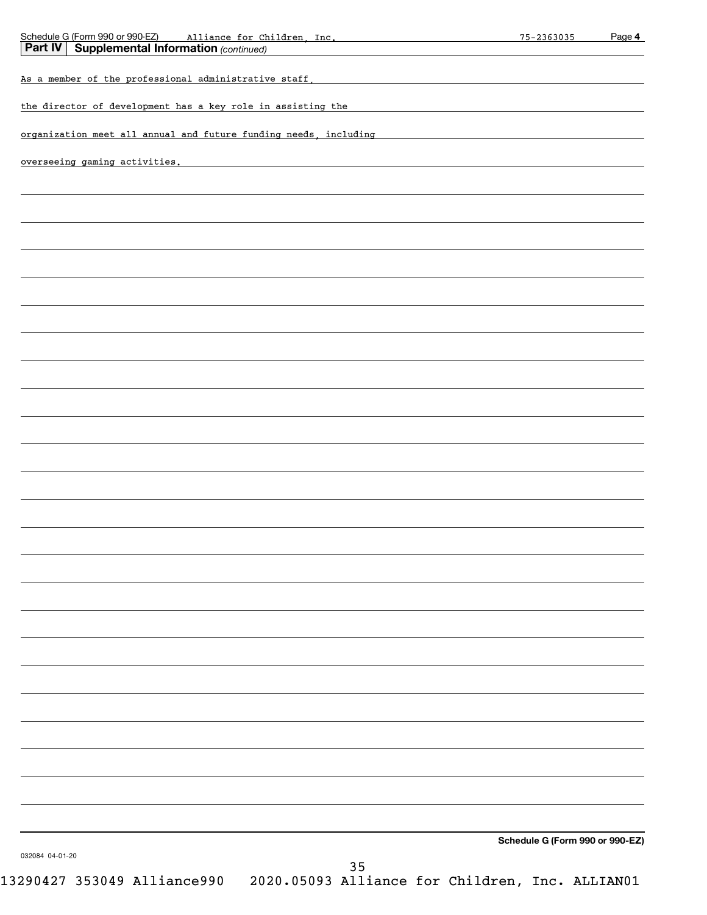| Schedule G (Form 990 or 990-EZ) alliance for Children, Inc.<br><b>Part IV Supplemental Information</b> (continued)<br><u> 1989 - John Stein, Amerikaansk politiker (</u><br>As a member of the professional administrative staff, the control of the control of the professional administrative staff,<br>the director of development has a key role in assisting the<br>organization meet all annual and future funding needs, including<br>overseeing gaming activities. The contract of the contract of the contract of the contract of the contract of the contract of the contract of the contract of the contract of the contract of the contract of the contract of |  |
|----------------------------------------------------------------------------------------------------------------------------------------------------------------------------------------------------------------------------------------------------------------------------------------------------------------------------------------------------------------------------------------------------------------------------------------------------------------------------------------------------------------------------------------------------------------------------------------------------------------------------------------------------------------------------|--|
|                                                                                                                                                                                                                                                                                                                                                                                                                                                                                                                                                                                                                                                                            |  |
|                                                                                                                                                                                                                                                                                                                                                                                                                                                                                                                                                                                                                                                                            |  |
|                                                                                                                                                                                                                                                                                                                                                                                                                                                                                                                                                                                                                                                                            |  |
|                                                                                                                                                                                                                                                                                                                                                                                                                                                                                                                                                                                                                                                                            |  |
|                                                                                                                                                                                                                                                                                                                                                                                                                                                                                                                                                                                                                                                                            |  |
|                                                                                                                                                                                                                                                                                                                                                                                                                                                                                                                                                                                                                                                                            |  |
|                                                                                                                                                                                                                                                                                                                                                                                                                                                                                                                                                                                                                                                                            |  |
|                                                                                                                                                                                                                                                                                                                                                                                                                                                                                                                                                                                                                                                                            |  |
|                                                                                                                                                                                                                                                                                                                                                                                                                                                                                                                                                                                                                                                                            |  |
|                                                                                                                                                                                                                                                                                                                                                                                                                                                                                                                                                                                                                                                                            |  |
|                                                                                                                                                                                                                                                                                                                                                                                                                                                                                                                                                                                                                                                                            |  |
|                                                                                                                                                                                                                                                                                                                                                                                                                                                                                                                                                                                                                                                                            |  |
|                                                                                                                                                                                                                                                                                                                                                                                                                                                                                                                                                                                                                                                                            |  |
|                                                                                                                                                                                                                                                                                                                                                                                                                                                                                                                                                                                                                                                                            |  |
|                                                                                                                                                                                                                                                                                                                                                                                                                                                                                                                                                                                                                                                                            |  |
|                                                                                                                                                                                                                                                                                                                                                                                                                                                                                                                                                                                                                                                                            |  |
|                                                                                                                                                                                                                                                                                                                                                                                                                                                                                                                                                                                                                                                                            |  |
|                                                                                                                                                                                                                                                                                                                                                                                                                                                                                                                                                                                                                                                                            |  |
|                                                                                                                                                                                                                                                                                                                                                                                                                                                                                                                                                                                                                                                                            |  |
|                                                                                                                                                                                                                                                                                                                                                                                                                                                                                                                                                                                                                                                                            |  |
|                                                                                                                                                                                                                                                                                                                                                                                                                                                                                                                                                                                                                                                                            |  |
|                                                                                                                                                                                                                                                                                                                                                                                                                                                                                                                                                                                                                                                                            |  |
|                                                                                                                                                                                                                                                                                                                                                                                                                                                                                                                                                                                                                                                                            |  |
|                                                                                                                                                                                                                                                                                                                                                                                                                                                                                                                                                                                                                                                                            |  |
|                                                                                                                                                                                                                                                                                                                                                                                                                                                                                                                                                                                                                                                                            |  |
|                                                                                                                                                                                                                                                                                                                                                                                                                                                                                                                                                                                                                                                                            |  |
|                                                                                                                                                                                                                                                                                                                                                                                                                                                                                                                                                                                                                                                                            |  |
|                                                                                                                                                                                                                                                                                                                                                                                                                                                                                                                                                                                                                                                                            |  |
|                                                                                                                                                                                                                                                                                                                                                                                                                                                                                                                                                                                                                                                                            |  |
|                                                                                                                                                                                                                                                                                                                                                                                                                                                                                                                                                                                                                                                                            |  |
|                                                                                                                                                                                                                                                                                                                                                                                                                                                                                                                                                                                                                                                                            |  |
|                                                                                                                                                                                                                                                                                                                                                                                                                                                                                                                                                                                                                                                                            |  |
|                                                                                                                                                                                                                                                                                                                                                                                                                                                                                                                                                                                                                                                                            |  |
|                                                                                                                                                                                                                                                                                                                                                                                                                                                                                                                                                                                                                                                                            |  |
|                                                                                                                                                                                                                                                                                                                                                                                                                                                                                                                                                                                                                                                                            |  |
|                                                                                                                                                                                                                                                                                                                                                                                                                                                                                                                                                                                                                                                                            |  |
|                                                                                                                                                                                                                                                                                                                                                                                                                                                                                                                                                                                                                                                                            |  |
|                                                                                                                                                                                                                                                                                                                                                                                                                                                                                                                                                                                                                                                                            |  |
|                                                                                                                                                                                                                                                                                                                                                                                                                                                                                                                                                                                                                                                                            |  |
|                                                                                                                                                                                                                                                                                                                                                                                                                                                                                                                                                                                                                                                                            |  |
|                                                                                                                                                                                                                                                                                                                                                                                                                                                                                                                                                                                                                                                                            |  |
| Schedule G (Form 990 or 990-EZ)                                                                                                                                                                                                                                                                                                                                                                                                                                                                                                                                                                                                                                            |  |
| 032084 04-01-20<br>35                                                                                                                                                                                                                                                                                                                                                                                                                                                                                                                                                                                                                                                      |  |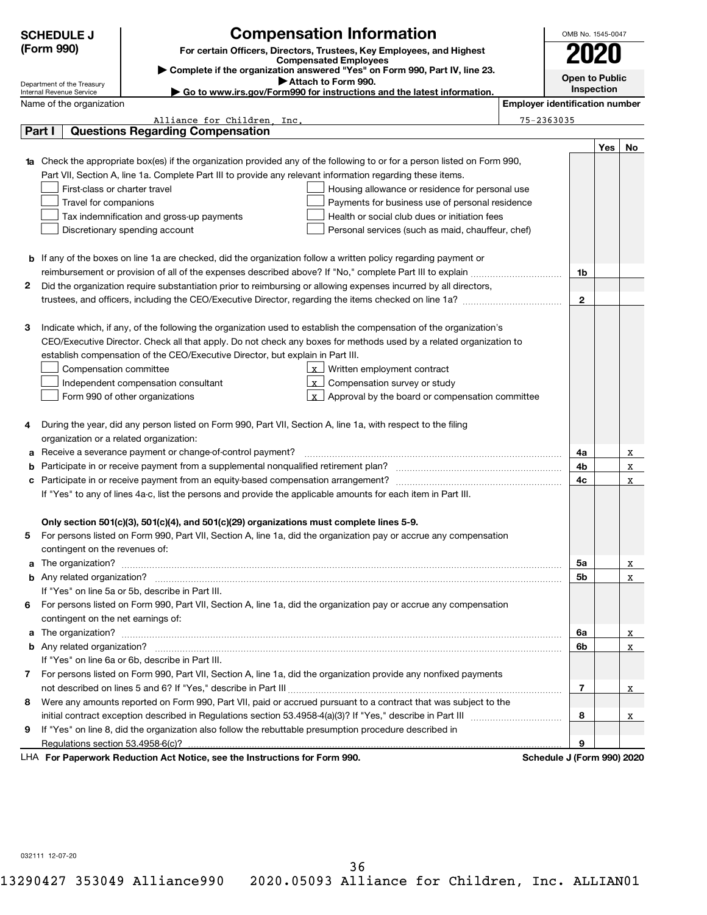| <b>Compensation Information</b><br>(Form 990)<br>For certain Officers, Directors, Trustees, Key Employees, and Highest<br><b>Compensated Employees</b><br>Complete if the organization answered "Yes" on Form 990, Part IV, line 23.<br><b>Open to Public</b><br>Attach to Form 990.<br>Department of the Treasury<br>Inspection<br>Go to www.irs.gov/Form990 for instructions and the latest information.<br>Internal Revenue Service<br><b>Employer identification number</b><br>Name of the organization<br>Alliance for Children Inc.<br>$75 - 2363035$<br>Part I<br><b>Questions Regarding Compensation</b><br>Yes<br>1a Check the appropriate box(es) if the organization provided any of the following to or for a person listed on Form 990,<br>Part VII, Section A, line 1a. Complete Part III to provide any relevant information regarding these items.<br>First-class or charter travel<br>Housing allowance or residence for personal use<br>Travel for companions<br>Payments for business use of personal residence<br>Tax indemnification and gross-up payments<br>Health or social club dues or initiation fees<br>Discretionary spending account<br>Personal services (such as maid, chauffeur, chef)<br>b If any of the boxes on line 1a are checked, did the organization follow a written policy regarding payment or<br>1b<br>2<br>Did the organization require substantiation prior to reimbursing or allowing expenses incurred by all directors,<br>$\mathbf{2}$<br>Indicate which, if any, of the following the organization used to establish the compensation of the organization's<br>з<br>CEO/Executive Director. Check all that apply. Do not check any boxes for methods used by a related organization to<br>establish compensation of the CEO/Executive Director, but explain in Part III.<br>Written employment contract<br>Compensation committee<br>Compensation survey or study<br>Independent compensation consultant<br>$\mathbf{x}$<br>Approval by the board or compensation committee<br>Form 990 of other organizations<br>  x<br>During the year, did any person listed on Form 990, Part VII, Section A, line 1a, with respect to the filing<br>4<br>organization or a related organization:<br>Receive a severance payment or change-of-control payment?<br>4a<br>4b<br>b<br>4c<br>c<br>If "Yes" to any of lines 4a-c, list the persons and provide the applicable amounts for each item in Part III.<br>Only section 501(c)(3), 501(c)(4), and 501(c)(29) organizations must complete lines 5-9.<br>For persons listed on Form 990, Part VII, Section A, line 1a, did the organization pay or accrue any compensation<br>contingent on the revenues of:<br>5a<br>5b<br>b | OMB No. 1545-0047 |
|-------------------------------------------------------------------------------------------------------------------------------------------------------------------------------------------------------------------------------------------------------------------------------------------------------------------------------------------------------------------------------------------------------------------------------------------------------------------------------------------------------------------------------------------------------------------------------------------------------------------------------------------------------------------------------------------------------------------------------------------------------------------------------------------------------------------------------------------------------------------------------------------------------------------------------------------------------------------------------------------------------------------------------------------------------------------------------------------------------------------------------------------------------------------------------------------------------------------------------------------------------------------------------------------------------------------------------------------------------------------------------------------------------------------------------------------------------------------------------------------------------------------------------------------------------------------------------------------------------------------------------------------------------------------------------------------------------------------------------------------------------------------------------------------------------------------------------------------------------------------------------------------------------------------------------------------------------------------------------------------------------------------------------------------------------------------------------------------------------------------------------------------------------------------------------------------------------------------------------------------------------------------------------------------------------------------------------------------------------------------------------------------------------------------------------------------------------------------------------------------------------------------------------------------------------------------------------------------------------------------------------------------------------------------------------------------------------------------------|-------------------|
|                                                                                                                                                                                                                                                                                                                                                                                                                                                                                                                                                                                                                                                                                                                                                                                                                                                                                                                                                                                                                                                                                                                                                                                                                                                                                                                                                                                                                                                                                                                                                                                                                                                                                                                                                                                                                                                                                                                                                                                                                                                                                                                                                                                                                                                                                                                                                                                                                                                                                                                                                                                                                                                                                                                         |                   |
|                                                                                                                                                                                                                                                                                                                                                                                                                                                                                                                                                                                                                                                                                                                                                                                                                                                                                                                                                                                                                                                                                                                                                                                                                                                                                                                                                                                                                                                                                                                                                                                                                                                                                                                                                                                                                                                                                                                                                                                                                                                                                                                                                                                                                                                                                                                                                                                                                                                                                                                                                                                                                                                                                                                         |                   |
|                                                                                                                                                                                                                                                                                                                                                                                                                                                                                                                                                                                                                                                                                                                                                                                                                                                                                                                                                                                                                                                                                                                                                                                                                                                                                                                                                                                                                                                                                                                                                                                                                                                                                                                                                                                                                                                                                                                                                                                                                                                                                                                                                                                                                                                                                                                                                                                                                                                                                                                                                                                                                                                                                                                         |                   |
|                                                                                                                                                                                                                                                                                                                                                                                                                                                                                                                                                                                                                                                                                                                                                                                                                                                                                                                                                                                                                                                                                                                                                                                                                                                                                                                                                                                                                                                                                                                                                                                                                                                                                                                                                                                                                                                                                                                                                                                                                                                                                                                                                                                                                                                                                                                                                                                                                                                                                                                                                                                                                                                                                                                         |                   |
|                                                                                                                                                                                                                                                                                                                                                                                                                                                                                                                                                                                                                                                                                                                                                                                                                                                                                                                                                                                                                                                                                                                                                                                                                                                                                                                                                                                                                                                                                                                                                                                                                                                                                                                                                                                                                                                                                                                                                                                                                                                                                                                                                                                                                                                                                                                                                                                                                                                                                                                                                                                                                                                                                                                         |                   |
|                                                                                                                                                                                                                                                                                                                                                                                                                                                                                                                                                                                                                                                                                                                                                                                                                                                                                                                                                                                                                                                                                                                                                                                                                                                                                                                                                                                                                                                                                                                                                                                                                                                                                                                                                                                                                                                                                                                                                                                                                                                                                                                                                                                                                                                                                                                                                                                                                                                                                                                                                                                                                                                                                                                         |                   |
|                                                                                                                                                                                                                                                                                                                                                                                                                                                                                                                                                                                                                                                                                                                                                                                                                                                                                                                                                                                                                                                                                                                                                                                                                                                                                                                                                                                                                                                                                                                                                                                                                                                                                                                                                                                                                                                                                                                                                                                                                                                                                                                                                                                                                                                                                                                                                                                                                                                                                                                                                                                                                                                                                                                         | No                |
|                                                                                                                                                                                                                                                                                                                                                                                                                                                                                                                                                                                                                                                                                                                                                                                                                                                                                                                                                                                                                                                                                                                                                                                                                                                                                                                                                                                                                                                                                                                                                                                                                                                                                                                                                                                                                                                                                                                                                                                                                                                                                                                                                                                                                                                                                                                                                                                                                                                                                                                                                                                                                                                                                                                         |                   |
|                                                                                                                                                                                                                                                                                                                                                                                                                                                                                                                                                                                                                                                                                                                                                                                                                                                                                                                                                                                                                                                                                                                                                                                                                                                                                                                                                                                                                                                                                                                                                                                                                                                                                                                                                                                                                                                                                                                                                                                                                                                                                                                                                                                                                                                                                                                                                                                                                                                                                                                                                                                                                                                                                                                         |                   |
|                                                                                                                                                                                                                                                                                                                                                                                                                                                                                                                                                                                                                                                                                                                                                                                                                                                                                                                                                                                                                                                                                                                                                                                                                                                                                                                                                                                                                                                                                                                                                                                                                                                                                                                                                                                                                                                                                                                                                                                                                                                                                                                                                                                                                                                                                                                                                                                                                                                                                                                                                                                                                                                                                                                         |                   |
|                                                                                                                                                                                                                                                                                                                                                                                                                                                                                                                                                                                                                                                                                                                                                                                                                                                                                                                                                                                                                                                                                                                                                                                                                                                                                                                                                                                                                                                                                                                                                                                                                                                                                                                                                                                                                                                                                                                                                                                                                                                                                                                                                                                                                                                                                                                                                                                                                                                                                                                                                                                                                                                                                                                         |                   |
|                                                                                                                                                                                                                                                                                                                                                                                                                                                                                                                                                                                                                                                                                                                                                                                                                                                                                                                                                                                                                                                                                                                                                                                                                                                                                                                                                                                                                                                                                                                                                                                                                                                                                                                                                                                                                                                                                                                                                                                                                                                                                                                                                                                                                                                                                                                                                                                                                                                                                                                                                                                                                                                                                                                         |                   |
|                                                                                                                                                                                                                                                                                                                                                                                                                                                                                                                                                                                                                                                                                                                                                                                                                                                                                                                                                                                                                                                                                                                                                                                                                                                                                                                                                                                                                                                                                                                                                                                                                                                                                                                                                                                                                                                                                                                                                                                                                                                                                                                                                                                                                                                                                                                                                                                                                                                                                                                                                                                                                                                                                                                         |                   |
|                                                                                                                                                                                                                                                                                                                                                                                                                                                                                                                                                                                                                                                                                                                                                                                                                                                                                                                                                                                                                                                                                                                                                                                                                                                                                                                                                                                                                                                                                                                                                                                                                                                                                                                                                                                                                                                                                                                                                                                                                                                                                                                                                                                                                                                                                                                                                                                                                                                                                                                                                                                                                                                                                                                         |                   |
|                                                                                                                                                                                                                                                                                                                                                                                                                                                                                                                                                                                                                                                                                                                                                                                                                                                                                                                                                                                                                                                                                                                                                                                                                                                                                                                                                                                                                                                                                                                                                                                                                                                                                                                                                                                                                                                                                                                                                                                                                                                                                                                                                                                                                                                                                                                                                                                                                                                                                                                                                                                                                                                                                                                         |                   |
|                                                                                                                                                                                                                                                                                                                                                                                                                                                                                                                                                                                                                                                                                                                                                                                                                                                                                                                                                                                                                                                                                                                                                                                                                                                                                                                                                                                                                                                                                                                                                                                                                                                                                                                                                                                                                                                                                                                                                                                                                                                                                                                                                                                                                                                                                                                                                                                                                                                                                                                                                                                                                                                                                                                         |                   |
|                                                                                                                                                                                                                                                                                                                                                                                                                                                                                                                                                                                                                                                                                                                                                                                                                                                                                                                                                                                                                                                                                                                                                                                                                                                                                                                                                                                                                                                                                                                                                                                                                                                                                                                                                                                                                                                                                                                                                                                                                                                                                                                                                                                                                                                                                                                                                                                                                                                                                                                                                                                                                                                                                                                         |                   |
|                                                                                                                                                                                                                                                                                                                                                                                                                                                                                                                                                                                                                                                                                                                                                                                                                                                                                                                                                                                                                                                                                                                                                                                                                                                                                                                                                                                                                                                                                                                                                                                                                                                                                                                                                                                                                                                                                                                                                                                                                                                                                                                                                                                                                                                                                                                                                                                                                                                                                                                                                                                                                                                                                                                         |                   |
|                                                                                                                                                                                                                                                                                                                                                                                                                                                                                                                                                                                                                                                                                                                                                                                                                                                                                                                                                                                                                                                                                                                                                                                                                                                                                                                                                                                                                                                                                                                                                                                                                                                                                                                                                                                                                                                                                                                                                                                                                                                                                                                                                                                                                                                                                                                                                                                                                                                                                                                                                                                                                                                                                                                         |                   |
|                                                                                                                                                                                                                                                                                                                                                                                                                                                                                                                                                                                                                                                                                                                                                                                                                                                                                                                                                                                                                                                                                                                                                                                                                                                                                                                                                                                                                                                                                                                                                                                                                                                                                                                                                                                                                                                                                                                                                                                                                                                                                                                                                                                                                                                                                                                                                                                                                                                                                                                                                                                                                                                                                                                         |                   |
|                                                                                                                                                                                                                                                                                                                                                                                                                                                                                                                                                                                                                                                                                                                                                                                                                                                                                                                                                                                                                                                                                                                                                                                                                                                                                                                                                                                                                                                                                                                                                                                                                                                                                                                                                                                                                                                                                                                                                                                                                                                                                                                                                                                                                                                                                                                                                                                                                                                                                                                                                                                                                                                                                                                         |                   |
|                                                                                                                                                                                                                                                                                                                                                                                                                                                                                                                                                                                                                                                                                                                                                                                                                                                                                                                                                                                                                                                                                                                                                                                                                                                                                                                                                                                                                                                                                                                                                                                                                                                                                                                                                                                                                                                                                                                                                                                                                                                                                                                                                                                                                                                                                                                                                                                                                                                                                                                                                                                                                                                                                                                         |                   |
|                                                                                                                                                                                                                                                                                                                                                                                                                                                                                                                                                                                                                                                                                                                                                                                                                                                                                                                                                                                                                                                                                                                                                                                                                                                                                                                                                                                                                                                                                                                                                                                                                                                                                                                                                                                                                                                                                                                                                                                                                                                                                                                                                                                                                                                                                                                                                                                                                                                                                                                                                                                                                                                                                                                         |                   |
|                                                                                                                                                                                                                                                                                                                                                                                                                                                                                                                                                                                                                                                                                                                                                                                                                                                                                                                                                                                                                                                                                                                                                                                                                                                                                                                                                                                                                                                                                                                                                                                                                                                                                                                                                                                                                                                                                                                                                                                                                                                                                                                                                                                                                                                                                                                                                                                                                                                                                                                                                                                                                                                                                                                         |                   |
|                                                                                                                                                                                                                                                                                                                                                                                                                                                                                                                                                                                                                                                                                                                                                                                                                                                                                                                                                                                                                                                                                                                                                                                                                                                                                                                                                                                                                                                                                                                                                                                                                                                                                                                                                                                                                                                                                                                                                                                                                                                                                                                                                                                                                                                                                                                                                                                                                                                                                                                                                                                                                                                                                                                         |                   |
|                                                                                                                                                                                                                                                                                                                                                                                                                                                                                                                                                                                                                                                                                                                                                                                                                                                                                                                                                                                                                                                                                                                                                                                                                                                                                                                                                                                                                                                                                                                                                                                                                                                                                                                                                                                                                                                                                                                                                                                                                                                                                                                                                                                                                                                                                                                                                                                                                                                                                                                                                                                                                                                                                                                         |                   |
|                                                                                                                                                                                                                                                                                                                                                                                                                                                                                                                                                                                                                                                                                                                                                                                                                                                                                                                                                                                                                                                                                                                                                                                                                                                                                                                                                                                                                                                                                                                                                                                                                                                                                                                                                                                                                                                                                                                                                                                                                                                                                                                                                                                                                                                                                                                                                                                                                                                                                                                                                                                                                                                                                                                         |                   |
|                                                                                                                                                                                                                                                                                                                                                                                                                                                                                                                                                                                                                                                                                                                                                                                                                                                                                                                                                                                                                                                                                                                                                                                                                                                                                                                                                                                                                                                                                                                                                                                                                                                                                                                                                                                                                                                                                                                                                                                                                                                                                                                                                                                                                                                                                                                                                                                                                                                                                                                                                                                                                                                                                                                         | x                 |
|                                                                                                                                                                                                                                                                                                                                                                                                                                                                                                                                                                                                                                                                                                                                                                                                                                                                                                                                                                                                                                                                                                                                                                                                                                                                                                                                                                                                                                                                                                                                                                                                                                                                                                                                                                                                                                                                                                                                                                                                                                                                                                                                                                                                                                                                                                                                                                                                                                                                                                                                                                                                                                                                                                                         | x                 |
|                                                                                                                                                                                                                                                                                                                                                                                                                                                                                                                                                                                                                                                                                                                                                                                                                                                                                                                                                                                                                                                                                                                                                                                                                                                                                                                                                                                                                                                                                                                                                                                                                                                                                                                                                                                                                                                                                                                                                                                                                                                                                                                                                                                                                                                                                                                                                                                                                                                                                                                                                                                                                                                                                                                         | X                 |
|                                                                                                                                                                                                                                                                                                                                                                                                                                                                                                                                                                                                                                                                                                                                                                                                                                                                                                                                                                                                                                                                                                                                                                                                                                                                                                                                                                                                                                                                                                                                                                                                                                                                                                                                                                                                                                                                                                                                                                                                                                                                                                                                                                                                                                                                                                                                                                                                                                                                                                                                                                                                                                                                                                                         |                   |
|                                                                                                                                                                                                                                                                                                                                                                                                                                                                                                                                                                                                                                                                                                                                                                                                                                                                                                                                                                                                                                                                                                                                                                                                                                                                                                                                                                                                                                                                                                                                                                                                                                                                                                                                                                                                                                                                                                                                                                                                                                                                                                                                                                                                                                                                                                                                                                                                                                                                                                                                                                                                                                                                                                                         |                   |
|                                                                                                                                                                                                                                                                                                                                                                                                                                                                                                                                                                                                                                                                                                                                                                                                                                                                                                                                                                                                                                                                                                                                                                                                                                                                                                                                                                                                                                                                                                                                                                                                                                                                                                                                                                                                                                                                                                                                                                                                                                                                                                                                                                                                                                                                                                                                                                                                                                                                                                                                                                                                                                                                                                                         |                   |
|                                                                                                                                                                                                                                                                                                                                                                                                                                                                                                                                                                                                                                                                                                                                                                                                                                                                                                                                                                                                                                                                                                                                                                                                                                                                                                                                                                                                                                                                                                                                                                                                                                                                                                                                                                                                                                                                                                                                                                                                                                                                                                                                                                                                                                                                                                                                                                                                                                                                                                                                                                                                                                                                                                                         |                   |
|                                                                                                                                                                                                                                                                                                                                                                                                                                                                                                                                                                                                                                                                                                                                                                                                                                                                                                                                                                                                                                                                                                                                                                                                                                                                                                                                                                                                                                                                                                                                                                                                                                                                                                                                                                                                                                                                                                                                                                                                                                                                                                                                                                                                                                                                                                                                                                                                                                                                                                                                                                                                                                                                                                                         |                   |
|                                                                                                                                                                                                                                                                                                                                                                                                                                                                                                                                                                                                                                                                                                                                                                                                                                                                                                                                                                                                                                                                                                                                                                                                                                                                                                                                                                                                                                                                                                                                                                                                                                                                                                                                                                                                                                                                                                                                                                                                                                                                                                                                                                                                                                                                                                                                                                                                                                                                                                                                                                                                                                                                                                                         | x                 |
|                                                                                                                                                                                                                                                                                                                                                                                                                                                                                                                                                                                                                                                                                                                                                                                                                                                                                                                                                                                                                                                                                                                                                                                                                                                                                                                                                                                                                                                                                                                                                                                                                                                                                                                                                                                                                                                                                                                                                                                                                                                                                                                                                                                                                                                                                                                                                                                                                                                                                                                                                                                                                                                                                                                         | X                 |
| If "Yes" on line 5a or 5b, describe in Part III.                                                                                                                                                                                                                                                                                                                                                                                                                                                                                                                                                                                                                                                                                                                                                                                                                                                                                                                                                                                                                                                                                                                                                                                                                                                                                                                                                                                                                                                                                                                                                                                                                                                                                                                                                                                                                                                                                                                                                                                                                                                                                                                                                                                                                                                                                                                                                                                                                                                                                                                                                                                                                                                                        |                   |
| For persons listed on Form 990, Part VII, Section A, line 1a, did the organization pay or accrue any compensation<br>6                                                                                                                                                                                                                                                                                                                                                                                                                                                                                                                                                                                                                                                                                                                                                                                                                                                                                                                                                                                                                                                                                                                                                                                                                                                                                                                                                                                                                                                                                                                                                                                                                                                                                                                                                                                                                                                                                                                                                                                                                                                                                                                                                                                                                                                                                                                                                                                                                                                                                                                                                                                                  |                   |
| contingent on the net earnings of:                                                                                                                                                                                                                                                                                                                                                                                                                                                                                                                                                                                                                                                                                                                                                                                                                                                                                                                                                                                                                                                                                                                                                                                                                                                                                                                                                                                                                                                                                                                                                                                                                                                                                                                                                                                                                                                                                                                                                                                                                                                                                                                                                                                                                                                                                                                                                                                                                                                                                                                                                                                                                                                                                      |                   |
| 6а<br>a                                                                                                                                                                                                                                                                                                                                                                                                                                                                                                                                                                                                                                                                                                                                                                                                                                                                                                                                                                                                                                                                                                                                                                                                                                                                                                                                                                                                                                                                                                                                                                                                                                                                                                                                                                                                                                                                                                                                                                                                                                                                                                                                                                                                                                                                                                                                                                                                                                                                                                                                                                                                                                                                                                                 | x                 |
| 6b<br>b                                                                                                                                                                                                                                                                                                                                                                                                                                                                                                                                                                                                                                                                                                                                                                                                                                                                                                                                                                                                                                                                                                                                                                                                                                                                                                                                                                                                                                                                                                                                                                                                                                                                                                                                                                                                                                                                                                                                                                                                                                                                                                                                                                                                                                                                                                                                                                                                                                                                                                                                                                                                                                                                                                                 | x                 |
| If "Yes" on line 6a or 6b, describe in Part III.                                                                                                                                                                                                                                                                                                                                                                                                                                                                                                                                                                                                                                                                                                                                                                                                                                                                                                                                                                                                                                                                                                                                                                                                                                                                                                                                                                                                                                                                                                                                                                                                                                                                                                                                                                                                                                                                                                                                                                                                                                                                                                                                                                                                                                                                                                                                                                                                                                                                                                                                                                                                                                                                        |                   |
| For persons listed on Form 990, Part VII, Section A, line 1a, did the organization provide any nonfixed payments<br>7                                                                                                                                                                                                                                                                                                                                                                                                                                                                                                                                                                                                                                                                                                                                                                                                                                                                                                                                                                                                                                                                                                                                                                                                                                                                                                                                                                                                                                                                                                                                                                                                                                                                                                                                                                                                                                                                                                                                                                                                                                                                                                                                                                                                                                                                                                                                                                                                                                                                                                                                                                                                   |                   |
| $\overline{7}$                                                                                                                                                                                                                                                                                                                                                                                                                                                                                                                                                                                                                                                                                                                                                                                                                                                                                                                                                                                                                                                                                                                                                                                                                                                                                                                                                                                                                                                                                                                                                                                                                                                                                                                                                                                                                                                                                                                                                                                                                                                                                                                                                                                                                                                                                                                                                                                                                                                                                                                                                                                                                                                                                                          | х                 |
| Were any amounts reported on Form 990, Part VII, paid or accrued pursuant to a contract that was subject to the<br>8                                                                                                                                                                                                                                                                                                                                                                                                                                                                                                                                                                                                                                                                                                                                                                                                                                                                                                                                                                                                                                                                                                                                                                                                                                                                                                                                                                                                                                                                                                                                                                                                                                                                                                                                                                                                                                                                                                                                                                                                                                                                                                                                                                                                                                                                                                                                                                                                                                                                                                                                                                                                    |                   |
| 8                                                                                                                                                                                                                                                                                                                                                                                                                                                                                                                                                                                                                                                                                                                                                                                                                                                                                                                                                                                                                                                                                                                                                                                                                                                                                                                                                                                                                                                                                                                                                                                                                                                                                                                                                                                                                                                                                                                                                                                                                                                                                                                                                                                                                                                                                                                                                                                                                                                                                                                                                                                                                                                                                                                       | х                 |
| If "Yes" on line 8, did the organization also follow the rebuttable presumption procedure described in<br>9                                                                                                                                                                                                                                                                                                                                                                                                                                                                                                                                                                                                                                                                                                                                                                                                                                                                                                                                                                                                                                                                                                                                                                                                                                                                                                                                                                                                                                                                                                                                                                                                                                                                                                                                                                                                                                                                                                                                                                                                                                                                                                                                                                                                                                                                                                                                                                                                                                                                                                                                                                                                             |                   |
| 9<br>Regulations section 53.4958-6(c)?<br>Schedule J (Form 990) 2020<br>LHA For Paperwork Reduction Act Notice, see the Instructions for Form 990.                                                                                                                                                                                                                                                                                                                                                                                                                                                                                                                                                                                                                                                                                                                                                                                                                                                                                                                                                                                                                                                                                                                                                                                                                                                                                                                                                                                                                                                                                                                                                                                                                                                                                                                                                                                                                                                                                                                                                                                                                                                                                                                                                                                                                                                                                                                                                                                                                                                                                                                                                                      |                   |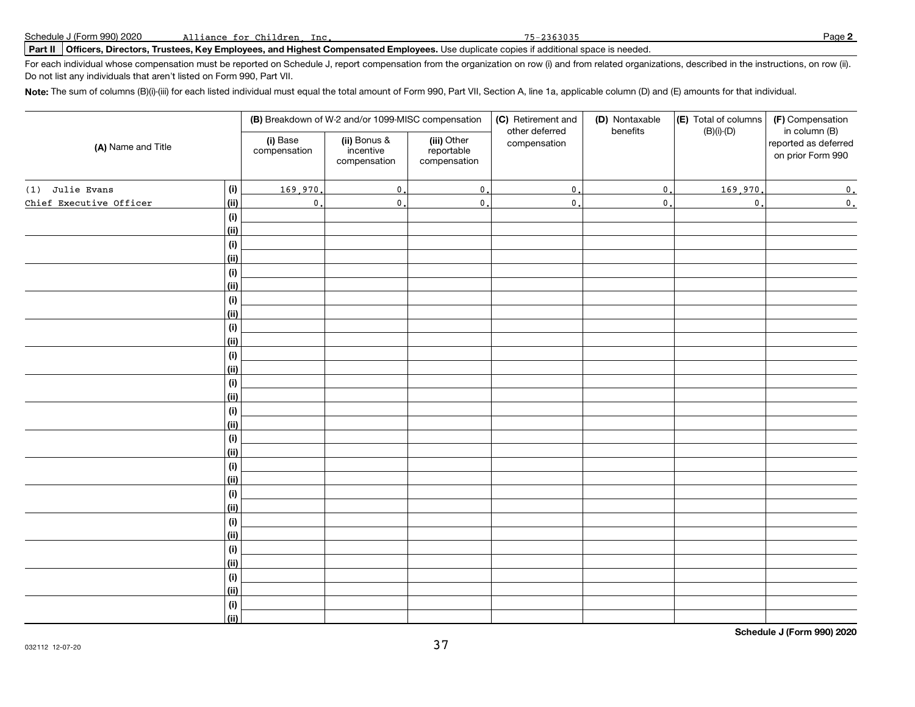### **Part II Officers, Directors, Trustees, Key Employees, and Highest Compensated Employees.** Use duplicate copies if additional space is needed.

For each individual whose compensation must be reported on Schedule J, report compensation from the organization on row (i) and from related organizations, described in the instructions, on row (ii). Do not list any individuals that aren't listed on Form 990, Part VII.

**Note:** The sum of columns (B)(i)-(iii) for each listed individual must equal the total amount of Form 990, Part VII, Section A, line 1a, applicable column (D) and (E) amounts for that individual.

| (A) Name and Title      |      | (B) Breakdown of W-2 and/or 1099-MISC compensation |                                           |                                           | (D) Nontaxable<br>(C) Retirement and<br>benefits<br>other deferred |                  | (E) Total of columns<br>(F) Compensation<br>$(B)(i)-(D)$<br>in column (B) |                                           |  |
|-------------------------|------|----------------------------------------------------|-------------------------------------------|-------------------------------------------|--------------------------------------------------------------------|------------------|---------------------------------------------------------------------------|-------------------------------------------|--|
|                         |      | (i) Base<br>compensation                           | (ii) Bonus &<br>incentive<br>compensation | (iii) Other<br>reportable<br>compensation | compensation                                                       |                  |                                                                           | reported as deferred<br>on prior Form 990 |  |
| Julie Evans<br>(1)      | (i)  | 169,970                                            | $\mathfrak o$ .                           | $\mathfrak o$ .                           | $\mathbf{0}$                                                       | $\mathfrak{o}$ . | 169,970                                                                   | $\mathfrak o$ .                           |  |
| Chief Executive Officer | (ii) | $\mathbf{0}$ .                                     | $\mathbf 0$ .                             | $\mathbf{0}$                              | $\pmb{0}$                                                          | $\mathfrak{o}$ . | $\mathsf{0}$ .                                                            | $\mathfrak o$ .                           |  |
|                         | (i)  |                                                    |                                           |                                           |                                                                    |                  |                                                                           |                                           |  |
|                         | (ii) |                                                    |                                           |                                           |                                                                    |                  |                                                                           |                                           |  |
|                         | (i)  |                                                    |                                           |                                           |                                                                    |                  |                                                                           |                                           |  |
|                         | (ii) |                                                    |                                           |                                           |                                                                    |                  |                                                                           |                                           |  |
|                         | (i)  |                                                    |                                           |                                           |                                                                    |                  |                                                                           |                                           |  |
|                         | (ii) |                                                    |                                           |                                           |                                                                    |                  |                                                                           |                                           |  |
|                         | (i)  |                                                    |                                           |                                           |                                                                    |                  |                                                                           |                                           |  |
|                         | (ii) |                                                    |                                           |                                           |                                                                    |                  |                                                                           |                                           |  |
|                         | (i)  |                                                    |                                           |                                           |                                                                    |                  |                                                                           |                                           |  |
|                         | (ii) |                                                    |                                           |                                           |                                                                    |                  |                                                                           |                                           |  |
|                         | (i)  |                                                    |                                           |                                           |                                                                    |                  |                                                                           |                                           |  |
|                         | (ii) |                                                    |                                           |                                           |                                                                    |                  |                                                                           |                                           |  |
|                         | (i)  |                                                    |                                           |                                           |                                                                    |                  |                                                                           |                                           |  |
|                         | (ii) |                                                    |                                           |                                           |                                                                    |                  |                                                                           |                                           |  |
|                         | (i)  |                                                    |                                           |                                           |                                                                    |                  |                                                                           |                                           |  |
|                         | (ii) |                                                    |                                           |                                           |                                                                    |                  |                                                                           |                                           |  |
|                         | (i)  |                                                    |                                           |                                           |                                                                    |                  |                                                                           |                                           |  |
|                         | (ii) |                                                    |                                           |                                           |                                                                    |                  |                                                                           |                                           |  |
|                         | (i)  |                                                    |                                           |                                           |                                                                    |                  |                                                                           |                                           |  |
|                         | (ii) |                                                    |                                           |                                           |                                                                    |                  |                                                                           |                                           |  |
|                         | (i)  |                                                    |                                           |                                           |                                                                    |                  |                                                                           |                                           |  |
|                         | (ii) |                                                    |                                           |                                           |                                                                    |                  |                                                                           |                                           |  |
|                         | (i)  |                                                    |                                           |                                           |                                                                    |                  |                                                                           |                                           |  |
|                         | (ii) |                                                    |                                           |                                           |                                                                    |                  |                                                                           |                                           |  |
|                         | (i)  |                                                    |                                           |                                           |                                                                    |                  |                                                                           |                                           |  |
|                         | (ii) |                                                    |                                           |                                           |                                                                    |                  |                                                                           |                                           |  |
|                         | (i)  |                                                    |                                           |                                           |                                                                    |                  |                                                                           |                                           |  |
|                         | (ii) |                                                    |                                           |                                           |                                                                    |                  |                                                                           |                                           |  |
|                         | (i)  |                                                    |                                           |                                           |                                                                    |                  |                                                                           |                                           |  |
|                         | (ii) |                                                    |                                           |                                           |                                                                    |                  |                                                                           |                                           |  |

**Schedule J (Form 990) 2020**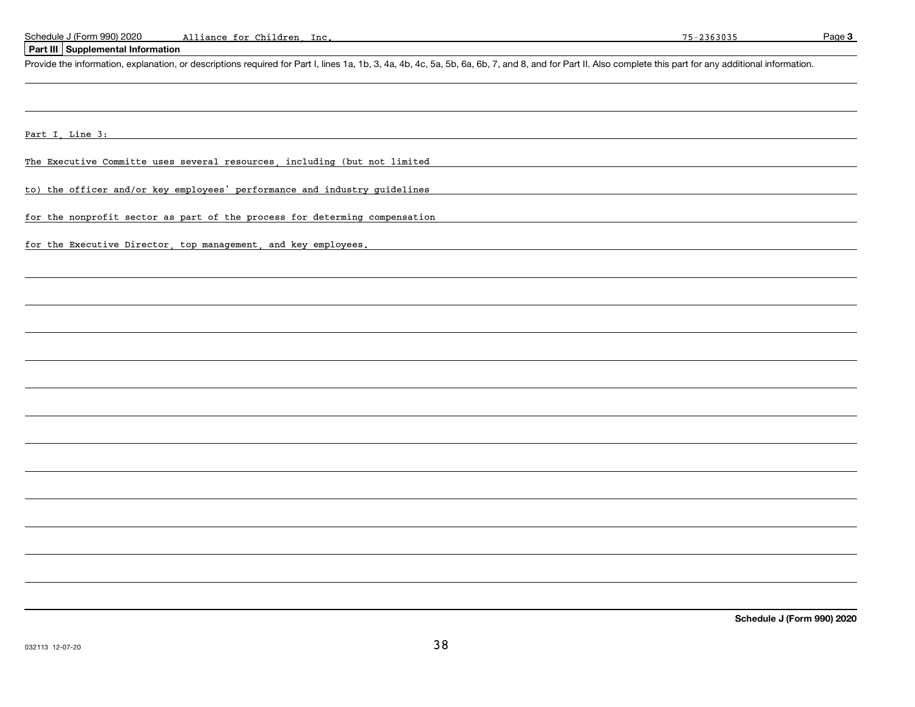**Page 3** 

### **Part III Supplemental Information**

Provide the information, explanation, or descriptions required for Part I, lines 1a, 1b, 3, 4a, 4b, 4c, 5a, 5b, 6a, 6b, 7, and 8, and for Part II. Also complete this part for any additional information.

and the control of the control of the control of the control of the control of the control of the control of the

Part I, Line 3:

The Executive Committe uses several resources, including (but not limited

to) the officer and/or key employees' performance and industry guidelines

for the nonprofit sector as part of the process for determing compensation

for the Executive Director, top management, and key employees.

**Schedule J (Form 990) 2020**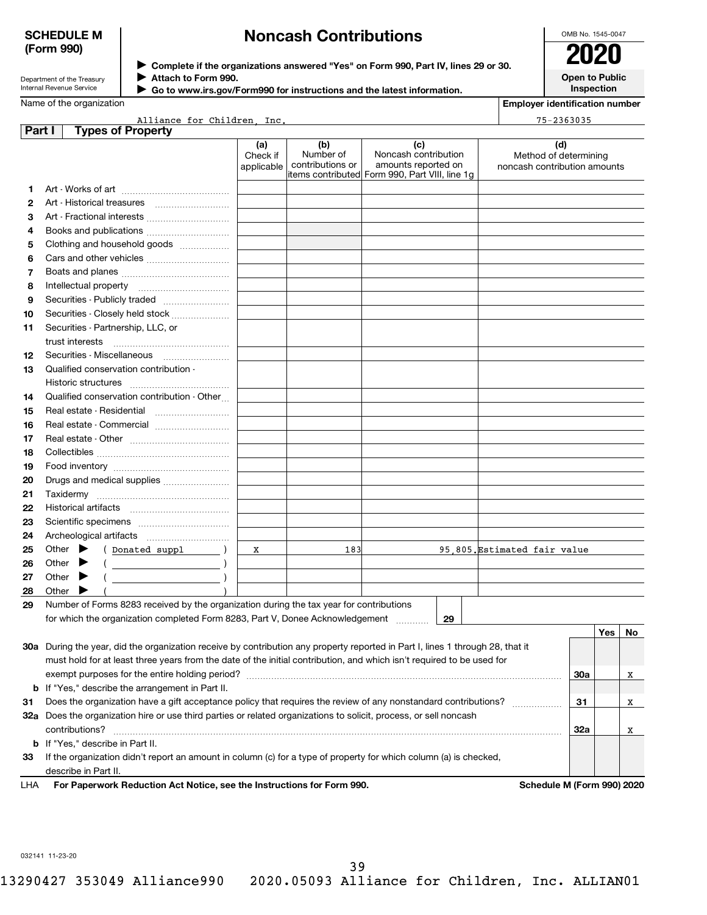## **SCHEDULE M (Form 990)**

## **Noncash Contributions**

| OMB No. 1545-0047                   |
|-------------------------------------|
| 2020                                |
| <b>Open to Public</b><br>Inspection |

Department of the Treasury Internal Revenue Service

**Complete if the organizations answered "Yes" on Form 990, Part IV, lines 29 or 30.** <sup>J</sup>**2020**

**Attach to Form 990.** J

 **Go to www.irs.gov/Form990 for instructions and the latest information.** J

Name of the organization

**Employer identification number**

|     | Alliance for Children Inc.<br>$75 - 2363035$                                                                                        |                               |                                      |                                                                                                      |                                                              |     |        |   |  |  |
|-----|-------------------------------------------------------------------------------------------------------------------------------------|-------------------------------|--------------------------------------|------------------------------------------------------------------------------------------------------|--------------------------------------------------------------|-----|--------|---|--|--|
|     | <b>Types of Property</b><br>Part I                                                                                                  |                               |                                      |                                                                                                      |                                                              |     |        |   |  |  |
|     |                                                                                                                                     | (a)<br>Check if<br>applicable | (b)<br>Number of<br>contributions or | (c)<br>Noncash contribution<br>amounts reported on<br>items contributed Form 990, Part VIII, line 1g | (d)<br>Method of determining<br>noncash contribution amounts |     |        |   |  |  |
| 1   |                                                                                                                                     |                               |                                      |                                                                                                      |                                                              |     |        |   |  |  |
| 2   |                                                                                                                                     |                               |                                      |                                                                                                      |                                                              |     |        |   |  |  |
| 3   | Art - Fractional interests                                                                                                          |                               |                                      |                                                                                                      |                                                              |     |        |   |  |  |
| 4   |                                                                                                                                     |                               |                                      |                                                                                                      |                                                              |     |        |   |  |  |
| 5   | Clothing and household goods                                                                                                        |                               |                                      |                                                                                                      |                                                              |     |        |   |  |  |
| 6   |                                                                                                                                     |                               |                                      |                                                                                                      |                                                              |     |        |   |  |  |
| 7   |                                                                                                                                     |                               |                                      |                                                                                                      |                                                              |     |        |   |  |  |
| 8   |                                                                                                                                     |                               |                                      |                                                                                                      |                                                              |     |        |   |  |  |
| 9   |                                                                                                                                     |                               |                                      |                                                                                                      |                                                              |     |        |   |  |  |
| 10  | Securities - Closely held stock                                                                                                     |                               |                                      |                                                                                                      |                                                              |     |        |   |  |  |
| 11  | Securities - Partnership, LLC, or                                                                                                   |                               |                                      |                                                                                                      |                                                              |     |        |   |  |  |
|     |                                                                                                                                     |                               |                                      |                                                                                                      |                                                              |     |        |   |  |  |
| 12  |                                                                                                                                     |                               |                                      |                                                                                                      |                                                              |     |        |   |  |  |
| 13  | Qualified conservation contribution -                                                                                               |                               |                                      |                                                                                                      |                                                              |     |        |   |  |  |
|     |                                                                                                                                     |                               |                                      |                                                                                                      |                                                              |     |        |   |  |  |
| 14  | Qualified conservation contribution - Other                                                                                         |                               |                                      |                                                                                                      |                                                              |     |        |   |  |  |
| 15  | Real estate - Residential                                                                                                           |                               |                                      |                                                                                                      |                                                              |     |        |   |  |  |
| 16  | Real estate - Commercial                                                                                                            |                               |                                      |                                                                                                      |                                                              |     |        |   |  |  |
| 17  |                                                                                                                                     |                               |                                      |                                                                                                      |                                                              |     |        |   |  |  |
| 18  |                                                                                                                                     |                               |                                      |                                                                                                      |                                                              |     |        |   |  |  |
| 19  |                                                                                                                                     |                               |                                      |                                                                                                      |                                                              |     |        |   |  |  |
| 20  | Drugs and medical supplies                                                                                                          |                               |                                      |                                                                                                      |                                                              |     |        |   |  |  |
| 21  |                                                                                                                                     |                               |                                      |                                                                                                      |                                                              |     |        |   |  |  |
| 22  |                                                                                                                                     |                               |                                      |                                                                                                      |                                                              |     |        |   |  |  |
| 23  |                                                                                                                                     |                               |                                      |                                                                                                      |                                                              |     |        |   |  |  |
| 24  |                                                                                                                                     |                               |                                      |                                                                                                      |                                                              |     |        |   |  |  |
| 25  | Other $\blacktriangleright$<br>(Donated suppl )                                                                                     | x                             | 183                                  |                                                                                                      | 95,805. Estimated fair value                                 |     |        |   |  |  |
| 26  | Other<br>▶                                                                                                                          |                               |                                      |                                                                                                      |                                                              |     |        |   |  |  |
| 27  | Other $\blacktriangleright$                                                                                                         |                               |                                      |                                                                                                      |                                                              |     |        |   |  |  |
| 28  | Other<br>▸                                                                                                                          |                               |                                      |                                                                                                      |                                                              |     |        |   |  |  |
| 29  | Number of Forms 8283 received by the organization during the tax year for contributions                                             |                               |                                      |                                                                                                      |                                                              |     |        |   |  |  |
|     | for which the organization completed Form 8283, Part V, Donee Acknowledgement<br>29                                                 |                               |                                      |                                                                                                      |                                                              |     |        |   |  |  |
|     |                                                                                                                                     |                               |                                      |                                                                                                      |                                                              |     | Yes No |   |  |  |
|     | 30a During the year, did the organization receive by contribution any property reported in Part I, lines 1 through 28, that it      |                               |                                      |                                                                                                      |                                                              |     |        |   |  |  |
|     | must hold for at least three years from the date of the initial contribution, and which isn't required to be used for               |                               |                                      |                                                                                                      |                                                              |     |        |   |  |  |
|     |                                                                                                                                     |                               |                                      |                                                                                                      |                                                              |     |        | X |  |  |
|     | <b>b</b> If "Yes," describe the arrangement in Part II.                                                                             |                               |                                      |                                                                                                      |                                                              |     |        |   |  |  |
| 31  | Does the organization have a gift acceptance policy that requires the review of any nonstandard contributions?                      |                               |                                      |                                                                                                      |                                                              |     |        | X |  |  |
|     | 32a Does the organization hire or use third parties or related organizations to solicit, process, or sell noncash<br>contributions? |                               |                                      |                                                                                                      |                                                              |     |        | X |  |  |
|     | <b>b</b> If "Yes," describe in Part II.                                                                                             |                               |                                      |                                                                                                      |                                                              | 32a |        |   |  |  |
| 33  | If the organization didn't report an amount in column (c) for a type of property for which column (a) is checked,                   |                               |                                      |                                                                                                      |                                                              |     |        |   |  |  |
|     | describe in Part II.                                                                                                                |                               |                                      |                                                                                                      |                                                              |     |        |   |  |  |
| LHA | For Paperwork Reduction Act Notice, see the Instructions for Form 990.                                                              |                               |                                      |                                                                                                      | Schedule M (Form 990) 2020                                   |     |        |   |  |  |

032141 11-23-20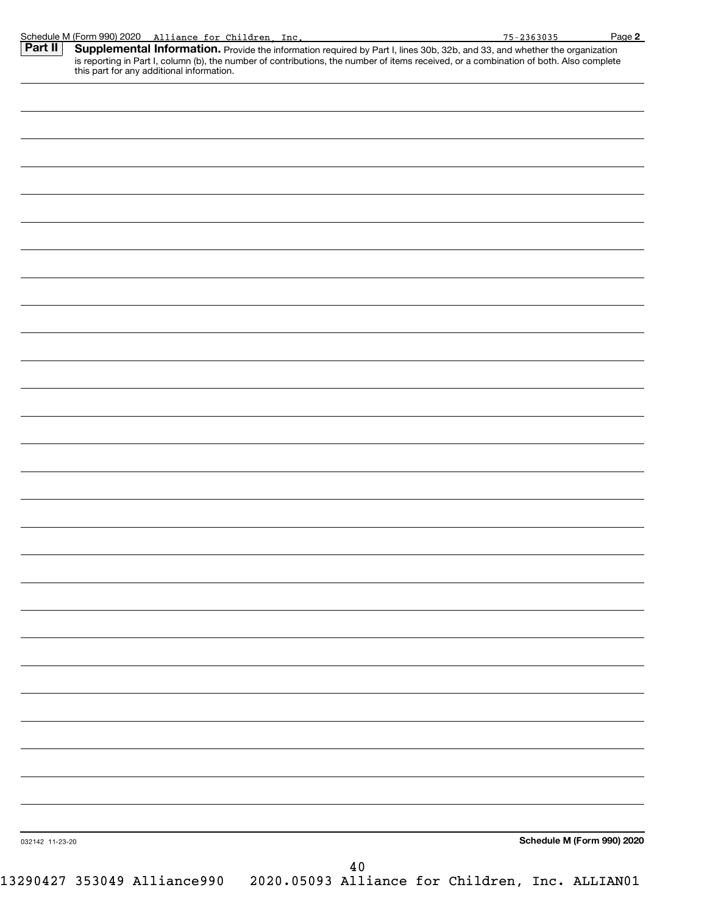| Part II         | Schedule M (Form 990) 2020 Alliance for Children, Inc.<br>Supplemental Information. Provide the information required by Part I, lines 30b, 32b, and 33, and whether the organization | $75 - 2363035$             | Page 2 |
|-----------------|--------------------------------------------------------------------------------------------------------------------------------------------------------------------------------------|----------------------------|--------|
|                 | is reporting in Part I, column (b), the number of contributions, the number of items received, or a combination of both. Also complete<br>this part for any additional information.  |                            |        |
|                 |                                                                                                                                                                                      |                            |        |
|                 |                                                                                                                                                                                      |                            |        |
|                 |                                                                                                                                                                                      |                            |        |
|                 |                                                                                                                                                                                      |                            |        |
|                 |                                                                                                                                                                                      |                            |        |
|                 |                                                                                                                                                                                      |                            |        |
|                 |                                                                                                                                                                                      |                            |        |
|                 |                                                                                                                                                                                      |                            |        |
|                 |                                                                                                                                                                                      |                            |        |
|                 |                                                                                                                                                                                      |                            |        |
|                 |                                                                                                                                                                                      |                            |        |
|                 |                                                                                                                                                                                      |                            |        |
|                 |                                                                                                                                                                                      |                            |        |
|                 |                                                                                                                                                                                      |                            |        |
|                 |                                                                                                                                                                                      |                            |        |
|                 |                                                                                                                                                                                      |                            |        |
|                 |                                                                                                                                                                                      |                            |        |
|                 |                                                                                                                                                                                      |                            |        |
|                 |                                                                                                                                                                                      |                            |        |
|                 |                                                                                                                                                                                      |                            |        |
|                 |                                                                                                                                                                                      |                            |        |
|                 |                                                                                                                                                                                      |                            |        |
|                 |                                                                                                                                                                                      |                            |        |
|                 |                                                                                                                                                                                      |                            |        |
|                 |                                                                                                                                                                                      |                            |        |
|                 |                                                                                                                                                                                      |                            |        |
|                 |                                                                                                                                                                                      |                            |        |
|                 |                                                                                                                                                                                      |                            |        |
|                 |                                                                                                                                                                                      |                            |        |
| 032142 11-23-20 |                                                                                                                                                                                      | Schedule M (Form 990) 2020 |        |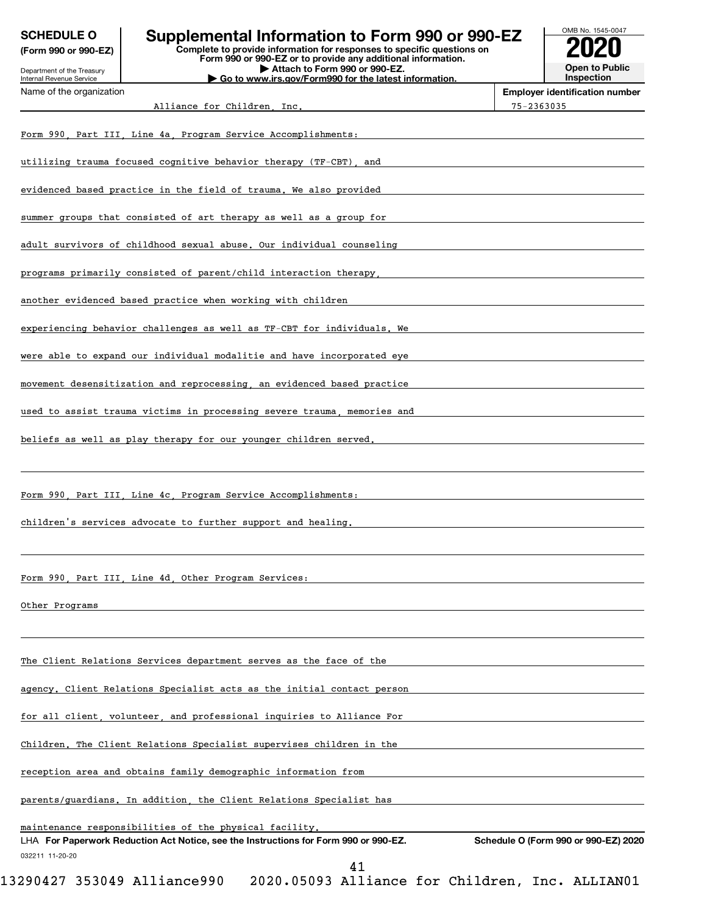| <b>SCHEDULE O</b><br>(Form 990 or 990-EZ)              | Supplemental Information to Form 990 or 990-EZ<br>Complete to provide information for responses to specific questions on<br>Form 990 or 990-EZ or to provide any additional information. | OMB No. 1545-0047<br><b>Open to Public</b>          |
|--------------------------------------------------------|------------------------------------------------------------------------------------------------------------------------------------------------------------------------------------------|-----------------------------------------------------|
| Department of the Treasury<br>Internal Revenue Service | Attach to Form 990 or 990-EZ.<br>Go to www.irs.gov/Form990 for the latest information.                                                                                                   | Inspection                                          |
| Name of the organization                               | Alliance for Children Inc.                                                                                                                                                               | <b>Employer identification number</b><br>75-2363035 |
|                                                        | Form 990, Part III, Line 4a, Program Service Accomplishments:                                                                                                                            |                                                     |
|                                                        | utilizing trauma focused cognitive behavior therapy (TF-CBT), and                                                                                                                        |                                                     |
|                                                        | evidenced based practice in the field of trauma. We also provided                                                                                                                        |                                                     |
|                                                        | summer groups that consisted of art therapy as well as a group for                                                                                                                       |                                                     |
|                                                        | adult survivors of childhood sexual abuse. Our individual counseling                                                                                                                     |                                                     |
|                                                        | programs primarily consisted of parent/child interaction therapy.                                                                                                                        |                                                     |
|                                                        | another evidenced based practice when working with children                                                                                                                              |                                                     |
|                                                        | experiencing behavior challenges as well as TF-CBT for individuals. We                                                                                                                   |                                                     |
|                                                        | were able to expand our individual modalitie and have incorporated eye                                                                                                                   |                                                     |
|                                                        | movement desensitization and reprocessing, an evidenced based practice                                                                                                                   |                                                     |
|                                                        | used to assist trauma victims in processing severe trauma, memories and                                                                                                                  |                                                     |
|                                                        | beliefs as well as play therapy for our younger children served.                                                                                                                         |                                                     |
|                                                        | Form 990 Part III Line 4c Program Service Accomplishments:                                                                                                                               |                                                     |
|                                                        | children's services advocate to further support and healing.                                                                                                                             |                                                     |
|                                                        | Form 990, Part III, Line 4d, Other Program Services:                                                                                                                                     |                                                     |
| Other Programs                                         |                                                                                                                                                                                          |                                                     |
|                                                        | The Client Relations Services department serves as the face of the                                                                                                                       |                                                     |
|                                                        | agency. Client Relations Specialist acts as the initial contact person                                                                                                                   |                                                     |
|                                                        | for all client, volunteer, and professional inquiries to Alliance For                                                                                                                    |                                                     |
|                                                        | Children. The Client Relations Specialist supervises children in the                                                                                                                     |                                                     |
|                                                        | reception area and obtains family demographic information from                                                                                                                           |                                                     |
|                                                        | parents/guardians. In addition, the Client Relations Specialist has                                                                                                                      |                                                     |
| 032211 11-20-20                                        | maintenance responsibilities of the physical facility,<br>LHA For Paperwork Reduction Act Notice, see the Instructions for Form 990 or 990-EZ.                                           | Schedule O (Form 990 or 990-EZ) 2020                |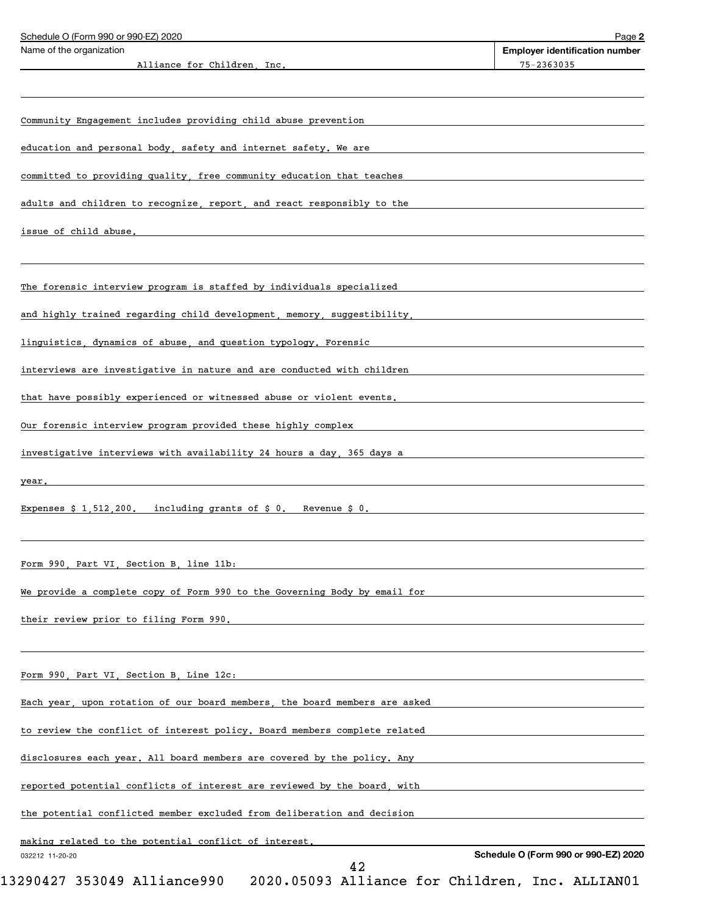| Schedule O (Form 990 or 990-EZ) 2020                                       |    | Page 2                                |
|----------------------------------------------------------------------------|----|---------------------------------------|
| Name of the organization                                                   |    | <b>Employer identification number</b> |
| Alliance for Children Inc.                                                 |    | 75-2363035                            |
|                                                                            |    |                                       |
| Community Engagement includes providing child abuse prevention             |    |                                       |
| education and personal body, safety and internet safety. We are            |    |                                       |
| committed to providing quality, free community education that teaches      |    |                                       |
| adults and children to recognize, report, and react responsibly to the     |    |                                       |
| issue of child abuse.                                                      |    |                                       |
|                                                                            |    |                                       |
| The forensic interview program is staffed by individuals specialized       |    |                                       |
| and highly trained regarding child development, memory, suggestibility,    |    |                                       |
| linguistics, dynamics of abuse, and question typology. Forensic            |    |                                       |
| interviews are investigative in nature and are conducted with children     |    |                                       |
| that have possibly experienced or witnessed abuse or violent events.       |    |                                       |
| Our forensic interview program provided these highly complex               |    |                                       |
| investigative interviews with availability 24 hours a day, 365 days a      |    |                                       |
| year.                                                                      |    |                                       |
| Expenses $$1,512,200$ , including grants of $$0$ . Revenue $$0$ .          |    |                                       |
|                                                                            |    |                                       |
| Form 990 Part VI Section B line 11b:                                       |    |                                       |
| We provide a complete copy of Form 990 to the Governing Body by email for  |    |                                       |
| their review prior to filing Form 990.                                     |    |                                       |
|                                                                            |    |                                       |
| Form 990, Part VI, Section B, Line 12c:                                    |    |                                       |
| Each year, upon rotation of our board members, the board members are asked |    |                                       |
| to review the conflict of interest policy. Board members complete related  |    |                                       |
| disclosures each year. All board members are covered by the policy. Any    |    |                                       |
| reported potential conflicts of interest are reviewed by the board, with   |    |                                       |
| the potential conflicted member excluded from deliberation and decision    |    |                                       |
| making related to the potential conflict of interest.                      |    |                                       |
| 032212 11-20-20                                                            | イつ | Schedule O (Form 990 or 990-EZ) 2020  |